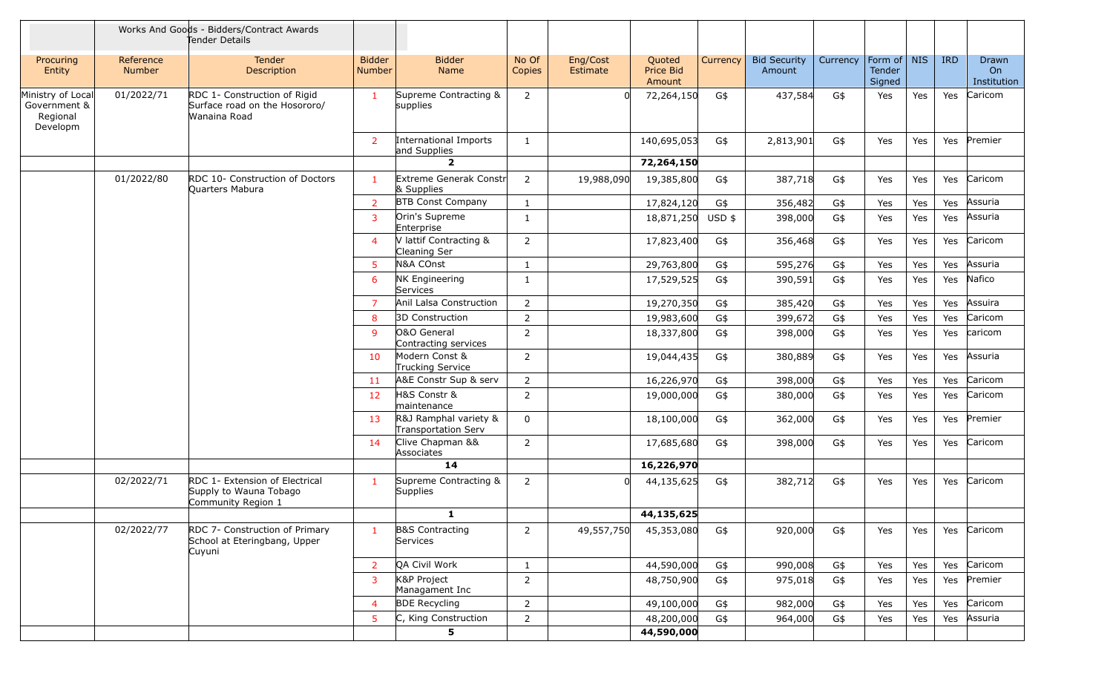|                                                           |                            | Works And Goods - Bidders/Contract Awards<br>Tender Details                    |                                |                                              |                 |                      |                               |          |                               |          |                                   |     |            |                            |
|-----------------------------------------------------------|----------------------------|--------------------------------------------------------------------------------|--------------------------------|----------------------------------------------|-----------------|----------------------|-------------------------------|----------|-------------------------------|----------|-----------------------------------|-----|------------|----------------------------|
| Procuring<br>Entity                                       | Reference<br><b>Number</b> | <b>Tender</b><br>Description                                                   | <b>Bidder</b><br><b>Number</b> | <b>Bidder</b><br>Name                        | No Of<br>Copies | Eng/Cost<br>Estimate | Quoted<br>Price Bid<br>Amount | Currency | <b>Bid Security</b><br>Amount | Currency | Form of   NIS<br>Tender<br>Signed |     | <b>IRD</b> | Drawn<br>On<br>Institution |
| Ministry of Local<br>Government &<br>Regional<br>Developm | 01/2022/71                 | RDC 1- Construction of Rigid<br>Surface road on the Hosororo/<br>Wanaina Road  | $\mathbf{1}$                   | Supreme Contracting &<br>supplies            | 2               |                      | 72,264,150                    | G\$      | 437,584                       | G\$      | Yes                               | Yes | Yes        | Caricom                    |
|                                                           |                            |                                                                                | 2                              | International Imports<br>and Supplies        | 1               |                      | 140,695,053                   | G\$      | 2,813,901                     | G\$      | Yes                               | Yes | Yes        | Premier                    |
|                                                           |                            |                                                                                |                                | $\overline{2}$                               |                 |                      | 72,264,150                    |          |                               |          |                                   |     |            |                            |
|                                                           | 01/2022/80                 | RDC 10- Construction of Doctors<br>Quarters Mabura                             | 1                              | Extreme Generak Constr<br>& Supplies         | 2               | 19,988,090           | 19,385,800                    | G\$      | 387,718                       | G\$      | Yes                               | Yes | Yes        | Caricom                    |
|                                                           |                            |                                                                                | $\overline{2}$                 | <b>BTB Const Company</b>                     | 1               |                      | 17,824,120                    | G\$      | 356,482                       | G\$      | Yes                               | Yes | Yes        | Assuria                    |
|                                                           |                            |                                                                                | $\overline{3}$                 | Orin's Supreme<br>Enterprise                 | $\mathbf{1}$    |                      | 18,871,250                    | $USD$ \$ | 398,000                       | G\$      | Yes                               | Yes | Yes        | Assuria                    |
|                                                           |                            |                                                                                | $\overline{4}$                 | V lattif Contracting &<br>Cleaning Ser       | 2               |                      | 17,823,400                    | G\$      | 356,468                       | G\$      | Yes                               | Yes | Yes        | Caricom                    |
|                                                           |                            |                                                                                | $5\phantom{.0}$                | N&A COnst                                    | 1               |                      | 29,763,800                    | G\$      | 595,276                       | G\$      | Yes                               | Yes | Yes        | Assuria                    |
|                                                           |                            |                                                                                | 6                              | <b>NK Engineering</b><br>Services            | 1               |                      | 17,529,525                    | G\$      | 390,591                       | G\$      | Yes                               | Yes | Yes        | Nafico                     |
|                                                           |                            |                                                                                | $\overline{7}$                 | Anil Lalsa Construction                      | $\overline{2}$  |                      | 19,270,350                    | G\$      | 385,420                       | G\$      | Yes                               | Yes | Yes        | Assuira                    |
|                                                           |                            |                                                                                | 8                              | 3D Construction                              | 2               |                      | 19,983,600                    | G\$      | 399,672                       | G\$      | Yes                               | Yes | Yes        | Caricom                    |
|                                                           |                            |                                                                                | 9                              | O&O General<br>Contracting services          | 2               |                      | 18,337,800                    | G\$      | 398,000                       | G\$      | Yes                               | Yes | Yes        | caricom                    |
|                                                           |                            |                                                                                | 10                             | Modern Const &<br>Trucking Service           | 2               |                      | 19,044,435                    | G\$      | 380,889                       | G\$      | Yes                               | Yes | Yes        | Assuria                    |
|                                                           |                            |                                                                                | 11                             | A&E Constr Sup & serv                        | 2               |                      | 16,226,970                    | G\$      | 398,000                       | G\$      | Yes                               | Yes | Yes        | Caricom                    |
|                                                           |                            |                                                                                | 12                             | H&S Constr &<br>maintenance                  | 2               |                      | 19,000,000                    | G\$      | 380,000                       | G\$      | Yes                               | Yes | Yes        | Caricom                    |
|                                                           |                            |                                                                                | 13                             | R&J Ramphal variety &<br>Transportation Serv | $\mathbf{0}$    |                      | 18,100,000                    | G\$      | 362,000                       | G\$      | Yes                               | Yes | Yes        | Premier                    |
|                                                           |                            |                                                                                | 14                             | Clive Chapman &&<br>Associates               | $\overline{2}$  |                      | 17,685,680                    | G\$      | 398,000                       | G\$      | Yes                               | Yes | Yes        | Caricom                    |
|                                                           |                            |                                                                                |                                | 14                                           |                 |                      | 16,226,970                    |          |                               |          |                                   |     |            |                            |
|                                                           | 02/2022/71                 | RDC 1- Extension of Electrical<br>Supply to Wauna Tobago<br>Community Region 1 | -1                             | Supreme Contracting &<br><b>Supplies</b>     | 2               | $\Omega$             | 44,135,625                    | G\$      | 382,712                       | G\$      | Yes                               | Yes | Yes        | Caricom                    |
|                                                           |                            |                                                                                |                                | $\mathbf{1}$                                 |                 |                      | 44,135,625                    |          |                               |          |                                   |     |            |                            |
|                                                           | 02/2022/77                 | RDC 7- Construction of Primary<br>School at Eteringbang, Upper<br>Cuyuni       | $\mathbf{1}$                   | <b>B&amp;S Contracting</b><br>Services       | $\overline{2}$  | 49,557,750           | 45,353,080                    | G\$      | 920,000                       | G\$      | Yes                               | Yes |            | Yes Caricom                |
|                                                           |                            |                                                                                | $\overline{2}$                 | QA Civil Work                                | $\mathbf{1}$    |                      | 44,590,000                    | G\$      | 990,008                       | G\$      | Yes                               | Yes | Yes        | Caricom                    |
|                                                           |                            |                                                                                | 3                              | K&P Project<br>Managament Inc                | $\overline{2}$  |                      | 48,750,900                    | G\$      | 975,018                       | G\$      | Yes                               | Yes | Yes        | Premier                    |
|                                                           |                            |                                                                                | $\overline{4}$                 | <b>BDE Recycling</b>                         | $\overline{2}$  |                      | 49,100,000                    | G\$      | 982,000                       | G\$      | Yes                               | Yes | Yes        | Caricom                    |
|                                                           |                            |                                                                                | $5\phantom{.0}$                | C, King Construction                         | $\overline{2}$  |                      | 48,200,000                    | G\$      | 964,000                       | G\$      | Yes                               | Yes | Yes        | Assuria                    |
|                                                           |                            |                                                                                |                                | 5                                            |                 |                      | 44,590,000                    |          |                               |          |                                   |     |            |                            |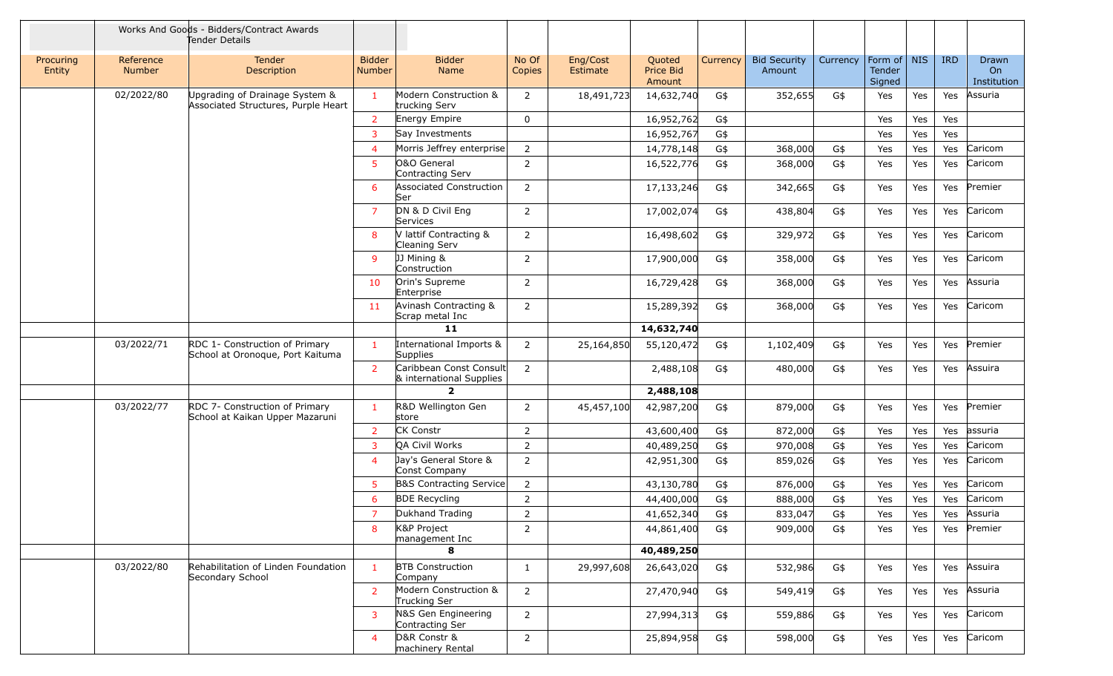|                     |                            | Works And Goods - Bidders/Contract Awards<br>Tender Details           |                                |                                                     |                 |                      |                               |          |                               |          |                                   |     |            |                            |
|---------------------|----------------------------|-----------------------------------------------------------------------|--------------------------------|-----------------------------------------------------|-----------------|----------------------|-------------------------------|----------|-------------------------------|----------|-----------------------------------|-----|------------|----------------------------|
| Procuring<br>Entity | Reference<br><b>Number</b> | <b>Tender</b><br>Description                                          | <b>Bidder</b><br><b>Number</b> | <b>Bidder</b><br>Name                               | No Of<br>Copies | Eng/Cost<br>Estimate | Quoted<br>Price Bid<br>Amount | Currency | <b>Bid Security</b><br>Amount | Currency | Form of   NIS<br>Tender<br>Signed |     | <b>IRD</b> | Drawn<br>On<br>Institution |
|                     | 02/2022/80                 | Upgrading of Drainage System &<br>Associated Structures, Purple Heart | $\mathbf{1}$                   | Modern Construction &<br>trucking Serv              | 2               | 18,491,723           | 14,632,740                    | G\$      | 352,655                       | G\$      | Yes                               | Yes | Yes        | Assuria                    |
|                     |                            |                                                                       | $\overline{2}$                 | Energy Empire                                       | $\mathbf 0$     |                      | 16,952,762                    | G\$      |                               |          | Yes                               | Yes | Yes        |                            |
|                     |                            |                                                                       | $\overline{3}$                 | Say Investments                                     |                 |                      | 16,952,767                    | G\$      |                               |          | Yes                               | Yes | Yes        |                            |
|                     |                            |                                                                       | $\overline{4}$                 | Morris Jeffrey enterprise                           | $\overline{2}$  |                      | 14,778,148                    | G\$      | 368,000                       | G\$      | Yes                               | Yes | Yes        | Caricom                    |
|                     |                            |                                                                       | 5                              | O&O General<br>Contracting Serv                     | 2               |                      | 16,522,776                    | G\$      | 368,000                       | G\$      | Yes                               | Yes | Yes        | Caricom                    |
|                     |                            |                                                                       | 6                              | <b>Associated Construction</b><br>Ser               | 2               |                      | 17,133,246                    | G\$      | 342,665                       | G\$      | Yes                               | Yes | Yes        | Premier                    |
|                     |                            |                                                                       | $\overline{7}$                 | DN & D Civil Eng<br>Services                        | 2               |                      | 17,002,074                    | G\$      | 438,804                       | G\$      | Yes                               | Yes | Yes        | Caricom                    |
|                     |                            |                                                                       | 8                              | V lattif Contracting &<br>Cleaning Serv             | $\overline{2}$  |                      | 16,498,602                    | G\$      | 329,972                       | G\$      | Yes                               | Yes | Yes        | Caricom                    |
|                     |                            |                                                                       | 9                              | JJ Mining &<br>Construction                         | 2               |                      | 17,900,000                    | G\$      | 358,000                       | G\$      | Yes                               | Yes | Yes        | Caricom                    |
|                     |                            |                                                                       | 10                             | Orin's Supreme<br>Enterprise                        | 2               |                      | 16,729,428                    | G\$      | 368,000                       | G\$      | Yes                               | Yes | Yes        | Assuria                    |
|                     |                            |                                                                       | 11                             | Avinash Contracting &<br>Scrap metal Inc            | $\overline{2}$  |                      | 15,289,392                    | G\$      | 368,000                       | G\$      | Yes                               | Yes | Yes        | Caricom                    |
|                     |                            |                                                                       |                                | 11                                                  |                 |                      | 14,632,740                    |          |                               |          |                                   |     |            |                            |
|                     | 03/2022/71                 | RDC 1- Construction of Primary<br>School at Oronoque, Port Kaituma    | $\mathbf{1}$                   | International Imports &<br>Supplies                 | 2               | 25,164,850           | 55,120,472                    | G\$      | 1,102,409                     | G\$      | Yes                               | Yes | Yes        | Premier                    |
|                     |                            |                                                                       | $\overline{2}$                 | Caribbean Const Consult<br>& international Supplies | $\overline{2}$  |                      | 2,488,108                     | G\$      | 480,000                       | G\$      | Yes                               | Yes | Yes        | Assuira                    |
|                     |                            |                                                                       |                                | $\overline{\phantom{a}}$                            |                 |                      | 2,488,108                     |          |                               |          |                                   |     |            |                            |
|                     | 03/2022/77                 | RDC 7- Construction of Primary<br>School at Kaikan Upper Mazaruni     | $\mathbf{1}$                   | R&D Wellington Gen<br>store                         | 2               | 45,457,100           | 42,987,200                    | G\$      | 879,000                       | G\$      | Yes                               | Yes | Yes        | Premier                    |
|                     |                            |                                                                       | 2                              | <b>CK Constr</b>                                    | $\overline{2}$  |                      | 43,600,400                    | G\$      | 872,000                       | G\$      | Yes                               | Yes | Yes        | assuria                    |
|                     |                            |                                                                       | 3                              | QA Civil Works                                      | $\mathsf{2}\,$  |                      | 40,489,250                    | G\$      | 970,008                       | G\$      | Yes                               | Yes | Yes        | Caricom                    |
|                     |                            |                                                                       | $\overline{4}$                 | Jay's General Store &<br>Const Company              | 2               |                      | 42,951,300                    | G\$      | 859,026                       | G\$      | Yes                               | Yes | Yes        | Caricom                    |
|                     |                            |                                                                       | 5                              | B&S Contracting Service                             | 2               |                      | 43,130,780                    | G\$      | 876,000                       | G\$      | Yes                               | Yes | Yes        | Caricom                    |
|                     |                            |                                                                       | 6                              | <b>BDE Recycling</b>                                | 2               |                      | 44,400,000                    | G\$      | 888,000                       | G\$      | Yes                               | Yes | Yes        | Caricom                    |
|                     |                            |                                                                       | $\overline{7}$                 | Dukhand Trading                                     | $\overline{2}$  |                      | 41,652,340                    | G\$      | 833,047                       | G\$      | Yes                               | Yes | Yes        | Assuria                    |
|                     |                            |                                                                       | 8                              | K&P Project<br>management Inc                       | 2               |                      | 44,861,400                    | G\$      | 909,000                       | G\$      | Yes                               | Yes | Yes        | Premier                    |
|                     |                            |                                                                       |                                | 8                                                   |                 |                      | 40,489,250                    |          |                               |          |                                   |     |            |                            |
|                     | 03/2022/80                 | Rehabilitation of Linden Foundation<br>Secondary School               | $\mathbf{1}$                   | <b>BTB</b> Construction<br>Company                  | $\mathbf{1}$    | 29,997,608           | 26,643,020                    | G\$      | 532,986                       | G\$      | Yes                               | Yes | Yes        | Assuira                    |
|                     |                            |                                                                       | $\overline{2}$                 | Modern Construction &<br>Trucking Ser               | $\overline{2}$  |                      | 27,470,940                    | G\$      | 549,419                       | G\$      | Yes                               | Yes | Yes        | Assuria                    |
|                     |                            |                                                                       | 3                              | N&S Gen Engineering<br>Contracting Ser              | $\overline{2}$  |                      | 27,994,313                    | G\$      | 559,886                       | G\$      | Yes                               | Yes | Yes        | Caricom                    |
|                     |                            |                                                                       | $\overline{4}$                 | D&R Constr &<br>machinery Rental                    | $\overline{2}$  |                      | 25,894,958                    | G\$      | 598,000                       | G\$      | Yes                               | Yes | Yes        | Caricom                    |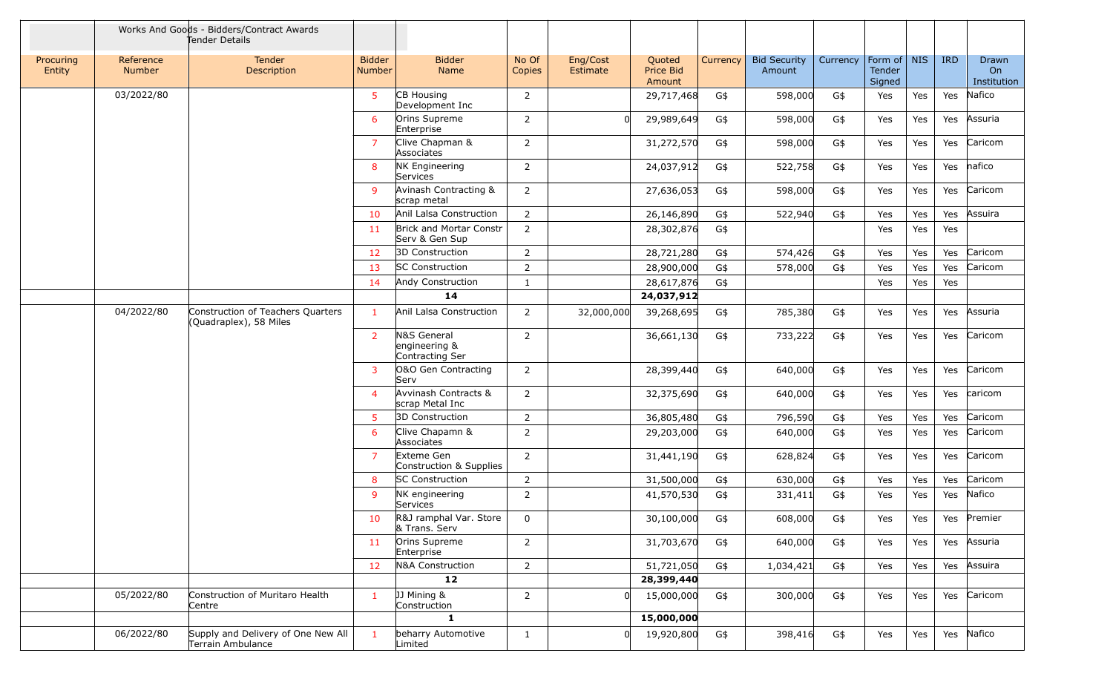|                     |                            | Works And Goods - Bidders/Contract Awards<br>Tender Details |                         |                                                 |                 |                      |                               |          |                               |          |                                   |     |            |                            |
|---------------------|----------------------------|-------------------------------------------------------------|-------------------------|-------------------------------------------------|-----------------|----------------------|-------------------------------|----------|-------------------------------|----------|-----------------------------------|-----|------------|----------------------------|
| Procuring<br>Entity | Reference<br><b>Number</b> | <b>Tender</b><br>Description                                | <b>Bidder</b><br>Number | <b>Bidder</b><br>Name                           | No Of<br>Copies | Eng/Cost<br>Estimate | Quoted<br>Price Bid<br>Amount | Currency | <b>Bid Security</b><br>Amount | Currency | Form of   NIS<br>Tender<br>Signed |     | <b>IRD</b> | Drawn<br>On<br>Institution |
|                     | 03/2022/80                 |                                                             | 5                       | CB Housing<br>Development Inc                   | $\overline{2}$  |                      | 29,717,468                    | G\$      | 598,000                       | G\$      | Yes                               | Yes | Yes        | Nafico                     |
|                     |                            |                                                             | 6                       | Orins Supreme<br>Enterprise                     | $\overline{2}$  |                      | 29,989,649                    | G\$      | 598,000                       | G\$      | Yes                               | Yes | Yes        | Assuria                    |
|                     |                            |                                                             | $\overline{7}$          | Clive Chapman &<br>Associates                   | 2               |                      | 31,272,570                    | G\$      | 598,000                       | G\$      | Yes                               | Yes | Yes        | Caricom                    |
|                     |                            |                                                             | 8                       | <b>NK Engineering</b><br>Services               | 2               |                      | 24,037,912                    | G\$      | 522,758                       | G\$      | Yes                               | Yes | Yes        | nafico                     |
|                     |                            |                                                             | 9                       | Avinash Contracting &<br>scrap metal            | $\overline{2}$  |                      | 27,636,053                    | G\$      | 598,000                       | G\$      | Yes                               | Yes | Yes        | Caricom                    |
|                     |                            |                                                             | 10                      | Anil Lalsa Construction                         | $\overline{2}$  |                      | 26,146,890                    | G\$      | 522,940                       | G\$      | Yes                               | Yes | Yes        | Assuira                    |
|                     |                            |                                                             | 11                      | Brick and Mortar Constr<br>Serv & Gen Sup       | 2               |                      | 28,302,876                    | G\$      |                               |          | Yes                               | Yes | Yes        |                            |
|                     |                            |                                                             | 12                      | 3D Construction                                 | $\overline{2}$  |                      | 28,721,280                    | G\$      | 574,426                       | G\$      | Yes                               | Yes | Yes        | Caricom                    |
|                     |                            |                                                             | 13                      | <b>SC Construction</b>                          | $\overline{2}$  |                      | 28,900,000                    | G\$      | 578,000                       | G\$      | Yes                               | Yes | Yes        | Caricom                    |
|                     |                            |                                                             | -14                     | Andy Construction                               | 1               |                      | 28,617,876                    | G\$      |                               |          | Yes                               | Yes | Yes        |                            |
|                     |                            |                                                             |                         | 14                                              |                 |                      | 24,037,912                    |          |                               |          |                                   |     |            |                            |
|                     | 04/2022/80                 | Construction of Teachers Quarters<br>(Quadraplex), 58 Miles | $\mathbf{1}$            | Anil Lalsa Construction                         | $\overline{2}$  | 32,000,000           | 39,268,695                    | G\$      | 785,380                       | G\$      | Yes                               | Yes | Yes        | Assuria                    |
|                     |                            |                                                             | $\overline{2}$          | N&S General<br>engineering &<br>Contracting Ser | $\overline{2}$  |                      | 36,661,130                    | G\$      | 733,222                       | G\$      | Yes                               | Yes | Yes        | Caricom                    |
|                     |                            |                                                             | 3                       | O&O Gen Contracting<br>Serv                     | $\overline{2}$  |                      | 28,399,440                    | G\$      | 640,000                       | G\$      | Yes                               | Yes | Yes        | Caricom                    |
|                     |                            |                                                             | $\overline{4}$          | Avvinash Contracts &<br>scrap Metal Inc         | $\overline{2}$  |                      | 32,375,690                    | G\$      | 640,000                       | G\$      | Yes                               | Yes | Yes        | caricom                    |
|                     |                            |                                                             | $5\phantom{.0}$         | 3D Construction                                 | 2               |                      | 36,805,480                    | G\$      | 796,590                       | G\$      | Yes                               | Yes | Yes        | Caricom                    |
|                     |                            |                                                             | 6                       | Clive Chapamn &<br>Associates                   | $\overline{2}$  |                      | 29,203,000                    | G\$      | 640,000                       | G\$      | Yes                               | Yes | Yes        | Caricom                    |
|                     |                            |                                                             | 7                       | Exteme Gen<br>Construction & Supplies           | 2               |                      | 31,441,190                    | G\$      | 628,824                       | G\$      | Yes                               | Yes | Yes        | Caricom                    |
|                     |                            |                                                             | 8                       | <b>SC Construction</b>                          | 2               |                      | 31,500,000                    | G\$      | 630,000                       | G\$      | Yes                               | Yes | Yes        | Caricom                    |
|                     |                            |                                                             | 9                       | NK engineering<br>Services                      | 2               |                      | 41,570,530                    | G\$      | 331,411                       | G\$      | Yes                               | Yes | Yes        | Nafico                     |
|                     |                            |                                                             | 10                      | R&J ramphal Var. Store<br>& Trans. Serv         | 0               |                      | 30,100,000                    | G\$      | 608,000                       | G\$      | Yes                               | Yes |            | Yes Premier                |
|                     |                            |                                                             | -11                     | Orins Supreme<br>Enterprise                     | $\overline{2}$  |                      | 31,703,670                    | G\$      | 640,000                       | G\$      | Yes                               | Yes |            | Yes Assuria                |
|                     |                            |                                                             | 12                      | N&A Construction                                | $\overline{2}$  |                      | 51,721,050                    | G\$      | 1,034,421                     | G\$      | Yes                               | Yes | Yes        | Assuira                    |
|                     |                            |                                                             |                         | 12                                              |                 |                      | 28,399,440                    |          |                               |          |                                   |     |            |                            |
|                     | 05/2022/80                 | Construction of Muritaro Health<br>Centre                   | $\mathbf{1}$            | JJ Mining &<br>Construction                     | $\overline{2}$  | $\Omega$             | 15,000,000                    | G\$      | 300,000                       | G\$      | Yes                               | Yes |            | Yes Caricom                |
|                     |                            |                                                             |                         | $\mathbf{1}$                                    |                 |                      | 15,000,000                    |          |                               |          |                                   |     |            |                            |
|                     | 06/2022/80                 | Supply and Delivery of One New All<br>Terrain Ambulance     | $\mathbf{1}$            | beharry Automotive<br>Limited                   | $\mathbf{1}$    | $\mathbf{0}$         | 19,920,800                    | G\$      | 398,416                       | G\$      | Yes                               | Yes |            | Yes Nafico                 |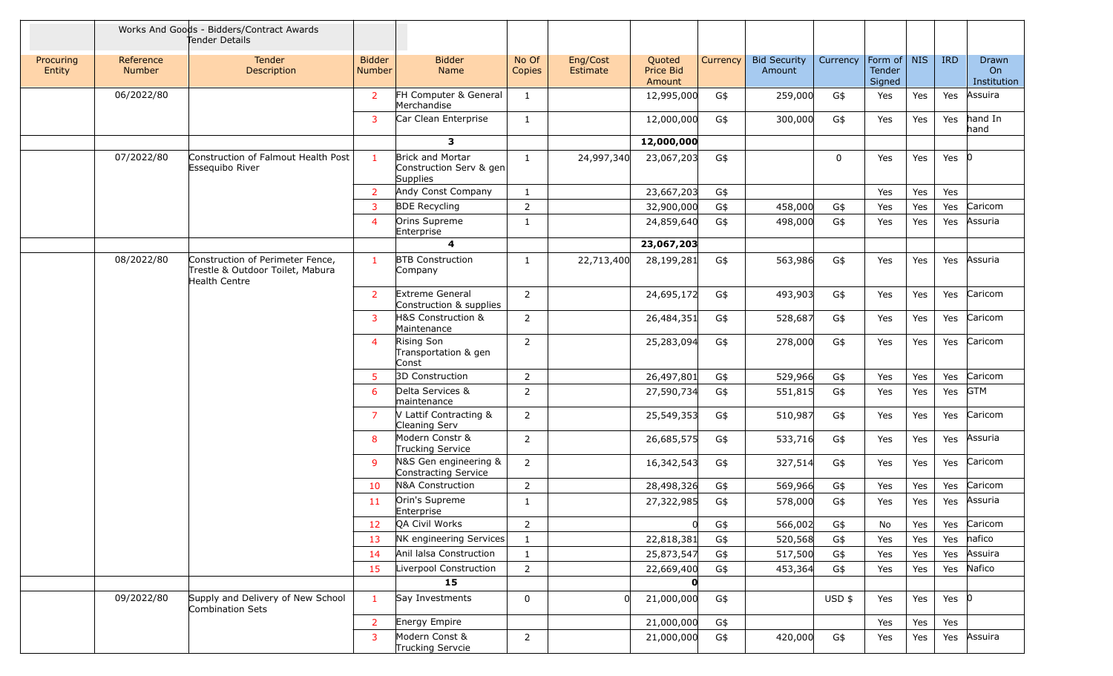|                     |                     | Works And Goods - Bidders/Contract Awards<br>Tender Details                           |                                |                                                         |                 |                      |                                      |          |                               |             |                                 |     |            |                            |
|---------------------|---------------------|---------------------------------------------------------------------------------------|--------------------------------|---------------------------------------------------------|-----------------|----------------------|--------------------------------------|----------|-------------------------------|-------------|---------------------------------|-----|------------|----------------------------|
| Procuring<br>Entity | Reference<br>Number | Tender<br>Description                                                                 | <b>Bidder</b><br><b>Number</b> | <b>Bidder</b><br>Name                                   | No Of<br>Copies | Eng/Cost<br>Estimate | Quoted<br><b>Price Bid</b><br>Amount | Currency | <b>Bid Security</b><br>Amount | Currency    | Form of NIS<br>Tender<br>Signed |     | <b>IRD</b> | Drawn<br>On<br>Institution |
|                     | 06/2022/80          |                                                                                       | $\overline{2}$                 | FH Computer & General<br>Merchandise                    | 1               |                      | 12,995,000                           | G\$      | 259,000                       | G\$         | Yes                             | Yes | Yes        | Assuira                    |
|                     |                     |                                                                                       | 3                              | Car Clean Enterprise                                    | 1               |                      | 12,000,000                           | G\$      | 300,000                       | G\$         | Yes                             | Yes | Yes        | hand In<br>hand            |
|                     |                     |                                                                                       |                                | 3                                                       |                 |                      | 12,000,000                           |          |                               |             |                                 |     |            |                            |
|                     | 07/2022/80          | Construction of Falmout Health Post<br>Essequibo River                                | $\mathbf{1}$                   | Brick and Mortar<br>Construction Serv & gen<br>Supplies | 1               | 24,997,340           | 23,067,203                           | G\$      |                               | $\mathbf 0$ | Yes                             | Yes | Yes        | 10                         |
|                     |                     |                                                                                       | $\overline{2}$                 | Andy Const Company                                      | $\mathbf{1}$    |                      | 23,667,203                           | G\$      |                               |             | Yes                             | Yes | Yes        |                            |
|                     |                     |                                                                                       | 3                              | <b>BDE Recycling</b>                                    | $\overline{2}$  |                      | 32,900,000                           | G\$      | 458,000                       | G\$         | Yes                             | Yes | Yes        | Caricom                    |
|                     |                     |                                                                                       | $\overline{4}$                 | Orins Supreme<br>Enterprise                             | $\mathbf{1}$    |                      | 24,859,640                           | G\$      | 498,000                       | G\$         | Yes                             | Yes | Yes        | Assuria                    |
|                     |                     |                                                                                       |                                | 4                                                       |                 |                      | 23,067,203                           |          |                               |             |                                 |     |            |                            |
|                     | 08/2022/80          | Construction of Perimeter Fence,<br>Trestle & Outdoor Toilet, Mabura<br>Health Centre | $\mathbf{1}$                   | <b>BTB Construction</b><br>Company                      | $\mathbf{1}$    | 22,713,400           | 28,199,281                           | G\$      | 563,986                       | G\$         | Yes                             | Yes | Yes        | Assuria                    |
|                     |                     |                                                                                       | $\overline{2}$                 | Extreme General<br>Construction & supplies              | $\overline{2}$  |                      | 24,695,172                           | G\$      | 493,903                       | G\$         | Yes                             | Yes | Yes        | Caricom                    |
|                     |                     |                                                                                       | 3                              | H&S Construction &<br>Maintenance                       | 2               |                      | 26,484,351                           | G\$      | 528,687                       | G\$         | Yes                             | Yes | Yes        | Caricom                    |
|                     |                     |                                                                                       | $\overline{4}$                 | Rising Son<br>Transportation & gen<br>Const             | $\overline{2}$  |                      | 25,283,094                           | G\$      | 278,000                       | G\$         | Yes                             | Yes | Yes        | Caricom                    |
|                     |                     |                                                                                       | 5                              | 3D Construction                                         | $\overline{2}$  |                      | 26,497,801                           | G\$      | 529,966                       | G\$         | Yes                             | Yes | Yes        | Caricom                    |
|                     |                     |                                                                                       | 6                              | Delta Services &<br>maintenance                         | $\overline{2}$  |                      | 27,590,734                           | G\$      | 551,815                       | G\$         | Yes                             | Yes | Yes        | <b>GTM</b>                 |
|                     |                     |                                                                                       | $\overline{7}$                 | V Lattif Contracting &<br>Cleaning Serv                 | $\overline{2}$  |                      | 25,549,353                           | G\$      | 510,987                       | G\$         | Yes                             | Yes | Yes        | Caricom                    |
|                     |                     |                                                                                       | 8                              | Modern Constr &<br>Trucking Service                     | $\overline{2}$  |                      | 26,685,575                           | G\$      | 533,716                       | G\$         | Yes                             | Yes | Yes        | Assuria                    |
|                     |                     |                                                                                       | 9                              | N&S Gen engineering &<br>Constracting Service           | 2               |                      | 16,342,543                           | G\$      | 327,514                       | G\$         | Yes                             | Yes | Yes        | Caricom                    |
|                     |                     |                                                                                       | 10                             | N&A Construction                                        | 2               |                      | 28,498,326                           | G\$      | 569,966                       | G\$         | Yes                             | Yes | Yes        | Caricom                    |
|                     |                     |                                                                                       | 11                             | Orin's Supreme<br>Enterprise                            | $\mathbf{1}$    |                      | 27,322,985                           | G\$      | 578,000                       | G\$         | Yes                             | Yes | Yes        | Assuria                    |
|                     |                     |                                                                                       | 12                             | QA Civil Works                                          | $\overline{2}$  |                      |                                      | G\$      | 566,002                       | G\$         | No                              | Yes | Yes        | Caricom                    |
|                     |                     |                                                                                       | 13                             | NK engineering Services                                 | $\mathbf{1}$    |                      | 22,818,381                           | G\$      | 520,568                       | G\$         | Yes                             | Yes | Yes        | nafico                     |
|                     |                     |                                                                                       | 14                             | Anil lalsa Construction                                 | $\mathbf{1}$    |                      | 25,873,547                           | G\$      | 517,500                       | G\$         | Yes                             | Yes | Yes        | Assuira                    |
|                     |                     |                                                                                       | 15                             | Liverpool Construction                                  | $\overline{2}$  |                      | 22,669,400                           | G\$      | 453,364                       | G\$         | Yes                             | Yes | Yes        | Nafico                     |
|                     |                     |                                                                                       |                                | 15                                                      |                 |                      | $\mathbf{0}$                         |          |                               |             |                                 |     |            |                            |
|                     | 09/2022/80          | Supply and Delivery of New School<br>Combination Sets                                 | $\mathbf{1}$                   | Say Investments                                         | 0               | <sub>0</sub>         | 21,000,000                           | G\$      |                               | $USD$ \$    | Yes                             | Yes | Yes $ 0 $  |                            |
|                     |                     |                                                                                       | $\overline{2}$                 | Energy Empire                                           |                 |                      | 21,000,000                           | G\$      |                               |             | Yes                             | Yes | Yes        |                            |
|                     |                     |                                                                                       | 3                              | Modern Const &<br>Trucking Servcie                      | $\overline{2}$  |                      | 21,000,000                           | G\$      | 420,000                       | G\$         | Yes                             | Yes | Yes        | Assuira                    |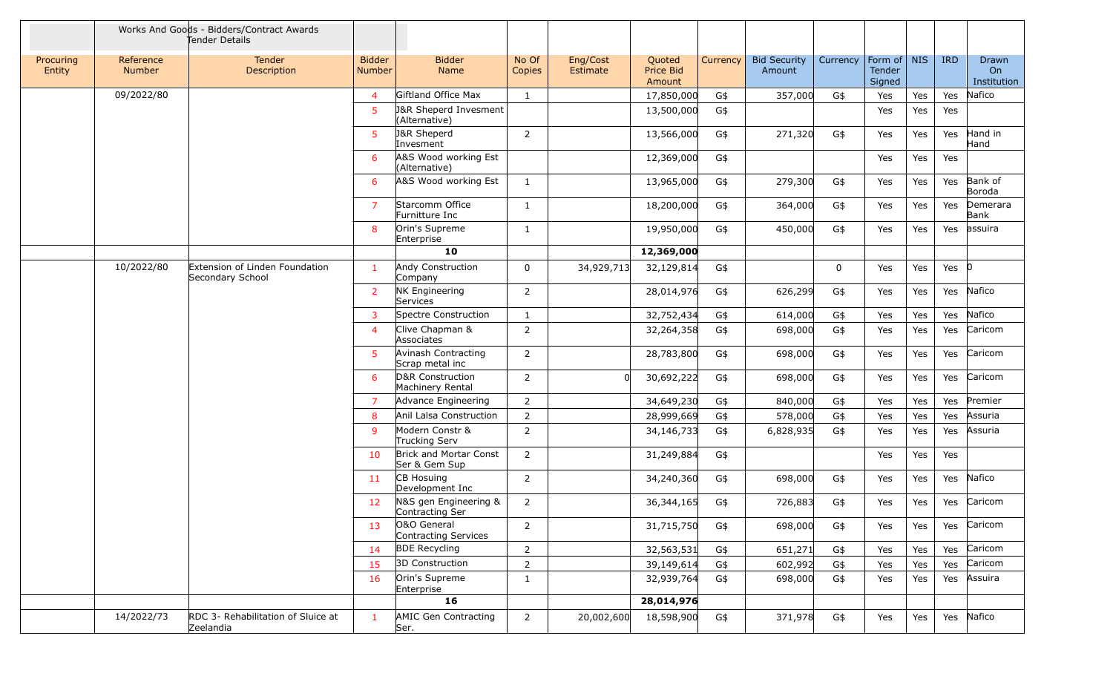|                     |                            | Works And Goods - Bidders/Contract Awards<br>Tender Details |                                |                                                   |                 |                      |                               |          |                               |          |                                   |     |            |                            |
|---------------------|----------------------------|-------------------------------------------------------------|--------------------------------|---------------------------------------------------|-----------------|----------------------|-------------------------------|----------|-------------------------------|----------|-----------------------------------|-----|------------|----------------------------|
| Procuring<br>Entity | Reference<br><b>Number</b> | <b>Tender</b><br>Description                                | <b>Bidder</b><br><b>Number</b> | <b>Bidder</b><br>Name                             | No Of<br>Copies | Eng/Cost<br>Estimate | Quoted<br>Price Bid<br>Amount | Currency | <b>Bid Security</b><br>Amount | Currency | Form of   NIS<br>Tender<br>Signed |     | <b>IRD</b> | Drawn<br>On<br>Institution |
|                     | 09/2022/80                 |                                                             | $\overline{4}$                 | Giftland Office Max                               | -1              |                      | 17,850,000                    | G\$      | 357,000                       | G\$      | Yes                               | Yes | Yes        | Nafico                     |
|                     |                            |                                                             | 5                              | <b>J&amp;R Sheperd Invesment</b><br>(Alternative) |                 |                      | 13,500,000                    | G\$      |                               |          | Yes                               | Yes | Yes        |                            |
|                     |                            |                                                             | 5                              | <b>J&amp;R Sheperd</b><br>Invesment               | $\overline{2}$  |                      | 13,566,000                    | G\$      | 271,320                       | G\$      | Yes                               | Yes | Yes        | Hand in<br>Hand            |
|                     |                            |                                                             | 6                              | A&S Wood working Est<br>(Alternative)             |                 |                      | 12,369,000                    | G\$      |                               |          | Yes                               | Yes | Yes        |                            |
|                     |                            |                                                             | 6                              | A&S Wood working Est                              | -1              |                      | 13,965,000                    | G\$      | 279,300                       | G\$      | Yes                               | Yes | Yes        | Bank of<br>Boroda          |
|                     |                            |                                                             | 7                              | Starcomm Office<br>Furnitture Inc                 | $\mathbf{1}$    |                      | 18,200,000                    | G\$      | 364,000                       | G\$      | Yes                               | Yes | Yes        | Demerara<br>Bank           |
|                     |                            |                                                             | 8                              | Orin's Supreme<br>Enterprise                      | $\mathbf{1}$    |                      | 19,950,000                    | G\$      | 450,000                       | G\$      | Yes                               | Yes | Yes        | assuira                    |
|                     |                            |                                                             |                                | 10                                                |                 |                      | 12,369,000                    |          |                               |          |                                   |     |            |                            |
|                     | 10/2022/80                 | Extension of Linden Foundation<br>Secondary School          | -1                             | Andy Construction<br>Company                      | $\mathbf{0}$    | 34,929,713           | 32,129,814                    | G\$      |                               | $\Omega$ | Yes                               | Yes | Yes $ 0$   |                            |
|                     |                            |                                                             | $\overline{2}$                 | <b>NK Engineering</b><br>Services                 | 2               |                      | 28,014,976                    | G\$      | 626,299                       | G\$      | Yes                               | Yes | Yes        | Nafico                     |
|                     |                            |                                                             | $\overline{3}$                 | Spectre Construction                              | $\mathbf{1}$    |                      | 32,752,434                    | G\$      | 614,000                       | G\$      | Yes                               | Yes | Yes        | Nafico                     |
|                     |                            |                                                             | $\overline{4}$                 | Clive Chapman &<br>Associates                     | $\overline{2}$  |                      | 32,264,358                    | G\$      | 698,000                       | G\$      | Yes                               | Yes | Yes        | Caricom                    |
|                     |                            |                                                             | 5                              | Avinash Contracting<br>Scrap metal inc            | $\overline{2}$  |                      | 28,783,800                    | G\$      | 698,000                       | G\$      | Yes                               | Yes | Yes        | Caricom                    |
|                     |                            |                                                             | -6                             | D&R Construction<br>Machinery Rental              | 2               | $\Omega$             | 30,692,222                    | G\$      | 698,000                       | G\$      | Yes                               | Yes | Yes        | Caricom                    |
|                     |                            |                                                             | $\overline{7}$                 | Advance Engineering                               | 2               |                      | 34,649,230                    | G\$      | 840,000                       | G\$      | Yes                               | Yes | Yes        | Premier                    |
|                     |                            |                                                             | 8                              | Anil Lalsa Construction                           | $\overline{2}$  |                      | 28,999,669                    | G\$      | 578,000                       | G\$      | Yes                               | Yes | Yes        | Assuria                    |
|                     |                            |                                                             | 9                              | Modern Constr &<br>Trucking Serv                  | $\overline{2}$  |                      | 34,146,733                    | G\$      | 6,828,935                     | G\$      | Yes                               | Yes | Yes        | Assuria                    |
|                     |                            |                                                             | 10                             | Brick and Mortar Const<br>Ser & Gem Sup           | $\overline{2}$  |                      | 31,249,884                    | G\$      |                               |          | Yes                               | Yes | Yes        |                            |
|                     |                            |                                                             | 11                             | CB Hosuing<br>Development Inc                     | 2               |                      | 34,240,360                    | G\$      | 698,000                       | G\$      | Yes                               | Yes | Yes        | Nafico                     |
|                     |                            |                                                             | 12                             | N&S gen Engineering &<br>Contracting Ser          | 2               |                      | 36,344,165                    | G\$      | 726,883                       | G\$      | Yes                               | Yes | Yes        | Caricom                    |
|                     |                            |                                                             | 13                             | O&O General<br>Contracting Services               | $\overline{2}$  |                      | 31,715,750                    | G\$      | 698,000                       | G\$      | Yes                               | Yes | Yes        | Caricom                    |
|                     |                            |                                                             | 14                             | <b>BDE Recycling</b>                              | $\overline{2}$  |                      | 32,563,531                    | G\$      | 651,271                       | G\$      | Yes                               | Yes | Yes        | Caricom                    |
|                     |                            |                                                             | 15                             | 3D Construction                                   | $\overline{2}$  |                      | 39,149,614                    | G\$      | 602,992                       | G\$      | Yes                               | Yes | Yes        | Caricom                    |
|                     |                            |                                                             | 16                             | Orin's Supreme<br>Enterprise                      | 1               |                      | 32,939,764                    | G\$      | 698,000                       | G\$      | Yes                               | Yes | Yes        | Assuira                    |
|                     |                            |                                                             |                                | 16                                                |                 |                      | 28,014,976                    |          |                               |          |                                   |     |            |                            |
|                     | 14/2022/73                 | RDC 3- Rehabilitation of Sluice at<br>Zeelandia             | $\mathbf{1}$                   | <b>AMIC Gen Contracting</b><br>Ser.               | $\overline{2}$  | 20,002,600           | 18,598,900                    | G\$      | 371,978                       | G\$      | Yes                               | Yes | Yes        | Nafico                     |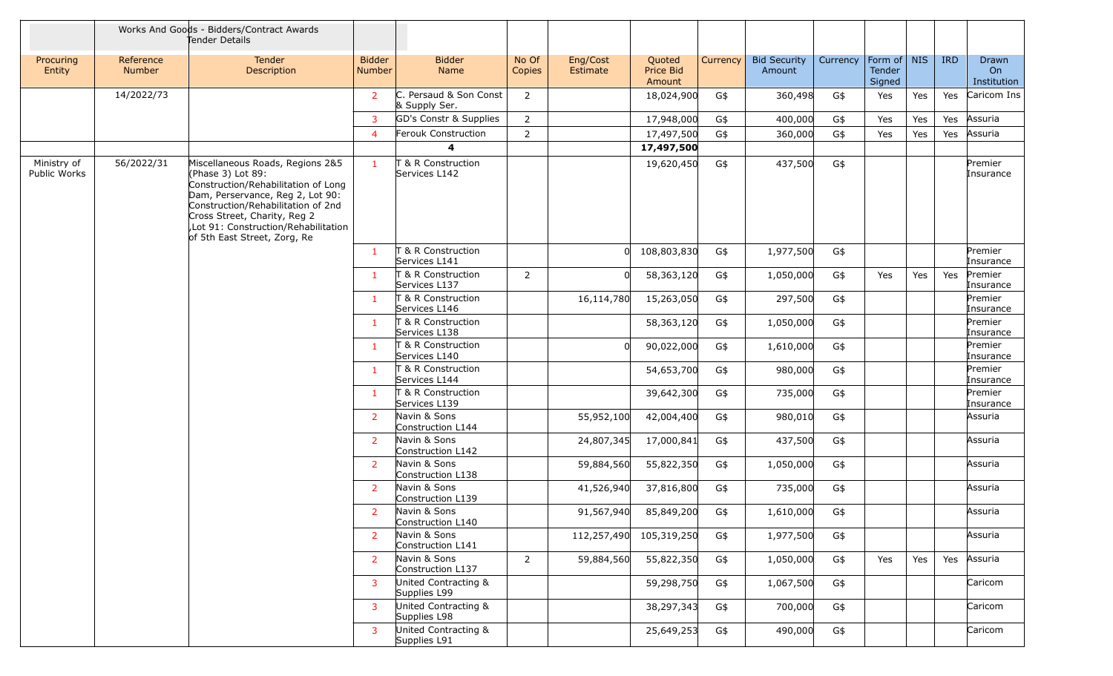|                             |                            | Works And Goods - Bidders/Contract Awards<br>Tender Details                                                                                                                                                                                                                    |                                |                                         |                 |                      |                               |          |                               |          |                                 |     |            |                            |
|-----------------------------|----------------------------|--------------------------------------------------------------------------------------------------------------------------------------------------------------------------------------------------------------------------------------------------------------------------------|--------------------------------|-----------------------------------------|-----------------|----------------------|-------------------------------|----------|-------------------------------|----------|---------------------------------|-----|------------|----------------------------|
| Procuring<br>Entity         | Reference<br><b>Number</b> | Tender<br>Description                                                                                                                                                                                                                                                          | <b>Bidder</b><br><b>Number</b> | <b>Bidder</b><br><b>Name</b>            | No Of<br>Copies | Eng/Cost<br>Estimate | Quoted<br>Price Bid<br>Amount | Currency | <b>Bid Security</b><br>Amount | Currency | Form of NIS<br>Tender<br>Signed |     | <b>IRD</b> | Drawn<br>On<br>Institution |
|                             | 14/2022/73                 |                                                                                                                                                                                                                                                                                | $\overline{2}$                 | C. Persaud & Son Const<br>& Supply Ser. | 2               |                      | 18,024,900                    | G\$      | 360,498                       | G\$      | Yes                             | Yes | Yes        | Caricom Ins                |
|                             |                            |                                                                                                                                                                                                                                                                                | 3                              | GD's Constr & Supplies                  | 2               |                      | 17,948,000                    | G\$      | 400,000                       | G\$      | Yes                             | Yes | Yes        | Assuria                    |
|                             |                            |                                                                                                                                                                                                                                                                                | $\overline{4}$                 | Ferouk Construction                     | $\overline{2}$  |                      | 17,497,500                    | G\$      | 360,000                       | G\$      | Yes                             | Yes | Yes        | Assuria                    |
|                             |                            |                                                                                                                                                                                                                                                                                |                                | 4                                       |                 |                      | 17,497,500                    |          |                               |          |                                 |     |            |                            |
| Ministry of<br>Public Works | 56/2022/31                 | Miscellaneous Roads, Regions 2&5<br>(Phase 3) Lot 89:<br>Construction/Rehabilitation of Long<br>Dam, Perservance, Reg 2, Lot 90:<br>Construction/Rehabilitation of 2nd<br>Cross Street, Charity, Reg 2<br>,Lot 91: Construction/Rehabilitation<br>of 5th East Street, Zorg, Re | $\mathbf{1}$                   | T & R Construction<br>Services L142     |                 |                      | 19,620,450                    | G\$      | 437,500                       | G\$      |                                 |     |            | Premier<br>Insurance       |
|                             |                            |                                                                                                                                                                                                                                                                                | -1                             | T & R Construction<br>Services L141     |                 | $\Omega$             | 108,803,830                   | G\$      | 1,977,500                     | G\$      |                                 |     |            | Premier<br>Insurance       |
|                             |                            |                                                                                                                                                                                                                                                                                | $\mathbf{1}$                   | T & R Construction<br>Services L137     | 2               |                      | 58,363,120                    | G\$      | 1,050,000                     | G\$      | Yes                             | Yes | Yes        | Premier<br>Insurance       |
|                             |                            |                                                                                                                                                                                                                                                                                | 1                              | T & R Construction<br>Services L146     |                 | 16,114,780           | 15,263,050                    | G\$      | 297,500                       | G\$      |                                 |     |            | Premier<br>Insurance       |
|                             |                            |                                                                                                                                                                                                                                                                                | $\mathbf{1}$                   | T & R Construction<br>Services L138     |                 |                      | 58,363,120                    | G\$      | 1,050,000                     | G\$      |                                 |     |            | Premier<br>Insurance       |
|                             |                            |                                                                                                                                                                                                                                                                                | 1                              | T & R Construction<br>Services L140     |                 |                      | 90,022,000                    | G\$      | 1,610,000                     | G\$      |                                 |     |            | Premier<br>Insurance       |
|                             |                            |                                                                                                                                                                                                                                                                                | $\mathbf{1}$                   | T & R Construction<br>Services L144     |                 |                      | 54,653,700                    | G\$      | 980,000                       | G\$      |                                 |     |            | Premier<br>Insurance       |
|                             |                            |                                                                                                                                                                                                                                                                                | $\mathbf{1}$                   | T & R Construction<br>Services L139     |                 |                      | 39,642,300                    | G\$      | 735,000                       | G\$      |                                 |     |            | Premier<br>Insurance       |
|                             |                            |                                                                                                                                                                                                                                                                                | $\overline{2}$                 | Navin & Sons<br>Construction L144       |                 | 55,952,100           | 42,004,400                    | G\$      | 980,010                       | G\$      |                                 |     |            | Assuria                    |
|                             |                            |                                                                                                                                                                                                                                                                                | $\overline{2}$                 | Navin & Sons<br>Construction L142       |                 | 24,807,345           | 17,000,841                    | G\$      | 437,500                       | G\$      |                                 |     |            | Assuria                    |
|                             |                            |                                                                                                                                                                                                                                                                                | $\overline{2}$                 | Navin & Sons<br>Construction L138       |                 | 59,884,560           | 55,822,350                    | G\$      | 1,050,000                     | G\$      |                                 |     |            | Assuria                    |
|                             |                            |                                                                                                                                                                                                                                                                                | 2                              | Navin & Sons<br>Construction L139       |                 | 41,526,940           | 37,816,800                    | G\$      | 735,000                       | G\$      |                                 |     |            | Assuria                    |
|                             |                            |                                                                                                                                                                                                                                                                                | $\mathbf{2}$                   | Navin & Sons<br>Construction L140       |                 | 91,567,940           | 85,849,200                    | G\$      | 1,610,000                     | G\$      |                                 |     |            | Assuria                    |
|                             |                            |                                                                                                                                                                                                                                                                                | $\overline{2}$                 | Navin & Sons<br>Construction L141       |                 |                      | 112,257,490 105,319,250       | G\$      | 1,977,500                     | G\$      |                                 |     |            | Assuria                    |
|                             |                            |                                                                                                                                                                                                                                                                                | $\overline{2}$                 | Navin & Sons<br>Construction L137       | 2               | 59,884,560           | 55,822,350                    | G\$      | 1,050,000                     | G\$      | Yes                             | Yes | Yes        | Assuria                    |
|                             |                            |                                                                                                                                                                                                                                                                                | 3                              | United Contracting &<br>Supplies L99    |                 |                      | 59,298,750                    | G\$      | 1,067,500                     | G\$      |                                 |     |            | Caricom                    |
|                             |                            |                                                                                                                                                                                                                                                                                | 3                              | United Contracting &<br>Supplies L98    |                 |                      | 38,297,343                    | G\$      | 700,000                       | G\$      |                                 |     |            | Caricom                    |
|                             |                            |                                                                                                                                                                                                                                                                                | 3                              | United Contracting &<br>Supplies L91    |                 |                      | 25,649,253                    | G\$      | 490,000                       | G\$      |                                 |     |            | Caricom                    |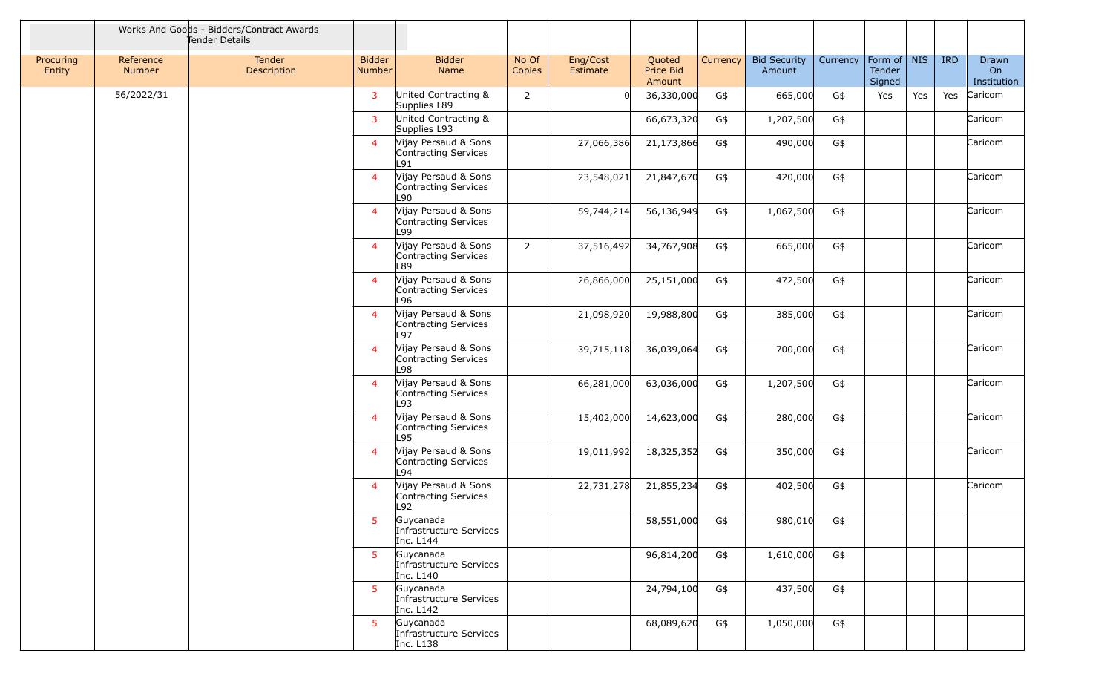|                     |                            | Works And Goods - Bidders/Contract Awards<br>Tender Details |                         |                                                      |                 |                      |                               |          |                               |          |                                   |     |            |                            |
|---------------------|----------------------------|-------------------------------------------------------------|-------------------------|------------------------------------------------------|-----------------|----------------------|-------------------------------|----------|-------------------------------|----------|-----------------------------------|-----|------------|----------------------------|
| Procuring<br>Entity | Reference<br><b>Number</b> | <b>Tender</b><br>Description                                | <b>Bidder</b><br>Number | <b>Bidder</b><br>Name                                | No Of<br>Copies | Eng/Cost<br>Estimate | Quoted<br>Price Bid<br>Amount | Currency | <b>Bid Security</b><br>Amount | Currency | Form of   NIS<br>Tender<br>Signed |     | <b>IRD</b> | Drawn<br>On<br>Institution |
|                     | 56/2022/31                 |                                                             | $\mathbf{3}$            | United Contracting &<br>Supplies L89                 | $\overline{2}$  |                      | 36,330,000                    | G\$      | 665,000                       | G\$      | Yes                               | Yes | Yes        | Caricom                    |
|                     |                            |                                                             | $\mathbf{3}$            | United Contracting &<br>Supplies L93                 |                 |                      | 66,673,320                    | G\$      | 1,207,500                     | G\$      |                                   |     |            | Caricom                    |
|                     |                            |                                                             | $\overline{4}$          | Vijay Persaud & Sons<br>Contracting Services<br>L91  |                 | 27,066,386           | 21,173,866                    | G\$      | 490,000                       | G\$      |                                   |     |            | Caricom                    |
|                     |                            |                                                             | $\overline{4}$          | Vijay Persaud & Sons<br>Contracting Services<br>L90. |                 | 23,548,021           | 21,847,670                    | G\$      | 420,000                       | G\$      |                                   |     |            | Caricom                    |
|                     |                            |                                                             | $\overline{4}$          | Vijay Persaud & Sons<br>Contracting Services<br>L99  |                 | 59,744,214           | 56,136,949                    | G\$      | 1,067,500                     | G\$      |                                   |     |            | Caricom                    |
|                     |                            |                                                             | $\overline{4}$          | Vijay Persaud & Sons<br>Contracting Services<br>L89  | $\overline{2}$  | 37,516,492           | 34,767,908                    | G\$      | 665,000                       | G\$      |                                   |     |            | Caricom                    |
|                     |                            |                                                             | $\overline{4}$          | Vijay Persaud & Sons<br>Contracting Services<br>-96  |                 | 26,866,000           | 25,151,000                    | G\$      | 472,500                       | G\$      |                                   |     |            | Caricom                    |
|                     |                            |                                                             | $\overline{4}$          | Vijay Persaud & Sons<br>Contracting Services<br>L97  |                 | 21,098,920           | 19,988,800                    | G\$      | 385,000                       | G\$      |                                   |     |            | Caricom                    |
|                     |                            |                                                             | $\overline{4}$          | Vijay Persaud & Sons<br>Contracting Services<br>-98  |                 | 39,715,118           | 36,039,064                    | G\$      | 700,000                       | G\$      |                                   |     |            | Caricom                    |
|                     |                            |                                                             | $\overline{4}$          | Vijay Persaud & Sons<br>Contracting Services<br>L93  |                 | 66,281,000           | 63,036,000                    | G\$      | 1,207,500                     | G\$      |                                   |     |            | Caricom                    |
|                     |                            |                                                             | $\overline{4}$          | Vijay Persaud & Sons<br>Contracting Services<br>L95  |                 | 15,402,000           | 14,623,000                    | G\$      | 280,000                       | G\$      |                                   |     |            | Caricom                    |
|                     |                            |                                                             | $\overline{4}$          | Vijay Persaud & Sons<br>Contracting Services<br>L94  |                 | 19,011,992           | 18,325,352                    | G\$      | 350,000                       | G\$      |                                   |     |            | Caricom                    |
|                     |                            |                                                             | $\overline{4}$          | Vijay Persaud & Sons<br>Contracting Services<br>L92  |                 | 22,731,278           | 21,855,234                    | G\$      | 402,500                       | G\$      |                                   |     |            | Caricom                    |
|                     |                            |                                                             | 5.                      | Guycanada<br>Infrastructure Services<br>Inc. L144    |                 |                      | 58,551,000                    | G\$      | 980,010                       | G\$      |                                   |     |            |                            |
|                     |                            |                                                             | 5 <sup>1</sup>          | Guycanada<br>Infrastructure Services<br>Inc. L140    |                 |                      | 96,814,200                    | G\$      | 1,610,000                     | G\$      |                                   |     |            |                            |
|                     |                            |                                                             | 5 <sup>1</sup>          | Guycanada<br>Infrastructure Services<br>Inc. L142    |                 |                      | 24,794,100                    | G\$      | 437,500                       | G\$      |                                   |     |            |                            |
|                     |                            |                                                             | 5                       | Guycanada<br>Infrastructure Services<br>Inc. L138    |                 |                      | 68,089,620                    | G\$      | 1,050,000                     | G\$      |                                   |     |            |                            |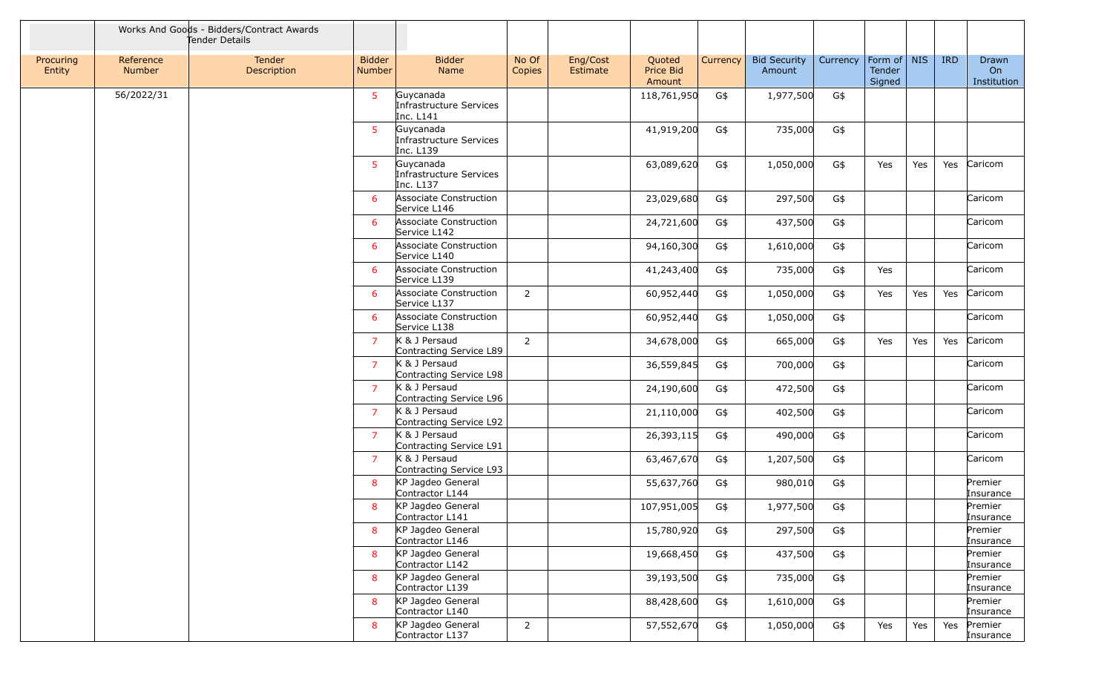|                     |                            | Works And Goods - Bidders/Contract Awards<br>Tender Details |                                |                                                   |                 |                      |                               |          |                               |          |                                   |     |            |                            |
|---------------------|----------------------------|-------------------------------------------------------------|--------------------------------|---------------------------------------------------|-----------------|----------------------|-------------------------------|----------|-------------------------------|----------|-----------------------------------|-----|------------|----------------------------|
| Procuring<br>Entity | Reference<br><b>Number</b> | Tender<br>Description                                       | <b>Bidder</b><br><b>Number</b> | <b>Bidder</b><br>Name                             | No Of<br>Copies | Eng/Cost<br>Estimate | Quoted<br>Price Bid<br>Amount | Currency | <b>Bid Security</b><br>Amount | Currency | Form of   NIS<br>Tender<br>Signed |     | <b>IRD</b> | Drawn<br>On<br>Institution |
|                     | 56/2022/31                 |                                                             | 5 <sup>1</sup>                 | Guycanada<br>Infrastructure Services<br>Inc. L141 |                 |                      | 118,761,950                   | G\$      | 1,977,500                     | G\$      |                                   |     |            |                            |
|                     |                            |                                                             | 5 <sup>1</sup>                 | Guycanada<br>Infrastructure Services<br>Inc. L139 |                 |                      | 41,919,200                    | G\$      | 735,000                       | G\$      |                                   |     |            |                            |
|                     |                            |                                                             | 5 <sup>1</sup>                 | Guycanada<br>Infrastructure Services<br>Inc. L137 |                 |                      | 63,089,620                    | G\$      | 1,050,000                     | G\$      | Yes                               | Yes | Yes        | Caricom                    |
|                     |                            |                                                             | 6                              | Associate Construction<br>Service L146            |                 |                      | 23,029,680                    | G\$      | 297,500                       | G\$      |                                   |     |            | Caricom                    |
|                     |                            |                                                             | 6                              | Associate Construction<br>Service L142            |                 |                      | 24,721,600                    | G\$      | 437,500                       | G\$      |                                   |     |            | Caricom                    |
|                     |                            |                                                             | 6                              | Associate Construction<br>Service L140            |                 |                      | 94,160,300                    | G\$      | 1,610,000                     | G\$      |                                   |     |            | Caricom                    |
|                     |                            |                                                             | 6                              | Associate Construction<br>Service L139            |                 |                      | 41,243,400                    | G\$      | 735,000                       | G\$      | Yes                               |     |            | Caricom                    |
|                     |                            |                                                             | 6                              | Associate Construction<br>Service L137            | $\overline{2}$  |                      | 60,952,440                    | G\$      | 1,050,000                     | G\$      | Yes                               | Yes | Yes        | Caricom                    |
|                     |                            |                                                             | 6                              | Associate Construction<br>Service L138            |                 |                      | 60,952,440                    | G\$      | 1,050,000                     | G\$      |                                   |     |            | Caricom                    |
|                     |                            |                                                             | $\overline{7}$                 | K & J Persaud<br>Contracting Service L89          | $\overline{2}$  |                      | 34,678,000                    | G\$      | 665,000                       | G\$      | Yes                               | Yes | Yes        | Caricom                    |
|                     |                            |                                                             | $\overline{7}$                 | K & J Persaud<br>Contracting Service L98          |                 |                      | 36,559,845                    | G\$      | 700,000                       | G\$      |                                   |     |            | Caricom                    |
|                     |                            |                                                             | $\overline{7}$                 | K & J Persaud<br>Contracting Service L96          |                 |                      | 24,190,600                    | G\$      | 472,500                       | G\$      |                                   |     |            | Caricom                    |
|                     |                            |                                                             | $\overline{7}$                 | K & J Persaud<br>Contracting Service L92          |                 |                      | 21,110,000                    | G\$      | 402,500                       | G\$      |                                   |     |            | Caricom                    |
|                     |                            |                                                             | $\overline{7}$                 | K & J Persaud<br>Contracting Service L91          |                 |                      | 26,393,115                    | G\$      | 490,000                       | G\$      |                                   |     |            | Caricom                    |
|                     |                            |                                                             | $\overline{7}$                 | K & J Persaud<br>Contracting Service L93          |                 |                      | 63,467,670                    | G\$      | 1,207,500                     | G\$      |                                   |     |            | Caricom                    |
|                     |                            |                                                             | 8                              | KP Jagdeo General<br>Contractor L144              |                 |                      | 55,637,760                    | G\$      | 980,010                       | G\$      |                                   |     |            | Premier<br>Insurance       |
|                     |                            |                                                             | 8                              | KP Jagdeo General<br>Contractor L141              |                 |                      | 107,951,005                   | G\$      | 1,977,500                     | G\$      |                                   |     |            | Premier<br>Insurance       |
|                     |                            |                                                             | 8                              | KP Jagdeo General<br>Contractor L146              |                 |                      | 15,780,920                    | G\$      | 297,500                       | G\$      |                                   |     |            | Premier<br>Insurance       |
|                     |                            |                                                             | 8                              | KP Jagdeo General<br>Contractor L142              |                 |                      | 19,668,450                    | G\$      | 437,500                       | G\$      |                                   |     |            | Premier<br>Insurance       |
|                     |                            |                                                             | 8                              | KP Jagdeo General<br>Contractor L139              |                 |                      | 39,193,500                    | G\$      | 735,000                       | G\$      |                                   |     |            | Premier<br>Insurance       |
|                     |                            |                                                             | 8                              | KP Jagdeo General<br>Contractor L140              |                 |                      | 88,428,600                    | G\$      | 1,610,000                     | G\$      |                                   |     |            | Premier<br>Insurance       |
|                     |                            |                                                             | 8                              | KP Jagdeo General<br>Contractor L137              | $\overline{2}$  |                      | 57,552,670                    | G\$      | 1,050,000                     | G\$      | Yes                               | Yes | Yes        | Premier<br>Insurance       |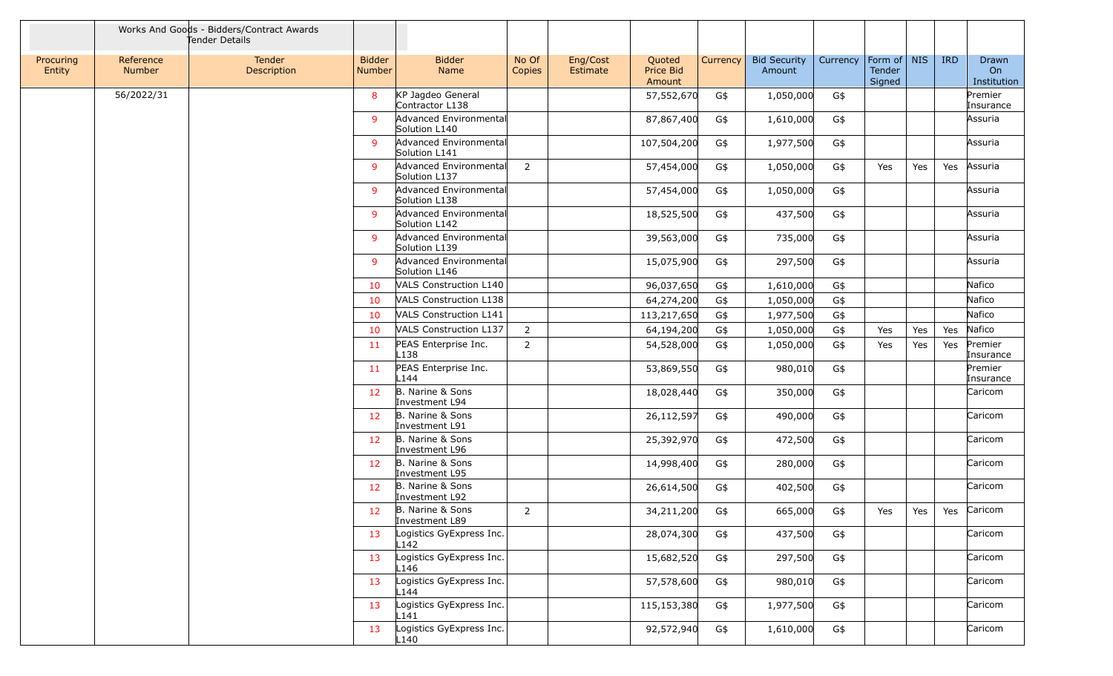|                     |                            | Works And Goods - Bidders/Contract Awards<br>Tender Details |                                |                                              |                 |                      |                               |          |                               |          |                                   |     |            |                                        |
|---------------------|----------------------------|-------------------------------------------------------------|--------------------------------|----------------------------------------------|-----------------|----------------------|-------------------------------|----------|-------------------------------|----------|-----------------------------------|-----|------------|----------------------------------------|
| Procuring<br>Entity | Reference<br><b>Number</b> | <b>Tender</b><br>Description                                | <b>Bidder</b><br><b>Number</b> | <b>Bidder</b><br>Name                        | No Of<br>Copies | Eng/Cost<br>Estimate | Quoted<br>Price Bid<br>Amount | Currency | <b>Bid Security</b><br>Amount | Currency | Form of   NIS<br>Tender<br>Signed |     | <b>IRD</b> | Drawn<br>O <sub>n</sub><br>Institution |
|                     | 56/2022/31                 |                                                             | 8                              | KP Jagdeo General<br>Contractor L138         |                 |                      | 57,552,670                    | G\$      | 1,050,000                     | G\$      |                                   |     |            | Premier<br>Insurance                   |
|                     |                            |                                                             | 9                              | Advanced Environmental<br>Solution L140      |                 |                      | 87,867,400                    | G\$      | 1,610,000                     | G\$      |                                   |     |            | Assuria                                |
|                     |                            |                                                             | 9                              | Advanced Environmental<br>Solution L141      |                 |                      | 107,504,200                   | G\$      | 1,977,500                     | G\$      |                                   |     |            | Assuria                                |
|                     |                            |                                                             | 9                              | Advanced Environmental<br>Solution L137      | 2               |                      | 57,454,000                    | G\$      | 1,050,000                     | G\$      | Yes                               | Yes | Yes        | Assuria                                |
|                     |                            |                                                             | 9                              | Advanced Environmental<br>Solution L138      |                 |                      | 57,454,000                    | G\$      | 1,050,000                     | G\$      |                                   |     |            | Assuria                                |
|                     |                            |                                                             | 9                              | Advanced Environmental<br>Solution L142      |                 |                      | 18,525,500                    | G\$      | 437,500                       | G\$      |                                   |     |            | Assuria                                |
|                     |                            |                                                             | 9                              | Advanced Environmental<br>Solution L139      |                 |                      | 39,563,000                    | G\$      | 735,000                       | G\$      |                                   |     |            | Assuria                                |
|                     |                            |                                                             | $\mathbf{q}$                   | Advanced Environmental<br>Solution L146      |                 |                      | 15,075,900                    | G\$      | 297,500                       | G\$      |                                   |     |            | Assuria                                |
|                     |                            |                                                             | 10                             | VALS Construction L140                       |                 |                      | 96,037,650                    | G\$      | 1,610,000                     | G\$      |                                   |     |            | Nafico                                 |
|                     |                            |                                                             | 10                             | VALS Construction L138                       |                 |                      | 64,274,200                    | G\$      | 1,050,000                     | G\$      |                                   |     |            | Nafico                                 |
|                     |                            |                                                             | 10                             | VALS Construction L141                       |                 |                      | 113,217,650                   | G\$      | 1,977,500                     | G\$      |                                   |     |            | Nafico                                 |
|                     |                            |                                                             | 10                             | VALS Construction L137                       | 2               |                      | 64,194,200                    | G\$      | 1,050,000                     | G\$      | Yes                               | Yes | Yes        | Nafico                                 |
|                     |                            |                                                             | 11                             | PEAS Enterprise Inc.<br>L138                 | 2               |                      | 54,528,000                    | G\$      | 1,050,000                     | G\$      | Yes                               | Yes | Yes        | Premier<br>Insurance                   |
|                     |                            |                                                             | 11                             | PEAS Enterprise Inc.<br>L144                 |                 |                      | 53,869,550                    | G\$      | 980,010                       | G\$      |                                   |     |            | Premier<br>Insurance                   |
|                     |                            |                                                             | 12                             | B. Narine & Sons<br>Investment L94           |                 |                      | 18,028,440                    | G\$      | 350,000                       | G\$      |                                   |     |            | Caricom                                |
|                     |                            |                                                             | 12                             | B. Narine & Sons<br>Investment L91           |                 |                      | 26,112,597                    | G\$      | 490,000                       | G\$      |                                   |     |            | Caricom                                |
|                     |                            |                                                             | 12 <sup>2</sup>                | B. Narine & Sons<br>Investment L96           |                 |                      | 25,392,970                    | G\$      | 472,500                       | G\$      |                                   |     |            | Caricom                                |
|                     |                            |                                                             | 12                             | B. Narine & Sons<br>Investment L95           |                 |                      | 14,998,400                    | G\$      | 280,000                       | G\$      |                                   |     |            | Caricom                                |
|                     |                            |                                                             | 12 <sup>2</sup>                | B. Narine & Sons<br>Investment L92           |                 |                      | 26,614,500                    | G\$      | 402,500                       | G\$      |                                   |     |            | Caricom                                |
|                     |                            |                                                             | 12                             | B. Narine & Sons<br>Investment L89           | 2               |                      | 34,211,200                    | G\$      | 665,000                       | G\$      | Yes                               | Yes |            | Yes Caricom                            |
|                     |                            |                                                             | 13                             | Logistics GyExpress Inc.<br>L142             |                 |                      | 28,074,300                    | G\$      | 437,500                       | G\$      |                                   |     |            | Caricom                                |
|                     |                            |                                                             | 13                             | Logistics GyExpress Inc.<br>L146             |                 |                      | 15,682,520                    | G\$      | 297,500                       | G\$      |                                   |     |            | Caricom                                |
|                     |                            |                                                             | 13                             | Logistics GyExpress Inc.<br>L144             |                 |                      | 57,578,600                    | G\$      | 980,010                       | G\$      |                                   |     |            | Caricom                                |
|                     |                            |                                                             | 13                             | Logistics GyExpress Inc.<br>L <sub>141</sub> |                 |                      | 115,153,380                   | G\$      | 1,977,500                     | G\$      |                                   |     |            | Caricom                                |
|                     |                            |                                                             | 13                             | Logistics GyExpress Inc.<br>L <sub>140</sub> |                 |                      | 92,572,940                    | G\$      | 1,610,000                     | G\$      |                                   |     |            | Caricom                                |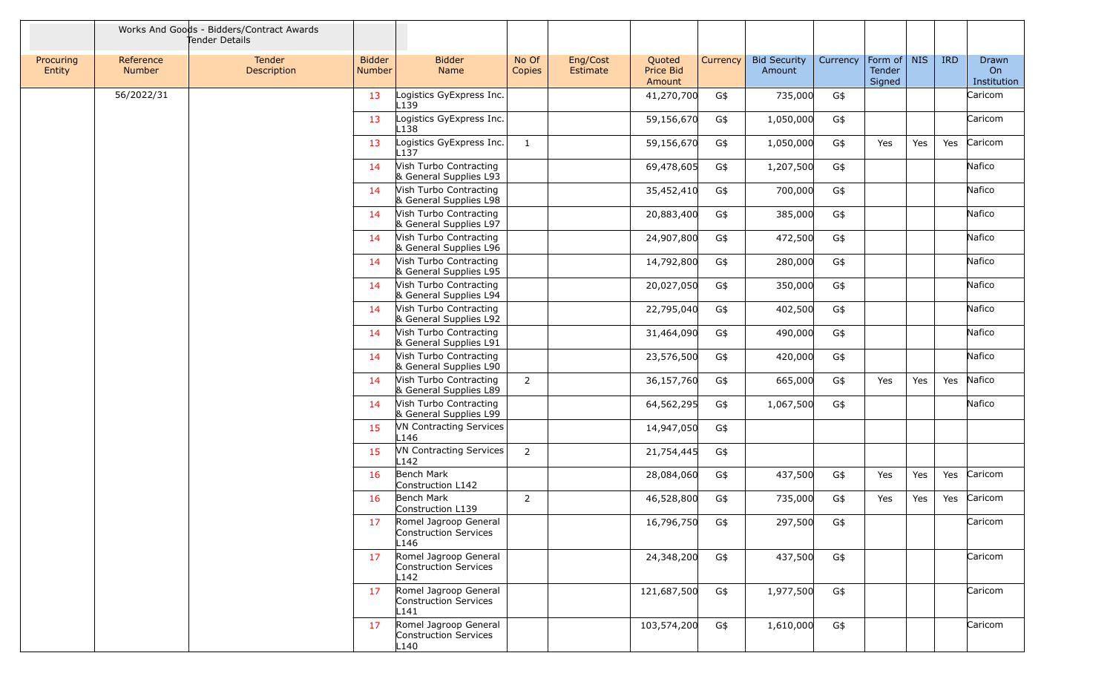|                     |                     | Works And Goods - Bidders/Contract Awards<br>Tender Details |                                |                                                        |                 |                      |                               |          |                               |          |                                 |     |            |                            |
|---------------------|---------------------|-------------------------------------------------------------|--------------------------------|--------------------------------------------------------|-----------------|----------------------|-------------------------------|----------|-------------------------------|----------|---------------------------------|-----|------------|----------------------------|
| Procuring<br>Entity | Reference<br>Number | <b>Tender</b><br>Description                                | <b>Bidder</b><br><b>Number</b> | <b>Bidder</b><br>Name                                  | No Of<br>Copies | Eng/Cost<br>Estimate | Quoted<br>Price Bid<br>Amount | Currency | <b>Bid Security</b><br>Amount | Currency | Form of NIS<br>Tender<br>Signed |     | <b>IRD</b> | Drawn<br>On<br>Institution |
|                     | 56/2022/31          |                                                             | 13                             | Logistics GyExpress Inc.<br>L139                       |                 |                      | 41,270,700                    | G\$      | 735,000                       | G\$      |                                 |     |            | Caricom                    |
|                     |                     |                                                             | 13                             | Logistics GyExpress Inc.<br>L138                       |                 |                      | 59,156,670                    | G\$      | 1,050,000                     | G\$      |                                 |     |            | Caricom                    |
|                     |                     |                                                             | 13                             | Logistics GyExpress Inc.<br>L137                       | 1               |                      | 59,156,670                    | G\$      | 1,050,000                     | G\$      | Yes                             | Yes | Yes        | Caricom                    |
|                     |                     |                                                             | -14                            | Vish Turbo Contracting<br>& General Supplies L93       |                 |                      | 69,478,605                    | G\$      | 1,207,500                     | G\$      |                                 |     |            | Nafico                     |
|                     |                     |                                                             | 14                             | Vish Turbo Contracting<br>& General Supplies L98       |                 |                      | 35,452,410                    | G\$      | 700,000                       | G\$      |                                 |     |            | Nafico                     |
|                     |                     |                                                             | 14                             | Vish Turbo Contracting<br>& General Supplies L97       |                 |                      | 20,883,400                    | G\$      | 385,000                       | G\$      |                                 |     |            | Nafico                     |
|                     |                     |                                                             | 14                             | Vish Turbo Contracting<br>& General Supplies L96       |                 |                      | 24,907,800                    | G\$      | 472,500                       | G\$      |                                 |     |            | Nafico                     |
|                     |                     |                                                             | 14                             | Vish Turbo Contracting<br>& General Supplies L95       |                 |                      | 14,792,800                    | G\$      | 280,000                       | G\$      |                                 |     |            | Nafico                     |
|                     |                     |                                                             | -14                            | Vish Turbo Contracting<br>& General Supplies L94       |                 |                      | 20,027,050                    | G\$      | 350,000                       | G\$      |                                 |     |            | Nafico                     |
|                     |                     |                                                             | 14                             | Vish Turbo Contracting<br>& General Supplies L92       |                 |                      | 22,795,040                    | G\$      | 402,500                       | G\$      |                                 |     |            | Nafico                     |
|                     |                     |                                                             | 14                             | Vish Turbo Contracting<br>& General Supplies L91       |                 |                      | 31,464,090                    | G\$      | 490,000                       | G\$      |                                 |     |            | Nafico                     |
|                     |                     |                                                             | 14                             | Vish Turbo Contracting<br>& General Supplies L90       |                 |                      | 23,576,500                    | G\$      | 420,000                       | G\$      |                                 |     |            | Nafico                     |
|                     |                     |                                                             | 14                             | Vish Turbo Contracting<br>& General Supplies L89       | 2               |                      | 36,157,760                    | G\$      | 665,000                       | G\$      | Yes                             | Yes | Yes        | Nafico                     |
|                     |                     |                                                             | 14                             | Vish Turbo Contracting<br>& General Supplies L99       |                 |                      | 64,562,295                    | G\$      | 1,067,500                     | G\$      |                                 |     |            | Nafico                     |
|                     |                     |                                                             | 15                             | <b>VN Contracting Services</b><br>L146                 |                 |                      | 14,947,050                    | G\$      |                               |          |                                 |     |            |                            |
|                     |                     |                                                             | 15                             | VN Contracting Services<br>L142                        | $\overline{2}$  |                      | 21,754,445                    | G\$      |                               |          |                                 |     |            |                            |
|                     |                     |                                                             | 16                             | Bench Mark<br>Construction L142                        |                 |                      | 28,084,060                    | G\$      | 437,500                       | G\$      | Yes                             | Yes | Yes        | Caricom                    |
|                     |                     |                                                             | 16                             | Bench Mark<br>Construction L139                        | 2               |                      | 46,528,800                    | G\$      | 735,000                       | G\$      | Yes                             | Yes | Yes        | Caricom                    |
|                     |                     |                                                             | 17                             | Romel Jagroop General<br>Construction Services<br>L146 |                 |                      | 16,796,750                    | G\$      | 297,500                       | G\$      |                                 |     |            | Caricom                    |
|                     |                     |                                                             | 17                             | Romel Jagroop General<br>Construction Services<br>L142 |                 |                      | 24,348,200                    | G\$      | 437,500                       | G\$      |                                 |     |            | Caricom                    |
|                     |                     |                                                             | 17                             | Romel Jagroop General<br>Construction Services<br>L141 |                 |                      | 121,687,500                   | G\$      | 1,977,500                     | G\$      |                                 |     |            | Caricom                    |
|                     |                     |                                                             | 17                             | Romel Jagroop General<br>Construction Services<br>L140 |                 |                      | 103,574,200                   | G\$      | 1,610,000                     | G\$      |                                 |     |            | Caricom                    |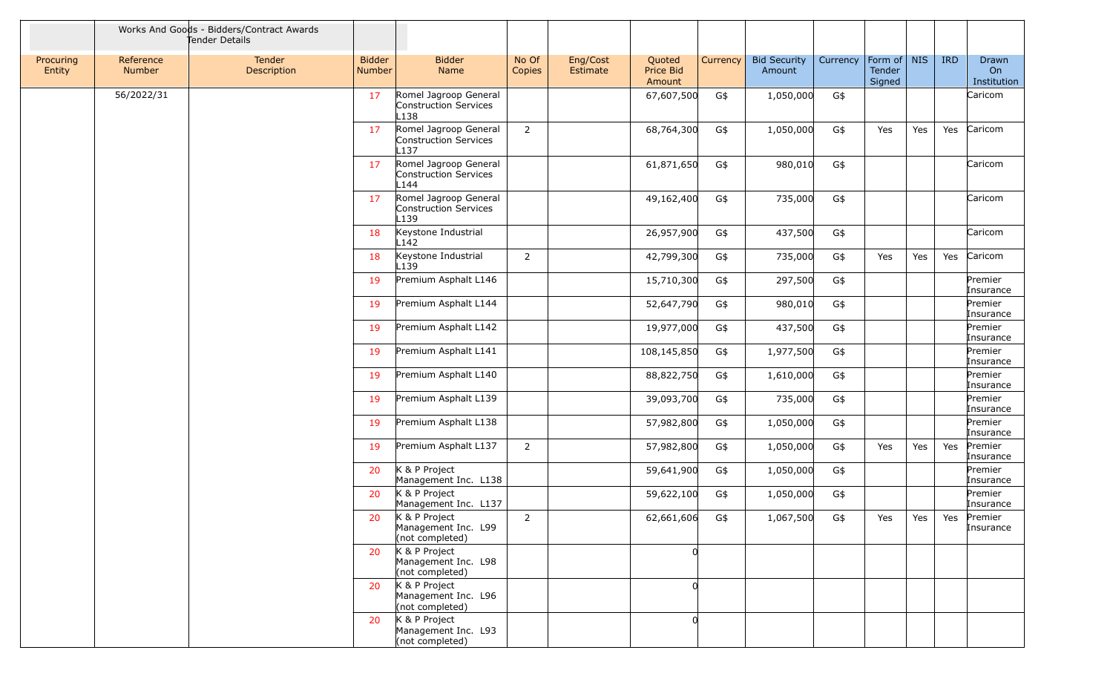|                     |                            | Works And Goods - Bidders/Contract Awards<br>Tender Details |                                |                                                         |                 |                      |                               |          |                               |          |                                   |     |            |                                        |
|---------------------|----------------------------|-------------------------------------------------------------|--------------------------------|---------------------------------------------------------|-----------------|----------------------|-------------------------------|----------|-------------------------------|----------|-----------------------------------|-----|------------|----------------------------------------|
| Procuring<br>Entity | Reference<br><b>Number</b> | Tender<br>Description                                       | <b>Bidder</b><br><b>Number</b> | <b>Bidder</b><br>Name                                   | No Of<br>Copies | Eng/Cost<br>Estimate | Quoted<br>Price Bid<br>Amount | Currency | <b>Bid Security</b><br>Amount | Currency | Form of   NIS<br>Tender<br>Signed |     | <b>IRD</b> | Drawn<br>O <sub>n</sub><br>Institution |
|                     | 56/2022/31                 |                                                             | 17                             | Romel Jagroop General<br>Construction Services<br>L138  |                 |                      | 67,607,500                    | G\$      | 1,050,000                     | G\$      |                                   |     |            | Caricom                                |
|                     |                            |                                                             | 17                             | Romel Jagroop General<br>Construction Services<br>L137  | $\overline{2}$  |                      | 68,764,300                    | G\$      | 1,050,000                     | G\$      | Yes                               | Yes | Yes        | Caricom                                |
|                     |                            |                                                             | 17                             | Romel Jagroop General<br>Construction Services<br>L144  |                 |                      | 61,871,650                    | G\$      | 980,010                       | G\$      |                                   |     |            | Caricom                                |
|                     |                            |                                                             | 17                             | Romel Jagroop General<br>Construction Services<br>L139  |                 |                      | 49,162,400                    | G\$      | 735,000                       | G\$      |                                   |     |            | Caricom                                |
|                     |                            |                                                             | 18                             | Keystone Industrial<br>L142                             |                 |                      | 26,957,900                    | G\$      | 437,500                       | G\$      |                                   |     |            | Caricom                                |
|                     |                            |                                                             | 18                             | Keystone Industrial<br>L139                             | $\overline{2}$  |                      | 42,799,300                    | G\$      | 735,000                       | G\$      | Yes                               | Yes | Yes        | Caricom                                |
|                     |                            |                                                             | 19                             | Premium Asphalt L146                                    |                 |                      | 15,710,300                    | G\$      | 297,500                       | G\$      |                                   |     |            | Premier<br>Insurance                   |
|                     |                            |                                                             | 19                             | Premium Asphalt L144                                    |                 |                      | 52,647,790                    | G\$      | 980,010                       | G\$      |                                   |     |            | Premier<br>Insurance                   |
|                     |                            |                                                             | 19                             | Premium Asphalt L142                                    |                 |                      | 19,977,000                    | G\$      | 437,500                       | G\$      |                                   |     |            | Premier<br>Insurance                   |
|                     |                            |                                                             | 19                             | Premium Asphalt L141                                    |                 |                      | 108,145,850                   | G\$      | 1,977,500                     | G\$      |                                   |     |            | Premier<br>Insurance                   |
|                     |                            |                                                             | 19                             | Premium Asphalt L140                                    |                 |                      | 88,822,750                    | G\$      | 1,610,000                     | G\$      |                                   |     |            | Premier<br>Insurance                   |
|                     |                            |                                                             | 19                             | Premium Asphalt L139                                    |                 |                      | 39,093,700                    | G\$      | 735,000                       | G\$      |                                   |     |            | Premier<br>Insurance                   |
|                     |                            |                                                             | 19                             | Premium Asphalt L138                                    |                 |                      | 57,982,800                    | G\$      | 1,050,000                     | G\$      |                                   |     |            | Premier<br>Insurance                   |
|                     |                            |                                                             | 19                             | Premium Asphalt L137                                    | $\overline{2}$  |                      | 57,982,800                    | G\$      | 1,050,000                     | G\$      | Yes                               | Yes | Yes        | Premier<br>Insurance                   |
|                     |                            |                                                             | 20                             | K & P Project<br>Management Inc. L138                   |                 |                      | 59,641,900                    | G\$      | 1,050,000                     | G\$      |                                   |     |            | Premier<br>Insurance                   |
|                     |                            |                                                             | 20                             | K & P Project<br>Management Inc. L137                   |                 |                      | 59,622,100                    | G\$      | 1,050,000                     | G\$      |                                   |     |            | Premier<br>Insurance                   |
|                     |                            |                                                             | 20                             | K & P Project<br>Management Inc. L99<br>(not completed) | 2               |                      | 62,661,606                    | G\$      | 1,067,500                     | G\$      | Yes                               |     |            | Yes   Yes   Premier<br>Insurance       |
|                     |                            |                                                             | 20                             | K & P Project<br>Management Inc. L98<br>(not completed) |                 |                      |                               |          |                               |          |                                   |     |            |                                        |
|                     |                            |                                                             | 20                             | K & P Project<br>Management Inc. L96<br>(not completed) |                 |                      |                               |          |                               |          |                                   |     |            |                                        |
|                     |                            |                                                             | 20                             | K & P Project<br>Management Inc. L93<br>(not completed) |                 |                      |                               |          |                               |          |                                   |     |            |                                        |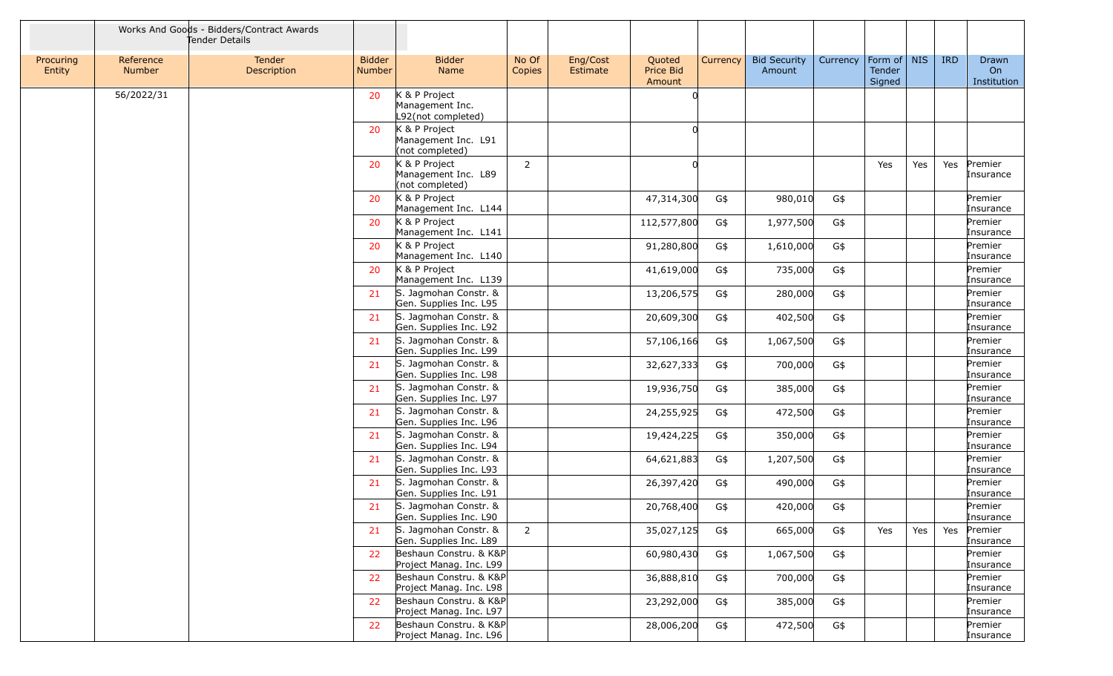|                     |                            | Works And Goods - Bidders/Contract Awards<br>Tender Details |                                |                                                         |                 |                      |                               |          |                               |          |                                   |     |            |                                   |
|---------------------|----------------------------|-------------------------------------------------------------|--------------------------------|---------------------------------------------------------|-----------------|----------------------|-------------------------------|----------|-------------------------------|----------|-----------------------------------|-----|------------|-----------------------------------|
| Procuring<br>Entity | Reference<br><b>Number</b> | <b>Tender</b><br>Description                                | <b>Bidder</b><br><b>Number</b> | <b>Bidder</b><br>Name                                   | No Of<br>Copies | Eng/Cost<br>Estimate | Quoted<br>Price Bid<br>Amount | Currency | <b>Bid Security</b><br>Amount | Currency | Form of   NIS<br>Tender<br>Signed |     | <b>IRD</b> | Drawn<br><b>On</b><br>Institution |
|                     | 56/2022/31                 |                                                             | 20                             | K & P Project<br>Management Inc.<br>L92(not completed)  |                 |                      |                               |          |                               |          |                                   |     |            |                                   |
|                     |                            |                                                             | 20                             | K & P Project<br>Management Inc. L91<br>(not completed) |                 |                      |                               |          |                               |          |                                   |     |            |                                   |
|                     |                            |                                                             | 20                             | K & P Project<br>Management Inc. L89<br>(not completed) | $\overline{2}$  |                      |                               |          |                               |          | Yes                               | Yes | Yes        | Premier<br>Insurance              |
|                     |                            |                                                             | 20                             | K & P Project<br>Management Inc. L144                   |                 |                      | 47,314,300                    | G\$      | 980,010                       | G\$      |                                   |     |            | Premier<br>Insurance              |
|                     |                            |                                                             | 20                             | K & P Project<br>Management Inc. L141                   |                 |                      | 112,577,800                   | G\$      | 1,977,500                     | G\$      |                                   |     |            | Premier<br>Insurance              |
|                     |                            |                                                             | 20                             | K & P Project<br>Management Inc. L140                   |                 |                      | 91,280,800                    | G\$      | 1,610,000                     | G\$      |                                   |     |            | Premier<br>Insurance              |
|                     |                            |                                                             | 20                             | K & P Project<br>Management Inc. L139                   |                 |                      | 41,619,000                    | G\$      | 735,000                       | G\$      |                                   |     |            | Premier<br>Insurance              |
|                     |                            |                                                             | 21                             | S. Jagmohan Constr. &<br>Gen. Supplies Inc. L95         |                 |                      | 13,206,575                    | G\$      | 280,000                       | G\$      |                                   |     |            | Premier<br>Insurance              |
|                     |                            |                                                             | 21                             | S. Jagmohan Constr. &<br>Gen. Supplies Inc. L92         |                 |                      | 20,609,300                    | G\$      | 402,500                       | G\$      |                                   |     |            | Premier<br>Insurance              |
|                     |                            |                                                             | 21                             | S. Jagmohan Constr. &<br>Gen. Supplies Inc. L99         |                 |                      | 57,106,166                    | G\$      | 1,067,500                     | G\$      |                                   |     |            | Premier<br>Insurance              |
|                     |                            |                                                             | 21                             | S. Jagmohan Constr. &<br>Gen. Supplies Inc. L98         |                 |                      | 32,627,333                    | G\$      | 700,000                       | G\$      |                                   |     |            | Premier<br>Insurance              |
|                     |                            |                                                             | 21                             | S. Jagmohan Constr. &<br>Gen. Supplies Inc. L97         |                 |                      | 19,936,750                    | G\$      | 385,000                       | G\$      |                                   |     |            | Premier<br>Insurance              |
|                     |                            |                                                             | 21                             | S. Jagmohan Constr. &<br>Gen. Supplies Inc. L96         |                 |                      | 24,255,925                    | G\$      | 472,500                       | G\$      |                                   |     |            | Premier<br>Insurance              |
|                     |                            |                                                             | 21                             | S. Jagmohan Constr. &<br>Gen. Supplies Inc. L94         |                 |                      | 19,424,225                    | G\$      | 350,000                       | G\$      |                                   |     |            | Premier<br>Insurance              |
|                     |                            |                                                             | 21                             | S. Jagmohan Constr. &<br>Gen. Supplies Inc. L93         |                 |                      | 64,621,883                    | G\$      | 1,207,500                     | G\$      |                                   |     |            | Premier<br>Insurance              |
|                     |                            |                                                             | 21                             | S. Jagmohan Constr. &<br>Gen. Supplies Inc. L91         |                 |                      | 26,397,420                    | G\$      | 490,000                       | G\$      |                                   |     |            | Premier<br>Insurance              |
|                     |                            |                                                             | 21                             | S. Jagmohan Constr. &<br>Gen. Supplies Inc. L90         |                 |                      | 20,768,400                    | G\$      | 420,000                       | G\$      |                                   |     |            | Premier<br>Insurance              |
|                     |                            |                                                             | 21                             | S. Jagmohan Constr. &<br>Gen. Supplies Inc. L89         | 2               |                      | 35,027,125                    | G\$      | 665,000                       | G\$      | Yes                               | Yes | Yes        | Premier<br>Insurance              |
|                     |                            |                                                             | 22                             | Beshaun Constru. & K&P<br>Project Manag. Inc. L99       |                 |                      | 60,980,430                    | G\$      | 1,067,500                     | G\$      |                                   |     |            | Premier<br>Insurance              |
|                     |                            |                                                             | 22                             | Beshaun Constru. & K&P<br>Project Manag. Inc. L98       |                 |                      | 36,888,810                    | G\$      | 700,000                       | G\$      |                                   |     |            | Premier<br>Insurance              |
|                     |                            |                                                             | 22                             | Beshaun Constru. & K&P<br>Project Manag. Inc. L97       |                 |                      | 23,292,000                    | G\$      | 385,000                       | G\$      |                                   |     |            | Premier<br>Insurance              |
|                     |                            |                                                             | 22                             | Beshaun Constru. & K&P<br>Project Manag. Inc. L96       |                 |                      | 28,006,200                    | G\$      | 472,500                       | G\$      |                                   |     |            | Premier<br>Insurance              |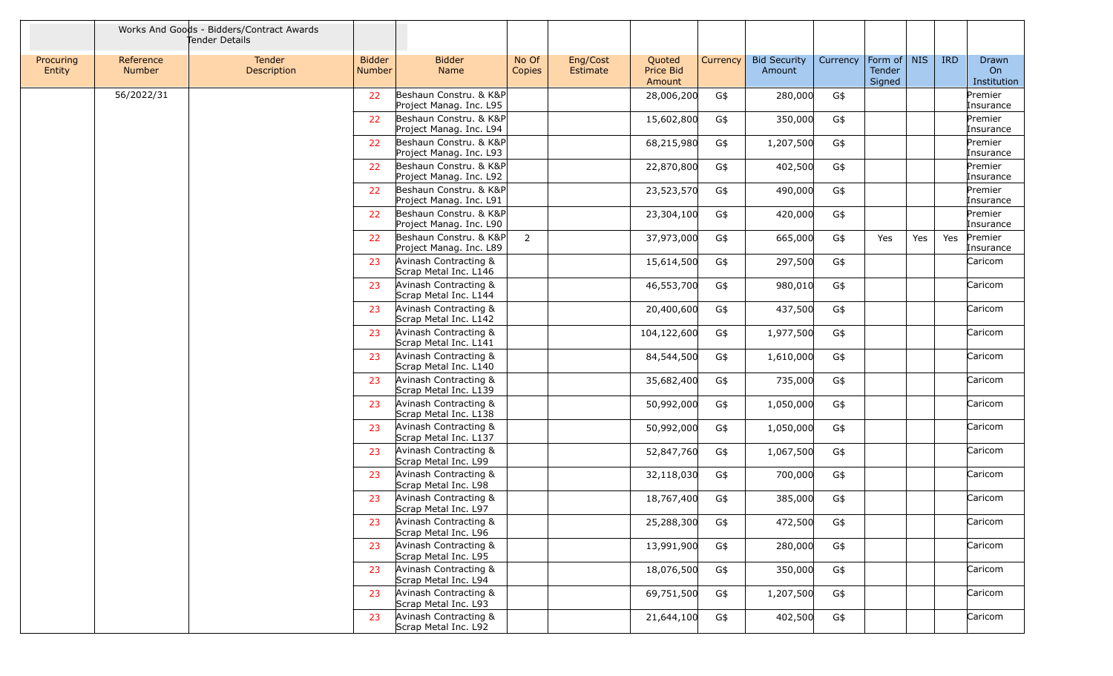|                     |                            | Works And Goods - Bidders/Contract Awards<br>Tender Details |                                |                                                   |                 |                      |                               |          |                               |          |                                 |     |            |                            |
|---------------------|----------------------------|-------------------------------------------------------------|--------------------------------|---------------------------------------------------|-----------------|----------------------|-------------------------------|----------|-------------------------------|----------|---------------------------------|-----|------------|----------------------------|
| Procuring<br>Entity | Reference<br><b>Number</b> | Tender<br>Description                                       | <b>Bidder</b><br><b>Number</b> | <b>Bidder</b><br>Name                             | No Of<br>Copies | Eng/Cost<br>Estimate | Quoted<br>Price Bid<br>Amount | Currency | <b>Bid Security</b><br>Amount | Currency | Form of NIS<br>Tender<br>Signed |     | <b>IRD</b> | Drawn<br>On<br>Institution |
|                     | 56/2022/31                 |                                                             | 22                             | Beshaun Constru. & K&P<br>Project Manag. Inc. L95 |                 |                      | 28,006,200                    | G\$      | 280,000                       | G\$      |                                 |     |            | Premier<br>Insurance       |
|                     |                            |                                                             | 22                             | Beshaun Constru. & K&P<br>Project Manag. Inc. L94 |                 |                      | 15,602,800                    | G\$      | 350,000                       | G\$      |                                 |     |            | Premier<br>Insurance       |
|                     |                            |                                                             | 22                             | Beshaun Constru. & K&P<br>Project Manag. Inc. L93 |                 |                      | 68,215,980                    | G\$      | 1,207,500                     | G\$      |                                 |     |            | Premier<br>Insurance       |
|                     |                            |                                                             | 22                             | Beshaun Constru. & K&P<br>Project Manag. Inc. L92 |                 |                      | 22,870,800                    | G\$      | 402,500                       | G\$      |                                 |     |            | Premier<br>Insurance       |
|                     |                            |                                                             | 22                             | Beshaun Constru. & K&P<br>Project Manag. Inc. L91 |                 |                      | 23,523,570                    | G\$      | 490,000                       | G\$      |                                 |     |            | Premier<br>Insurance       |
|                     |                            |                                                             | 22                             | Beshaun Constru. & K&P<br>Project Manag. Inc. L90 |                 |                      | 23,304,100                    | G\$      | 420,000                       | G\$      |                                 |     |            | Premier<br>Insurance       |
|                     |                            |                                                             | 22                             | Beshaun Constru. & K&P<br>Project Manag. Inc. L89 | $\overline{2}$  |                      | 37,973,000                    | G\$      | 665,000                       | G\$      | Yes                             | Yes | Yes        | Premier<br>Insurance       |
|                     |                            |                                                             | 23                             | Avinash Contracting &<br>Scrap Metal Inc. L146    |                 |                      | 15,614,500                    | G\$      | 297,500                       | G\$      |                                 |     |            | Caricom                    |
|                     |                            |                                                             | 23                             | Avinash Contracting &<br>Scrap Metal Inc. L144    |                 |                      | 46,553,700                    | G\$      | 980,010                       | G\$      |                                 |     |            | Caricom                    |
|                     |                            |                                                             | 23                             | Avinash Contracting &<br>Scrap Metal Inc. L142    |                 |                      | 20,400,600                    | G\$      | 437,500                       | G\$      |                                 |     |            | Caricom                    |
|                     |                            |                                                             | 23                             | Avinash Contracting &<br>Scrap Metal Inc. L141    |                 |                      | 104,122,600                   | G\$      | 1,977,500                     | G\$      |                                 |     |            | Caricom                    |
|                     |                            |                                                             | 23                             | Avinash Contracting &<br>Scrap Metal Inc. L140    |                 |                      | 84,544,500                    | G\$      | 1,610,000                     | G\$      |                                 |     |            | Caricom                    |
|                     |                            |                                                             | -23                            | Avinash Contracting &<br>Scrap Metal Inc. L139    |                 |                      | 35,682,400                    | G\$      | 735,000                       | G\$      |                                 |     |            | Caricom                    |
|                     |                            |                                                             | 23                             | Avinash Contracting &<br>Scrap Metal Inc. L138    |                 |                      | 50,992,000                    | G\$      | 1,050,000                     | G\$      |                                 |     |            | Caricom                    |
|                     |                            |                                                             | 23                             | Avinash Contracting &<br>Scrap Metal Inc. L137    |                 |                      | 50,992,000                    | G\$      | 1,050,000                     | G\$      |                                 |     |            | Caricom                    |
|                     |                            |                                                             | 23                             | Avinash Contracting &<br>Scrap Metal Inc. L99     |                 |                      | 52,847,760                    | G\$      | 1,067,500                     | G\$      |                                 |     |            | Caricom                    |
|                     |                            |                                                             | 23                             | Avinash Contracting &<br>Scrap Metal Inc. L98     |                 |                      | 32,118,030                    | G\$      | 700,000                       | G\$      |                                 |     |            | Caricom                    |
|                     |                            |                                                             | 23                             | Avinash Contracting &<br>Scrap Metal Inc. L97     |                 |                      | 18,767,400                    | G\$      | 385,000                       | G\$      |                                 |     |            | Caricom                    |
|                     |                            |                                                             | 23                             | Avinash Contracting &<br>Scrap Metal Inc. L96     |                 |                      | 25,288,300                    | G\$      | 472,500                       | G\$      |                                 |     |            | Caricom                    |
|                     |                            |                                                             | 23                             | Avinash Contracting &<br>Scrap Metal Inc. L95     |                 |                      | 13,991,900                    | G\$      | 280,000                       | G\$      |                                 |     |            | Caricom                    |
|                     |                            |                                                             | 23                             | Avinash Contracting &<br>Scrap Metal Inc. L94     |                 |                      | 18,076,500                    | G\$      | 350,000                       | G\$      |                                 |     |            | Caricom                    |
|                     |                            |                                                             | 23                             | Avinash Contracting &<br>Scrap Metal Inc. L93     |                 |                      | 69,751,500                    | G\$      | 1,207,500                     | G\$      |                                 |     |            | Caricom                    |
|                     |                            |                                                             | 23                             | Avinash Contracting &<br>Scrap Metal Inc. L92     |                 |                      | 21,644,100                    | G\$      | 402,500                       | G\$      |                                 |     |            | Caricom                    |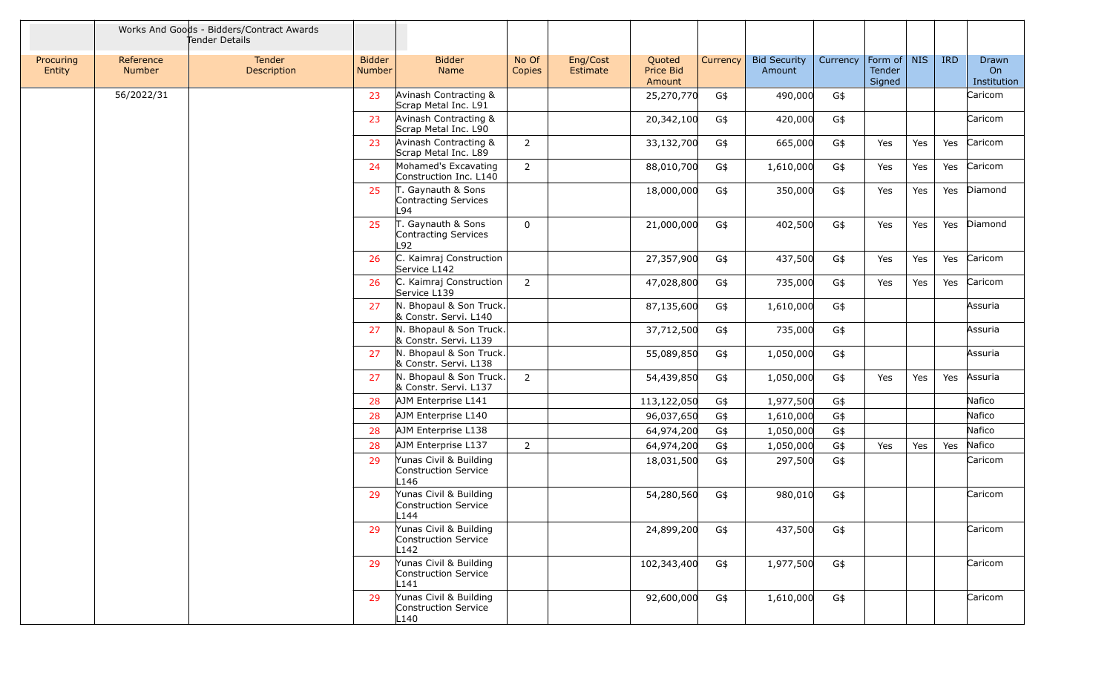|                     |                            | Works And Goods - Bidders/Contract Awards<br>Tender Details |                                |                                                                    |                 |                      |                               |          |                               |          |                                   |     |            |                            |
|---------------------|----------------------------|-------------------------------------------------------------|--------------------------------|--------------------------------------------------------------------|-----------------|----------------------|-------------------------------|----------|-------------------------------|----------|-----------------------------------|-----|------------|----------------------------|
| Procuring<br>Entity | Reference<br><b>Number</b> | <b>Tender</b><br>Description                                | <b>Bidder</b><br><b>Number</b> | <b>Bidder</b><br><b>Name</b>                                       | No Of<br>Copies | Eng/Cost<br>Estimate | Quoted<br>Price Bid<br>Amount | Currency | <b>Bid Security</b><br>Amount | Currency | Form of   NIS<br>Tender<br>Signed |     | <b>IRD</b> | Drawn<br>On<br>Institution |
|                     | 56/2022/31                 |                                                             | 23                             | Avinash Contracting &<br>Scrap Metal Inc. L91                      |                 |                      | 25,270,770                    | G\$      | 490,000                       | G\$      |                                   |     |            | Caricom                    |
|                     |                            |                                                             | 23                             | Avinash Contracting &<br>Scrap Metal Inc. L90                      |                 |                      | 20,342,100                    | G\$      | 420,000                       | G\$      |                                   |     |            | Caricom                    |
|                     |                            |                                                             | 23                             | Avinash Contracting &<br>Scrap Metal Inc. L89                      | 2               |                      | 33,132,700                    | G\$      | 665,000                       | G\$      | Yes                               | Yes | Yes        | Caricom                    |
|                     |                            |                                                             | 24                             | Mohamed's Excavating<br>Construction Inc. L140                     | $\overline{2}$  |                      | 88,010,700                    | G\$      | 1,610,000                     | G\$      | Yes                               | Yes | Yes        | Caricom                    |
|                     |                            |                                                             | 25                             | T. Gaynauth & Sons<br>Contracting Services<br>L94                  |                 |                      | 18,000,000                    | G\$      | 350,000                       | G\$      | Yes                               | Yes |            | Yes Diamond                |
|                     |                            |                                                             | 25                             | T. Gaynauth & Sons<br>Contracting Services<br>L92                  | $\Omega$        |                      | 21,000,000                    | G\$      | 402,500                       | G\$      | Yes                               | Yes |            | Yes Diamond                |
|                     |                            |                                                             | 26                             | C. Kaimraj Construction<br>Service L142                            |                 |                      | 27,357,900                    | G\$      | 437,500                       | G\$      | Yes                               | Yes | Yes        | Caricom                    |
|                     |                            |                                                             | 26                             | C. Kaimraj Construction<br>Service L139                            | $\overline{2}$  |                      | 47,028,800                    | G\$      | 735,000                       | G\$      | Yes                               | Yes | Yes        | Caricom                    |
|                     |                            |                                                             | 27                             | N. Bhopaul & Son Truck.<br>& Constr. Servi. L140                   |                 |                      | 87,135,600                    | G\$      | 1,610,000                     | G\$      |                                   |     |            | Assuria                    |
|                     |                            |                                                             | 27                             | N. Bhopaul & Son Truck.<br>& Constr. Servi. L139                   |                 |                      | 37,712,500                    | G\$      | 735,000                       | G\$      |                                   |     |            | Assuria                    |
|                     |                            |                                                             | 27                             | N. Bhopaul & Son Truck.<br>& Constr. Servi. L138                   |                 |                      | 55,089,850                    | G\$      | 1,050,000                     | G\$      |                                   |     |            | Assuria                    |
|                     |                            |                                                             | 27                             | N. Bhopaul & Son Truck.<br>& Constr. Servi. L137                   | 2               |                      | 54,439,850                    | G\$      | 1,050,000                     | G\$      | Yes                               | Yes | Yes        | Assuria                    |
|                     |                            |                                                             | 28                             | AJM Enterprise L141                                                |                 |                      | 113,122,050                   | G\$      | 1,977,500                     | G\$      |                                   |     |            | Nafico                     |
|                     |                            |                                                             | 28                             | AJM Enterprise L140                                                |                 |                      | 96,037,650                    | G\$      | 1,610,000                     | G\$      |                                   |     |            | Nafico                     |
|                     |                            |                                                             | 28                             | AJM Enterprise L138                                                |                 |                      | 64,974,200                    | G\$      | 1,050,000                     | G\$      |                                   |     |            | Nafico                     |
|                     |                            |                                                             | 28                             | AJM Enterprise L137                                                | $\overline{2}$  |                      | 64,974,200                    | G\$      | 1,050,000                     | G\$      | Yes                               | Yes | Yes        | Nafico                     |
|                     |                            |                                                             | 29                             | Yunas Civil & Building<br>Construction Service<br>L146             |                 |                      | 18,031,500                    | G\$      | 297,500                       | G\$      |                                   |     |            | Caricom                    |
|                     |                            |                                                             | 29                             | Yunas Civil & Building<br>Construction Service<br>L <sub>144</sub> |                 |                      | 54,280,560                    | G\$      | 980,010                       | G\$      |                                   |     |            | Caricom                    |
|                     |                            |                                                             | 29                             | Yunas Civil & Building<br>Construction Service<br>L142             |                 |                      | 24,899,200                    | G\$      | 437,500                       | G\$      |                                   |     |            | Caricom                    |
|                     |                            |                                                             | 29                             | Yunas Civil & Building<br>Construction Service<br>L141             |                 |                      | 102,343,400                   | G\$      | 1,977,500                     | G\$      |                                   |     |            | Caricom                    |
|                     |                            |                                                             | 29                             | Yunas Civil & Building<br>Construction Service<br>L140             |                 |                      | 92,600,000                    | G\$      | 1,610,000                     | G\$      |                                   |     |            | Caricom                    |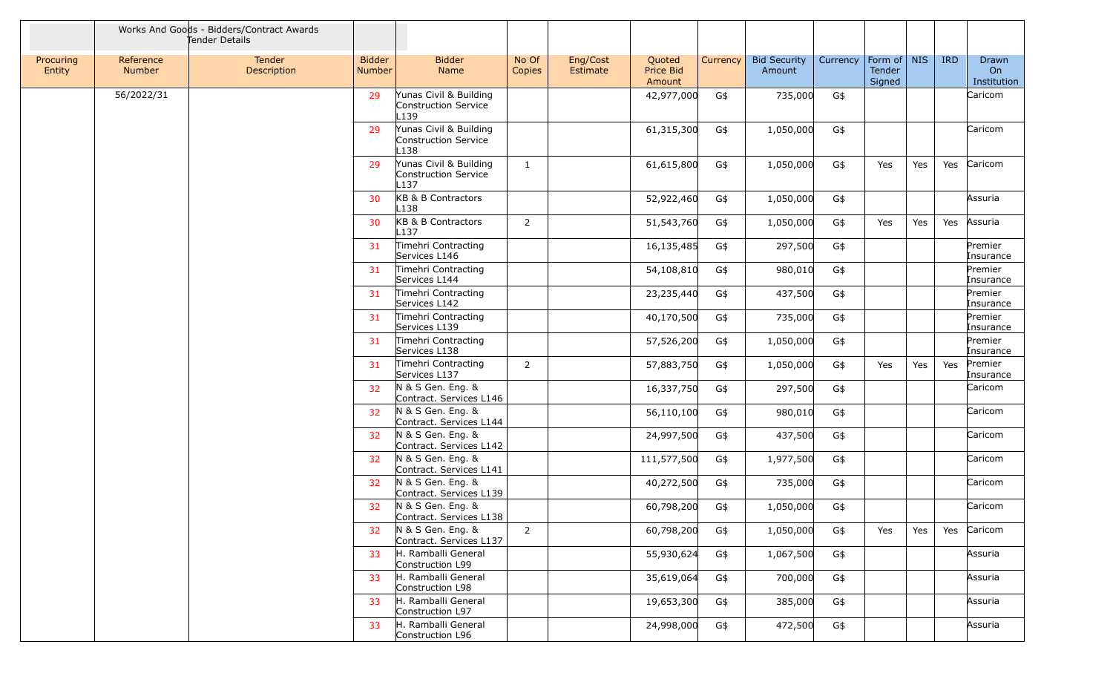|                     |                            | Works And Goods - Bidders/Contract Awards<br>Tender Details |                                |                                                                    |                 |                      |                               |          |                               |          |                                   |     |            |                                   |
|---------------------|----------------------------|-------------------------------------------------------------|--------------------------------|--------------------------------------------------------------------|-----------------|----------------------|-------------------------------|----------|-------------------------------|----------|-----------------------------------|-----|------------|-----------------------------------|
| Procuring<br>Entity | Reference<br><b>Number</b> | Tender<br>Description                                       | <b>Bidder</b><br><b>Number</b> | <b>Bidder</b><br>Name                                              | No Of<br>Copies | Eng/Cost<br>Estimate | Quoted<br>Price Bid<br>Amount | Currency | <b>Bid Security</b><br>Amount | Currency | Form of   NIS<br>Tender<br>Signed |     | <b>IRD</b> | Drawn<br><b>On</b><br>Institution |
|                     | 56/2022/31                 |                                                             | 29                             | Yunas Civil & Building<br>Construction Service<br>L139             |                 |                      | 42,977,000                    | G\$      | 735,000                       | G\$      |                                   |     |            | Caricom                           |
|                     |                            |                                                             | 29                             | Yunas Civil & Building<br>Construction Service<br>L138             |                 |                      | 61,315,300                    | G\$      | 1,050,000                     | G\$      |                                   |     |            | Caricom                           |
|                     |                            |                                                             | 29                             | Yunas Civil & Building<br>Construction Service<br>L <sub>137</sub> | 1               |                      | 61,615,800                    | G\$      | 1,050,000                     | G\$      | Yes                               | Yes | Yes        | Caricom                           |
|                     |                            |                                                             | 30                             | KB & B Contractors<br>L138                                         |                 |                      | 52,922,460                    | G\$      | 1,050,000                     | G\$      |                                   |     |            | Assuria                           |
|                     |                            |                                                             | 30                             | KB & B Contractors<br>L137                                         | 2               |                      | 51,543,760                    | G\$      | 1,050,000                     | G\$      | Yes                               | Yes | Yes        | Assuria                           |
|                     |                            |                                                             | 31                             | Timehri Contracting<br>Services L146                               |                 |                      | 16,135,485                    | G\$      | 297,500                       | G\$      |                                   |     |            | Premier<br>Insurance              |
|                     |                            |                                                             | 31                             | Timehri Contracting<br>Services L144                               |                 |                      | 54,108,810                    | G\$      | 980,010                       | G\$      |                                   |     |            | Premier<br>Insurance              |
|                     |                            |                                                             | 31                             | Timehri Contracting<br>Services L142                               |                 |                      | 23,235,440                    | G\$      | 437,500                       | G\$      |                                   |     |            | Premier<br>Insurance              |
|                     |                            |                                                             | 31                             | Timehri Contracting<br>Services L139                               |                 |                      | 40,170,500                    | G\$      | 735,000                       | G\$      |                                   |     |            | Premier<br>Insurance              |
|                     |                            |                                                             | 31                             | Timehri Contracting<br>Services L138                               |                 |                      | 57,526,200                    | G\$      | 1,050,000                     | G\$      |                                   |     |            | Premier<br>Insurance              |
|                     |                            |                                                             | 31                             | Timehri Contracting<br>Services L137                               | 2               |                      | 57,883,750                    | G\$      | 1,050,000                     | G\$      | Yes                               | Yes | Yes        | Premier<br>Insurance              |
|                     |                            |                                                             | 32                             | N & S Gen. Eng. &<br>Contract. Services L146                       |                 |                      | 16,337,750                    | G\$      | 297,500                       | G\$      |                                   |     |            | Caricom                           |
|                     |                            |                                                             | 32                             | N & S Gen. Eng. &<br>Contract. Services L144                       |                 |                      | 56,110,100                    | G\$      | 980,010                       | G\$      |                                   |     |            | Caricom                           |
|                     |                            |                                                             | 32                             | N & S Gen. Eng. &<br>Contract. Services L142                       |                 |                      | 24,997,500                    | G\$      | 437,500                       | G\$      |                                   |     |            | Caricom                           |
|                     |                            |                                                             | 32                             | N & S Gen. Eng. &<br>Contract. Services L141                       |                 |                      | 111,577,500                   | G\$      | 1,977,500                     | G\$      |                                   |     |            | Caricom                           |
|                     |                            |                                                             | 32                             | N & S Gen. Eng. &<br>Contract. Services L139                       |                 |                      | 40,272,500                    | G\$      | 735,000                       | G\$      |                                   |     |            | Caricom                           |
|                     |                            |                                                             | 32                             | N & S Gen. Eng. &<br>Contract. Services L138                       |                 |                      | 60,798,200                    | G\$      | 1,050,000                     | G\$      |                                   |     |            | Caricom                           |
|                     |                            |                                                             | 32                             | N & S Gen. Eng. &<br>Contract. Services L137                       | 2               |                      | 60,798,200                    | G\$      | 1,050,000                     | G\$      | Yes                               | Yes | Yes        | Caricom                           |
|                     |                            |                                                             | 33                             | H. Ramballi General<br>Construction L99                            |                 |                      | 55,930,624                    | G\$      | 1,067,500                     | G\$      |                                   |     |            | Assuria                           |
|                     |                            |                                                             | 33                             | H. Ramballi General<br>Construction L98                            |                 |                      | 35,619,064                    | G\$      | 700,000                       | G\$      |                                   |     |            | Assuria                           |
|                     |                            |                                                             | 33                             | H. Ramballi General<br>Construction L97                            |                 |                      | 19,653,300                    | G\$      | 385,000                       | G\$      |                                   |     |            | Assuria                           |
|                     |                            |                                                             | 33                             | H. Ramballi General<br>Construction L96                            |                 |                      | 24,998,000                    | G\$      | 472,500                       | G\$      |                                   |     |            | Assuria                           |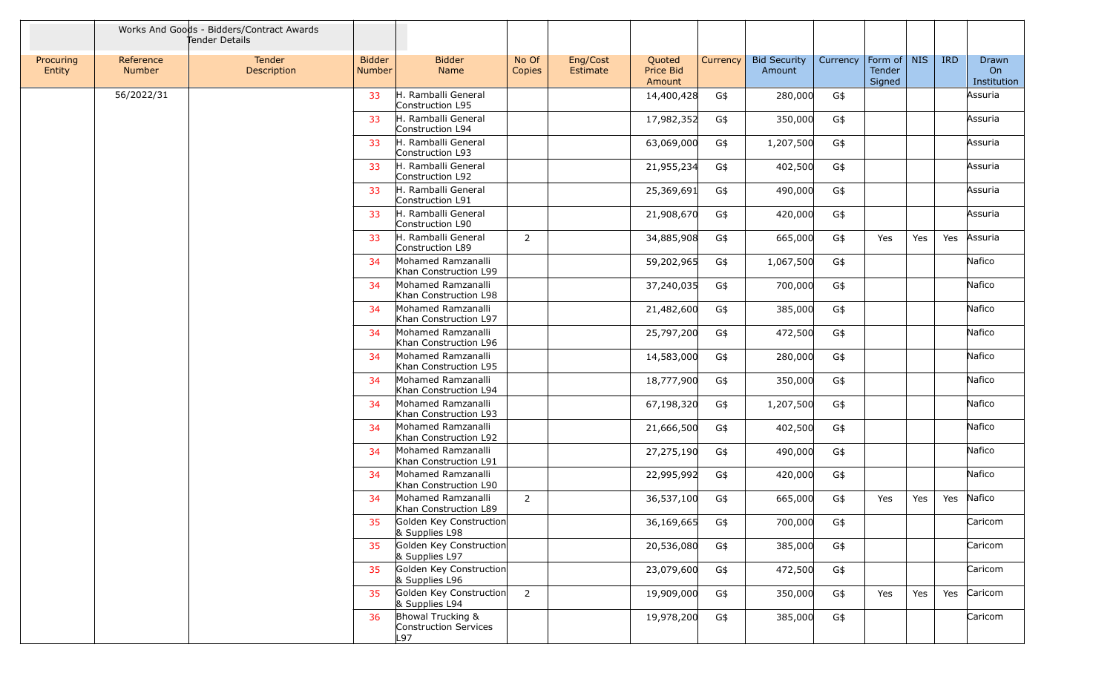|                     |                            | Works And Goods - Bidders/Contract Awards<br>Tender Details |                                |                                                   |                 |                      |                               |          |                               |          |                                   |     |            |                            |
|---------------------|----------------------------|-------------------------------------------------------------|--------------------------------|---------------------------------------------------|-----------------|----------------------|-------------------------------|----------|-------------------------------|----------|-----------------------------------|-----|------------|----------------------------|
| Procuring<br>Entity | Reference<br><b>Number</b> | Tender<br>Description                                       | <b>Bidder</b><br><b>Number</b> | <b>Bidder</b><br>Name                             | No Of<br>Copies | Eng/Cost<br>Estimate | Quoted<br>Price Bid<br>Amount | Currency | <b>Bid Security</b><br>Amount | Currency | Form of   NIS<br>Tender<br>Signed |     | <b>IRD</b> | Drawn<br>On<br>Institution |
|                     | 56/2022/31                 |                                                             | 33                             | H. Ramballi General<br>Construction L95           |                 |                      | 14,400,428                    | G\$      | 280,000                       | G\$      |                                   |     |            | Assuria                    |
|                     |                            |                                                             | 33                             | H. Ramballi General<br>Construction L94           |                 |                      | 17,982,352                    | G\$      | 350,000                       | G\$      |                                   |     |            | Assuria                    |
|                     |                            |                                                             | 33                             | H. Ramballi General<br>Construction L93           |                 |                      | 63,069,000                    | G\$      | 1,207,500                     | G\$      |                                   |     |            | Assuria                    |
|                     |                            |                                                             | 33                             | H. Ramballi General<br>Construction L92           |                 |                      | 21,955,234                    | G\$      | 402,500                       | G\$      |                                   |     |            | Assuria                    |
|                     |                            |                                                             | 33                             | H. Ramballi General<br>Construction L91           |                 |                      | 25,369,691                    | G\$      | 490,000                       | G\$      |                                   |     |            | Assuria                    |
|                     |                            |                                                             | 33                             | H. Ramballi General<br>Construction L90           |                 |                      | 21,908,670                    | G\$      | 420,000                       | G\$      |                                   |     |            | Assuria                    |
|                     |                            |                                                             | 33                             | H. Ramballi General<br>Construction L89           | $\overline{2}$  |                      | 34,885,908                    | G\$      | 665,000                       | G\$      | Yes                               | Yes | Yes        | Assuria                    |
|                     |                            |                                                             | 34                             | Mohamed Ramzanalli<br>Khan Construction L99       |                 |                      | 59,202,965                    | G\$      | 1,067,500                     | G\$      |                                   |     |            | Nafico                     |
|                     |                            |                                                             | 34                             | Mohamed Ramzanalli<br>Khan Construction L98       |                 |                      | 37,240,035                    | G\$      | 700,000                       | G\$      |                                   |     |            | Nafico                     |
|                     |                            |                                                             | 34                             | Mohamed Ramzanalli<br>Khan Construction L97       |                 |                      | 21,482,600                    | G\$      | 385,000                       | G\$      |                                   |     |            | Nafico                     |
|                     |                            |                                                             | 34                             | Mohamed Ramzanalli<br>Khan Construction L96       |                 |                      | 25,797,200                    | G\$      | 472,500                       | G\$      |                                   |     |            | Nafico                     |
|                     |                            |                                                             | 34                             | Mohamed Ramzanalli<br>Khan Construction L95       |                 |                      | 14,583,000                    | G\$      | 280,000                       | G\$      |                                   |     |            | Nafico                     |
|                     |                            |                                                             | 34                             | Mohamed Ramzanalli<br>Khan Construction L94       |                 |                      | 18,777,900                    | G\$      | 350,000                       | G\$      |                                   |     |            | Nafico                     |
|                     |                            |                                                             | 34                             | Mohamed Ramzanalli<br>Khan Construction L93       |                 |                      | 67,198,320                    | G\$      | 1,207,500                     | G\$      |                                   |     |            | Nafico                     |
|                     |                            |                                                             | 34                             | Mohamed Ramzanalli<br>Khan Construction L92       |                 |                      | 21,666,500                    | G\$      | 402,500                       | G\$      |                                   |     |            | Nafico                     |
|                     |                            |                                                             | 34                             | Mohamed Ramzanalli<br>Khan Construction L91       |                 |                      | 27,275,190                    | G\$      | 490,000                       | G\$      |                                   |     |            | Nafico                     |
|                     |                            |                                                             | 34                             | Mohamed Ramzanalli<br>Khan Construction L90       |                 |                      | 22,995,992                    | G\$      | 420,000                       | G\$      |                                   |     |            | Nafico                     |
|                     |                            |                                                             | 34                             | Mohamed Ramzanalli<br>Khan Construction L89       | 2               |                      | 36,537,100                    | G\$      | 665,000                       | G\$      | Yes                               | Yes | Yes        | Nafico                     |
|                     |                            |                                                             | 35                             | Golden Key Construction<br>& Supplies L98         |                 |                      | 36,169,665                    | G\$      | 700,000                       | G\$      |                                   |     |            | Caricom                    |
|                     |                            |                                                             | 35                             | Golden Key Construction<br>& Supplies L97         |                 |                      | 20,536,080                    | G\$      | 385,000                       | G\$      |                                   |     |            | Caricom                    |
|                     |                            |                                                             | 35                             | Golden Key Construction<br>& Supplies L96         |                 |                      | 23,079,600                    | G\$      | 472,500                       | G\$      |                                   |     |            | Caricom                    |
|                     |                            |                                                             | 35                             | Golden Key Construction<br>& Supplies L94         | $\overline{2}$  |                      | 19,909,000                    | G\$      | 350,000                       | G\$      | Yes                               | Yes |            | Yes Caricom                |
|                     |                            |                                                             | 36                             | Bhowal Trucking &<br>Construction Services<br>L97 |                 |                      | 19,978,200                    | G\$      | 385,000                       | G\$      |                                   |     |            | Caricom                    |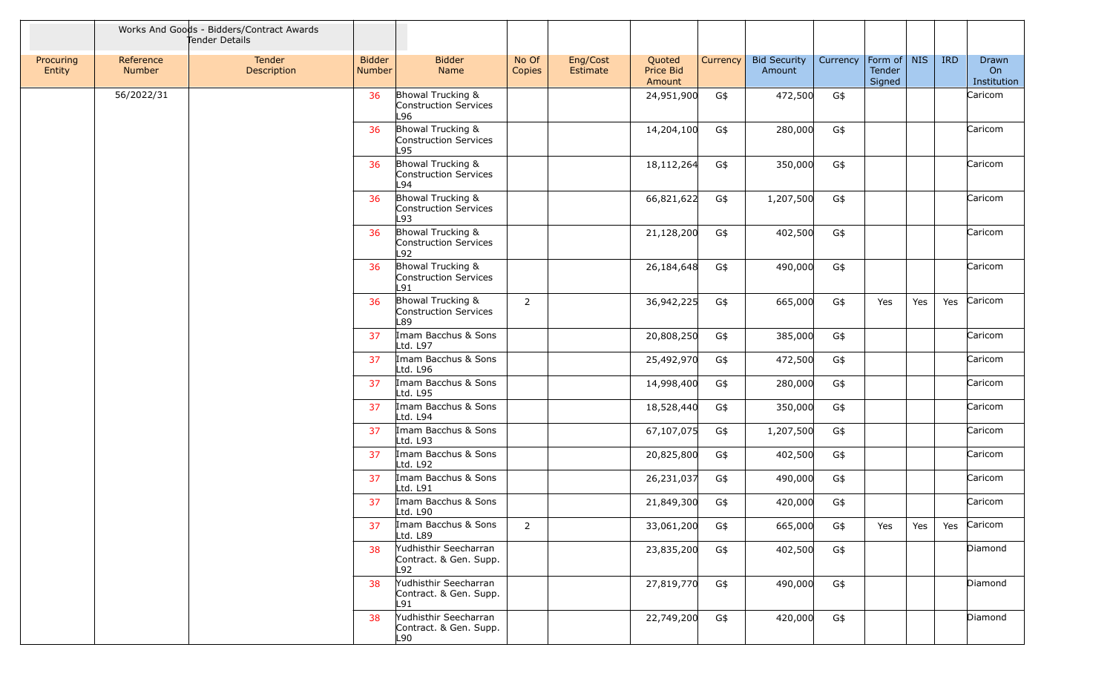|                     |                     | Works And Goods - Bidders/Contract Awards<br>Tender Details |                                |                                                        |                 |                      |                               |          |                               |          |                                 |     |            |                            |
|---------------------|---------------------|-------------------------------------------------------------|--------------------------------|--------------------------------------------------------|-----------------|----------------------|-------------------------------|----------|-------------------------------|----------|---------------------------------|-----|------------|----------------------------|
| Procuring<br>Entity | Reference<br>Number | Tender<br>Description                                       | <b>Bidder</b><br><b>Number</b> | <b>Bidder</b><br>Name                                  | No Of<br>Copies | Eng/Cost<br>Estimate | Quoted<br>Price Bid<br>Amount | Currency | <b>Bid Security</b><br>Amount | Currency | Form of NIS<br>Tender<br>Signed |     | <b>IRD</b> | Drawn<br>On<br>Institution |
|                     | 56/2022/31          |                                                             | 36                             | Bhowal Trucking &<br>Construction Services<br>L96      |                 |                      | 24,951,900                    | G\$      | 472,500                       | G\$      |                                 |     |            | Caricom                    |
|                     |                     |                                                             | 36                             | Bhowal Trucking &<br>Construction Services<br>L95      |                 |                      | 14,204,100                    | G\$      | 280,000                       | G\$      |                                 |     |            | Caricom                    |
|                     |                     |                                                             | 36                             | Bhowal Trucking &<br>Construction Services<br>L94      |                 |                      | 18,112,264                    | G\$      | 350,000                       | G\$      |                                 |     |            | Caricom                    |
|                     |                     |                                                             | 36                             | Bhowal Trucking &<br>Construction Services<br>L93      |                 |                      | 66,821,622                    | G\$      | 1,207,500                     | G\$      |                                 |     |            | Caricom                    |
|                     |                     |                                                             | 36                             | Bhowal Trucking &<br>Construction Services<br>L92      |                 |                      | 21,128,200                    | G\$      | 402,500                       | G\$      |                                 |     |            | Caricom                    |
|                     |                     |                                                             | 36                             | Bhowal Trucking &<br>Construction Services<br>L91      |                 |                      | 26,184,648                    | G\$      | 490,000                       | G\$      |                                 |     |            | Caricom                    |
|                     |                     |                                                             | 36                             | Bhowal Trucking &<br>Construction Services<br>L89      | 2               |                      | 36,942,225                    | G\$      | 665,000                       | G\$      | Yes                             | Yes | Yes        | Caricom                    |
|                     |                     |                                                             | 37                             | Imam Bacchus & Sons<br>Ltd. L97                        |                 |                      | 20,808,250                    | G\$      | 385,000                       | G\$      |                                 |     |            | Caricom                    |
|                     |                     |                                                             | 37                             | Imam Bacchus & Sons<br>Ltd. L96                        |                 |                      | 25,492,970                    | G\$      | 472,500                       | G\$      |                                 |     |            | Caricom                    |
|                     |                     |                                                             | 37                             | Imam Bacchus & Sons<br>Ltd. L95                        |                 |                      | 14,998,400                    | G\$      | 280,000                       | G\$      |                                 |     |            | Caricom                    |
|                     |                     |                                                             | 37                             | Imam Bacchus & Sons<br>Ltd. L94                        |                 |                      | 18,528,440                    | G\$      | 350,000                       | G\$      |                                 |     |            | Caricom                    |
|                     |                     |                                                             | 37                             | Imam Bacchus & Sons<br>Ltd. L93                        |                 |                      | 67,107,075                    | G\$      | 1,207,500                     | G\$      |                                 |     |            | Caricom                    |
|                     |                     |                                                             | 37                             | Imam Bacchus & Sons<br>Ltd. L92                        |                 |                      | 20,825,800                    | G\$      | 402,500                       | G\$      |                                 |     |            | Caricom                    |
|                     |                     |                                                             | 37                             | Imam Bacchus & Sons<br>Ltd. L91                        |                 |                      | 26,231,037                    | G\$      | 490,000                       | G\$      |                                 |     |            | Caricom                    |
|                     |                     |                                                             | 37                             | Imam Bacchus & Sons<br>Ltd. L90                        |                 |                      | 21,849,300                    | G\$      | 420,000                       | G\$      |                                 |     |            | Caricom                    |
|                     |                     |                                                             | 37                             | Imam Bacchus & Sons<br>Ltd. L89                        | $\overline{2}$  |                      | 33,061,200                    | G\$      | 665,000                       | G\$      | Yes                             | Yes | Yes        | Caricom                    |
|                     |                     |                                                             | 38                             | Yudhisthir Seecharran<br>Contract. & Gen. Supp.<br>L92 |                 |                      | 23,835,200                    | G\$      | 402,500                       | G\$      |                                 |     |            | Diamond                    |
|                     |                     |                                                             | 38                             | Yudhisthir Seecharran<br>Contract. & Gen. Supp.<br>L91 |                 |                      | 27,819,770                    | G\$      | 490,000                       | G\$      |                                 |     |            | Diamond                    |
|                     |                     |                                                             | 38                             | Yudhisthir Seecharran<br>Contract. & Gen. Supp.<br>L90 |                 |                      | 22,749,200                    | G\$      | 420,000                       | G\$      |                                 |     |            | Diamond                    |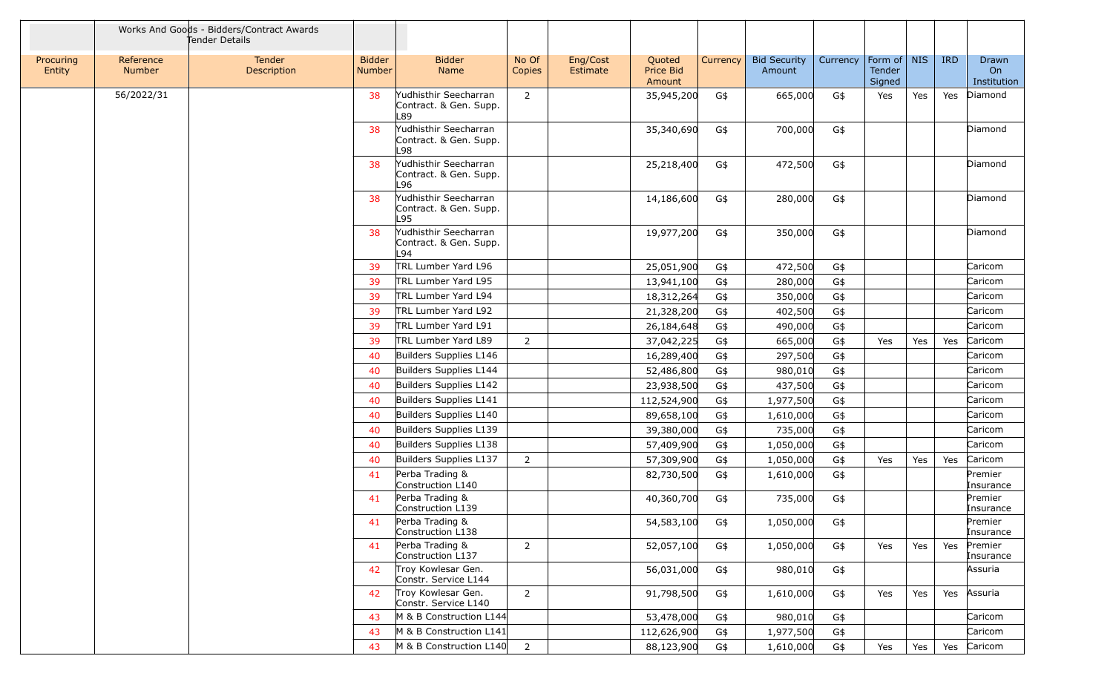|                     |                            | Works And Goods - Bidders/Contract Awards<br>Tender Details |                                |                                                         |                 |                      |                               |            |                               |            |                                   |     |            |                                 |
|---------------------|----------------------------|-------------------------------------------------------------|--------------------------------|---------------------------------------------------------|-----------------|----------------------|-------------------------------|------------|-------------------------------|------------|-----------------------------------|-----|------------|---------------------------------|
| Procuring<br>Entity | Reference<br><b>Number</b> | <b>Tender</b><br>Description                                | <b>Bidder</b><br><b>Number</b> | <b>Bidder</b><br>Name                                   | No Of<br>Copies | Eng/Cost<br>Estimate | Quoted<br>Price Bid<br>Amount | Currency   | <b>Bid Security</b><br>Amount | Currency   | Form of   NIS<br>Tender<br>Signed |     | <b>IRD</b> | Drawn<br>On<br>Institution      |
|                     | 56/2022/31                 |                                                             | 38                             | Yudhisthir Seecharran<br>Contract. & Gen. Supp.<br>L89  | $\overline{2}$  |                      | 35,945,200                    | G\$        | 665,000                       | G\$        | Yes                               | Yes | Yes        | Diamond                         |
|                     |                            |                                                             | 38                             | Yudhisthir Seecharran<br>Contract. & Gen. Supp.<br>L98  |                 |                      | 35,340,690                    | G\$        | 700,000                       | G\$        |                                   |     |            | Diamond                         |
|                     |                            |                                                             | 38                             | Yudhisthir Seecharran<br>Contract. & Gen. Supp.<br>L96  |                 |                      | 25,218,400                    | G\$        | 472,500                       | G\$        |                                   |     |            | Diamond                         |
|                     |                            |                                                             | 38                             | Yudhisthir Seecharran<br>Contract. & Gen. Supp.<br>L95  |                 |                      | 14,186,600                    | G\$        | 280,000                       | G\$        |                                   |     |            | Diamond                         |
|                     |                            |                                                             | 38                             | Yudhisthir Seecharran<br>Contract. & Gen. Supp.<br>L94  |                 |                      | 19,977,200                    | G\$        | 350,000                       | G\$        |                                   |     |            | Diamond                         |
|                     |                            |                                                             | 39                             | TRL Lumber Yard L96                                     |                 |                      | 25,051,900                    | G\$        | 472,500                       | G\$        |                                   |     |            | Caricom                         |
|                     |                            |                                                             | 39                             | TRL Lumber Yard L95                                     |                 |                      | 13,941,100                    | G\$        | 280,000                       | G\$        |                                   |     |            | Caricom                         |
|                     |                            |                                                             | 39                             | TRL Lumber Yard L94                                     |                 |                      | 18,312,264                    | G\$        | 350,000                       | G\$        |                                   |     |            | Caricom                         |
|                     |                            |                                                             | 39                             | TRL Lumber Yard L92                                     |                 |                      | 21,328,200                    | G\$        | 402,500                       | G\$        |                                   |     |            | Caricom                         |
|                     |                            |                                                             | 39                             | TRL Lumber Yard L91                                     |                 |                      | 26,184,648                    | G\$        | 490,000                       | G\$        |                                   |     |            | Caricom                         |
|                     |                            |                                                             | 39                             | TRL Lumber Yard L89                                     | 2               |                      | 37,042,225                    | G\$        | 665,000                       | G\$        | Yes                               | Yes | Yes        | Caricom                         |
|                     |                            |                                                             | 40                             | Builders Supplies L146                                  |                 |                      | 16,289,400                    | G\$        | 297,500                       | G\$        |                                   |     |            | Caricom                         |
|                     |                            |                                                             | 40                             | Builders Supplies L144                                  |                 |                      | 52,486,800                    | G\$        | 980,010                       | G\$        |                                   |     |            | Caricom                         |
|                     |                            |                                                             | 40                             | Builders Supplies L142                                  |                 |                      | 23,938,500                    | G\$        | 437,500                       | G\$        |                                   |     |            | Caricom                         |
|                     |                            |                                                             | 40                             | Builders Supplies L141                                  |                 |                      | 112,524,900                   | G\$        | 1,977,500                     | G\$        |                                   |     |            | Caricom                         |
|                     |                            |                                                             | 40                             | Builders Supplies L140                                  |                 |                      | 89,658,100                    | G\$        | 1,610,000                     | G\$        |                                   |     |            | Caricom                         |
|                     |                            |                                                             | 40                             | Builders Supplies L139                                  |                 |                      | 39,380,000                    | G\$        | 735,000                       | G\$        |                                   |     |            | Caricom                         |
|                     |                            |                                                             | 40                             | Builders Supplies L138                                  |                 |                      | 57,409,900                    | G\$        | 1,050,000                     | G\$        |                                   |     |            | Caricom                         |
|                     |                            |                                                             | 40                             | Builders Supplies L137                                  | 2               |                      | 57,309,900                    | G\$        | 1,050,000                     | G\$        | Yes                               | Yes | Yes        | Caricom                         |
|                     |                            |                                                             | 41                             | Perba Trading &<br>Construction L140                    |                 |                      | 82,730,500                    | G\$        | 1,610,000                     | G\$        |                                   |     |            | Premier<br>Insurance            |
|                     |                            |                                                             | 41                             | Perba Trading &<br>Construction L139                    |                 |                      | 40,360,700                    | G\$        | 735,000                       | G\$        |                                   |     |            | Premier<br>Insurance            |
|                     |                            |                                                             | 41<br>41                       | Perba Trading &<br>Construction L138<br>Perba Trading & | 2               |                      | 54,583,100                    | G\$        | 1,050,000                     | G\$        | Yes                               |     | Yes        | Premier<br>Insurance<br>Premier |
|                     |                            |                                                             | 42                             | Construction L137<br>Troy Kowlesar Gen.                 |                 |                      | 52,057,100<br>56,031,000      | G\$<br>G\$ | 1,050,000<br>980,010          | G\$<br>G\$ |                                   | Yes |            | Insurance<br>Assuria            |
|                     |                            |                                                             | 42                             | Constr. Service L144<br>Troy Kowlesar Gen.              | $\overline{2}$  |                      | 91,798,500                    | G\$        | 1,610,000                     | G\$        | Yes                               | Yes | Yes        | Assuria                         |
|                     |                            |                                                             |                                | Constr. Service L140                                    |                 |                      |                               |            |                               |            |                                   |     |            |                                 |
|                     |                            |                                                             | 43                             | M & B Construction L144                                 |                 |                      | 53,478,000                    | G\$        | 980,010                       | G\$        |                                   |     |            | Caricom                         |
|                     |                            |                                                             | 43                             | M & B Construction L141                                 |                 |                      | 112,626,900                   | G\$        | 1,977,500                     | G\$        |                                   |     |            | Caricom                         |
|                     |                            |                                                             | 43                             | M & B Construction L140                                 | $\overline{2}$  |                      | 88,123,900                    | G\$        | 1,610,000                     | G\$        | Yes                               | Yes |            | Yes Caricom                     |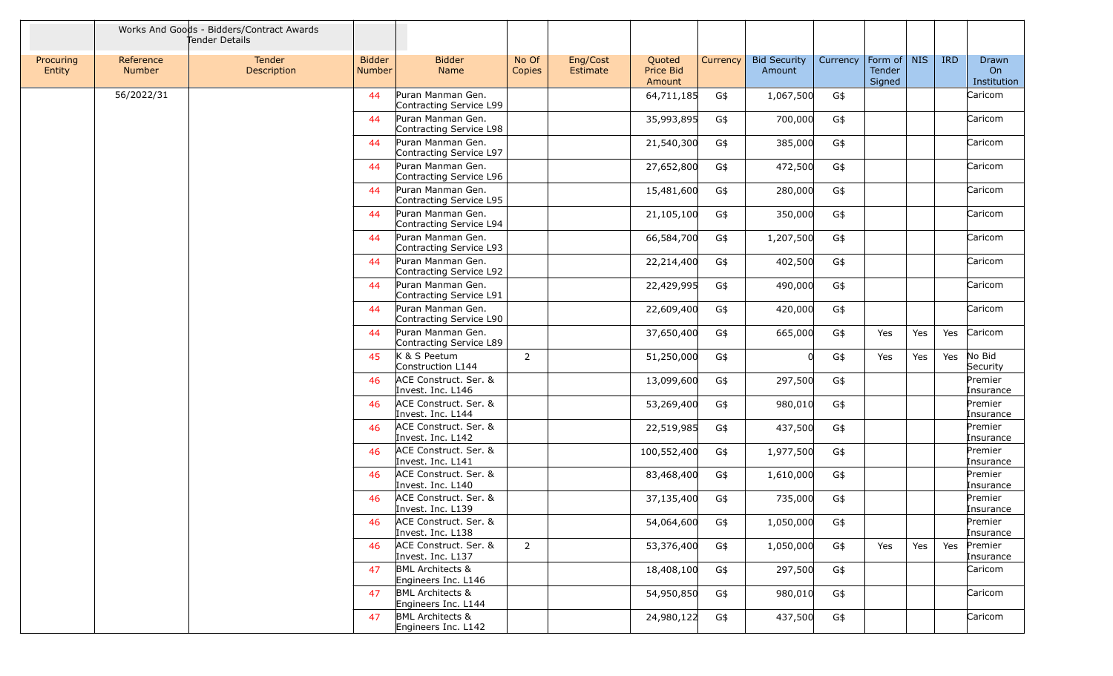|                     |                            | Works And Goods - Bidders/Contract Awards<br>Tender Details |                                |                                                    |                 |                      |                               |          |                               |          |                                 |     |            |                                   |
|---------------------|----------------------------|-------------------------------------------------------------|--------------------------------|----------------------------------------------------|-----------------|----------------------|-------------------------------|----------|-------------------------------|----------|---------------------------------|-----|------------|-----------------------------------|
| Procuring<br>Entity | Reference<br><b>Number</b> | <b>Tender</b><br>Description                                | <b>Bidder</b><br><b>Number</b> | <b>Bidder</b><br>Name                              | No Of<br>Copies | Eng/Cost<br>Estimate | Quoted<br>Price Bid<br>Amount | Currency | <b>Bid Security</b><br>Amount | Currency | Form of NIS<br>Tender<br>Signed |     | <b>IRD</b> | Drawn<br><b>On</b><br>Institution |
|                     | 56/2022/31                 |                                                             | 44                             | Puran Manman Gen.<br>Contracting Service L99       |                 |                      | 64,711,185                    | G\$      | 1,067,500                     | G\$      |                                 |     |            | Caricom                           |
|                     |                            |                                                             | 44                             | Puran Manman Gen.<br>Contracting Service L98       |                 |                      | 35,993,895                    | G\$      | 700,000                       | G\$      |                                 |     |            | Caricom                           |
|                     |                            |                                                             | 44                             | Puran Manman Gen.<br>Contracting Service L97       |                 |                      | 21,540,300                    | G\$      | 385,000                       | G\$      |                                 |     |            | Caricom                           |
|                     |                            |                                                             | 44                             | Puran Manman Gen.<br>Contracting Service L96       |                 |                      | 27,652,800                    | G\$      | 472,500                       | G\$      |                                 |     |            | Caricom                           |
|                     |                            |                                                             | 44                             | Puran Manman Gen.<br>Contracting Service L95       |                 |                      | 15,481,600                    | G\$      | 280,000                       | G\$      |                                 |     |            | Caricom                           |
|                     |                            |                                                             | 44                             | Puran Manman Gen.<br>Contracting Service L94       |                 |                      | 21,105,100                    | G\$      | 350,000                       | G\$      |                                 |     |            | Caricom                           |
|                     |                            |                                                             | 44                             | Puran Manman Gen.<br>Contracting Service L93       |                 |                      | 66,584,700                    | G\$      | 1,207,500                     | G\$      |                                 |     |            | Caricom                           |
|                     |                            |                                                             | 44                             | Puran Manman Gen.<br>Contracting Service L92       |                 |                      | 22,214,400                    | G\$      | 402,500                       | G\$      |                                 |     |            | Caricom                           |
|                     |                            |                                                             | 44                             | Puran Manman Gen.<br>Contracting Service L91       |                 |                      | 22,429,995                    | G\$      | 490,000                       | G\$      |                                 |     |            | Caricom                           |
|                     |                            |                                                             | 44                             | Puran Manman Gen.<br>Contracting Service L90       |                 |                      | 22,609,400                    | G\$      | 420,000                       | G\$      |                                 |     |            | Caricom                           |
|                     |                            |                                                             | 44                             | Puran Manman Gen.<br>Contracting Service L89       |                 |                      | 37,650,400                    | G\$      | 665,000                       | G\$      | Yes                             | Yes | Yes        | Caricom                           |
|                     |                            |                                                             | 45                             | K & S Peetum<br>Construction L144                  | $\overline{2}$  |                      | 51,250,000                    | G\$      | $\Omega$                      | G\$      | Yes                             | Yes | Yes        | No Bid<br>Security                |
|                     |                            |                                                             | 46                             | ACE Construct. Ser. &<br>Invest. Inc. L146         |                 |                      | 13,099,600                    | G\$      | 297,500                       | G\$      |                                 |     |            | Premier<br>Insurance              |
|                     |                            |                                                             | 46                             | ACE Construct. Ser. &<br>Invest. Inc. L144         |                 |                      | 53,269,400                    | G\$      | 980,010                       | G\$      |                                 |     |            | Premier<br>Insurance              |
|                     |                            |                                                             | 46                             | ACE Construct. Ser. &<br>Invest. Inc. L142         |                 |                      | 22,519,985                    | G\$      | 437,500                       | G\$      |                                 |     |            | Premier<br>Insurance              |
|                     |                            |                                                             | 46                             | ACE Construct. Ser. &<br>Invest. Inc. L141         |                 |                      | 100,552,400                   | G\$      | 1,977,500                     | G\$      |                                 |     |            | Premier<br>Insurance              |
|                     |                            |                                                             | 46                             | ACE Construct. Ser. &<br>Invest. Inc. L140         |                 |                      | 83,468,400                    | G\$      | 1,610,000                     | G\$      |                                 |     |            | Premier<br>Insurance              |
|                     |                            |                                                             | 46                             | ACE Construct. Ser. &<br>Invest. Inc. L139         |                 |                      | 37,135,400                    | G\$      | 735,000                       | G\$      |                                 |     |            | Premier<br>Insurance              |
|                     |                            |                                                             | 46                             | ACE Construct. Ser. &<br>Invest. Inc. L138         |                 |                      | 54,064,600                    | G\$      | 1,050,000                     | G\$      |                                 |     |            | Premier<br>Insurance              |
|                     |                            |                                                             | 46                             | ACE Construct. Ser. &<br>Invest. Inc. L137         | $\overline{2}$  |                      | 53,376,400                    | G\$      | 1,050,000                     | G\$      | Yes                             | Yes | Yes        | Premier<br>Insurance              |
|                     |                            |                                                             | 47                             | <b>BML Architects &amp;</b><br>Engineers Inc. L146 |                 |                      | 18,408,100                    | G\$      | 297,500                       | G\$      |                                 |     |            | Caricom                           |
|                     |                            |                                                             | 47                             | <b>BML Architects &amp;</b><br>Engineers Inc. L144 |                 |                      | 54,950,850                    | G\$      | 980,010                       | G\$      |                                 |     |            | Caricom                           |
|                     |                            |                                                             | 47                             | <b>BML Architects &amp;</b><br>Engineers Inc. L142 |                 |                      | 24,980,122                    | G\$      | 437,500                       | G\$      |                                 |     |            | Caricom                           |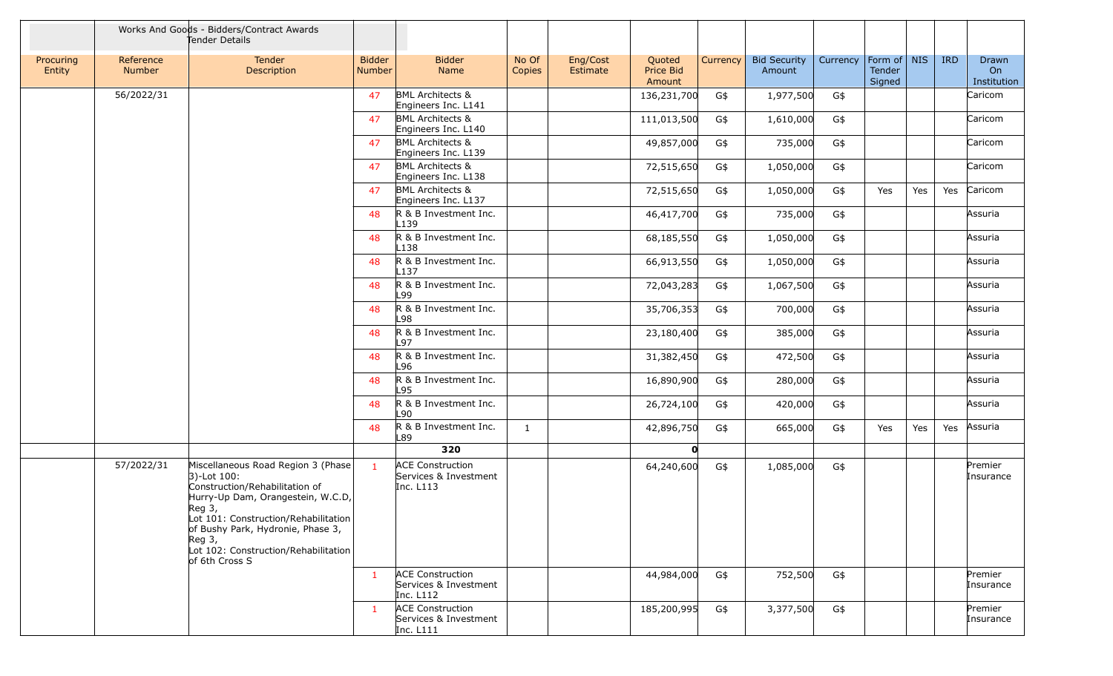|                     |                     | Works And Goods - Bidders/Contract Awards<br>Fender Details                                                                                                                                                                                                                               |                                |                                                                 |                 |                      |                                      |          |                               |          |                                 |     |            |                            |
|---------------------|---------------------|-------------------------------------------------------------------------------------------------------------------------------------------------------------------------------------------------------------------------------------------------------------------------------------------|--------------------------------|-----------------------------------------------------------------|-----------------|----------------------|--------------------------------------|----------|-------------------------------|----------|---------------------------------|-----|------------|----------------------------|
| Procuring<br>Entity | Reference<br>Number | Tender<br>Description                                                                                                                                                                                                                                                                     | <b>Bidder</b><br><b>Number</b> | <b>Bidder</b><br>Name                                           | No Of<br>Copies | Eng/Cost<br>Estimate | Quoted<br><b>Price Bid</b><br>Amount | Currency | <b>Bid Security</b><br>Amount | Currency | Form of NIS<br>Tender<br>Signed |     | <b>IRD</b> | Drawn<br>On<br>Institution |
|                     | 56/2022/31          |                                                                                                                                                                                                                                                                                           | 47                             | <b>BML Architects &amp;</b><br>Engineers Inc. L141              |                 |                      | 136,231,700                          | G\$      | 1,977,500                     | G\$      |                                 |     |            | Caricom                    |
|                     |                     |                                                                                                                                                                                                                                                                                           | 47                             | <b>BML Architects &amp;</b><br>Engineers Inc. L140              |                 |                      | 111,013,500                          | G\$      | 1,610,000                     | G\$      |                                 |     |            | Caricom                    |
|                     |                     |                                                                                                                                                                                                                                                                                           | 47                             | <b>BML Architects &amp;</b><br>Engineers Inc. L139              |                 |                      | 49,857,000                           | G\$      | 735,000                       | G\$      |                                 |     |            | Caricom                    |
|                     |                     |                                                                                                                                                                                                                                                                                           | 47                             | <b>BML Architects &amp;</b><br>Engineers Inc. L138              |                 |                      | 72,515,650                           | G\$      | 1,050,000                     | G\$      |                                 |     |            | Caricom                    |
|                     |                     |                                                                                                                                                                                                                                                                                           | 47                             | <b>BML Architects &amp;</b><br>Engineers Inc. L137              |                 |                      | 72,515,650                           | G\$      | 1,050,000                     | G\$      | Yes                             | Yes | Yes        | Caricom                    |
|                     |                     |                                                                                                                                                                                                                                                                                           | 48                             | R & B Investment Inc.<br>L139                                   |                 |                      | 46,417,700                           | G\$      | 735,000                       | G\$      |                                 |     |            | Assuria                    |
|                     |                     |                                                                                                                                                                                                                                                                                           | 48                             | R & B Investment Inc.<br>L138                                   |                 |                      | 68,185,550                           | G\$      | 1,050,000                     | G\$      |                                 |     |            | Assuria                    |
|                     |                     |                                                                                                                                                                                                                                                                                           | 48                             | R & B Investment Inc.<br>L137                                   |                 |                      | 66,913,550                           | G\$      | 1,050,000                     | G\$      |                                 |     |            | Assuria                    |
|                     |                     |                                                                                                                                                                                                                                                                                           | 48                             | R & B Investment Inc.<br>-99                                    |                 |                      | 72,043,283                           | G\$      | 1,067,500                     | G\$      |                                 |     |            | Assuria                    |
|                     |                     |                                                                                                                                                                                                                                                                                           | 48                             | R & B Investment Inc.<br>L98                                    |                 |                      | 35,706,353                           | G\$      | 700,000                       | G\$      |                                 |     |            | Assuria                    |
|                     |                     |                                                                                                                                                                                                                                                                                           | 48                             | R & B Investment Inc.<br>L97                                    |                 |                      | 23,180,400                           | G\$      | 385,000                       | G\$      |                                 |     |            | Assuria                    |
|                     |                     |                                                                                                                                                                                                                                                                                           | 48                             | R & B Investment Inc.<br>L96                                    |                 |                      | 31,382,450                           | G\$      | 472,500                       | G\$      |                                 |     |            | Assuria                    |
|                     |                     |                                                                                                                                                                                                                                                                                           | 48                             | R & B Investment Inc.<br>L95                                    |                 |                      | 16,890,900                           | G\$      | 280,000                       | G\$      |                                 |     |            | Assuria                    |
|                     |                     |                                                                                                                                                                                                                                                                                           | 48                             | R & B Investment Inc.<br>L90                                    |                 |                      | 26,724,100                           | G\$      | 420,000                       | G\$      |                                 |     |            | Assuria                    |
|                     |                     |                                                                                                                                                                                                                                                                                           | 48                             | R & B Investment Inc.<br>L89                                    | $\mathbf{1}$    |                      | 42,896,750                           | G\$      | 665,000                       | G\$      | Yes                             | Yes | Yes        | Assuria                    |
|                     |                     |                                                                                                                                                                                                                                                                                           |                                | 320                                                             |                 |                      | O                                    |          |                               |          |                                 |     |            |                            |
|                     | 57/2022/31          | Miscellaneous Road Region 3 (Phase<br>$ 3)$ -Lot 100:<br>Construction/Rehabilitation of<br>Hurry-Up Dam, Orangestein, W.C.D,<br>$Reg3$ ,<br>Lot 101: Construction/Rehabilitation<br>of Bushy Park, Hydronie, Phase 3,<br>Reg 3,<br>Lot 102: Construction/Rehabilitation<br>of 6th Cross S | $\mathbf{1}$                   | <b>ACE Construction</b><br>Services & Investment<br>Inc. L113   |                 |                      | 64,240,600                           | G\$      | 1,085,000                     | G\$      |                                 |     |            | Premier<br>Insurance       |
|                     |                     |                                                                                                                                                                                                                                                                                           | $\mathbf{1}$                   | <b>ACE Construction</b><br>Services & Investment<br>Inc. $L112$ |                 |                      | 44,984,000                           | G\$      | 752,500                       | G\$      |                                 |     |            | Premier<br>Insurance       |
|                     |                     |                                                                                                                                                                                                                                                                                           | $\mathbf{1}$                   | <b>ACE Construction</b><br>Services & Investment<br>Inc. L111   |                 |                      | 185,200,995                          | G\$      | 3,377,500                     | G\$      |                                 |     |            | Premier<br>Insurance       |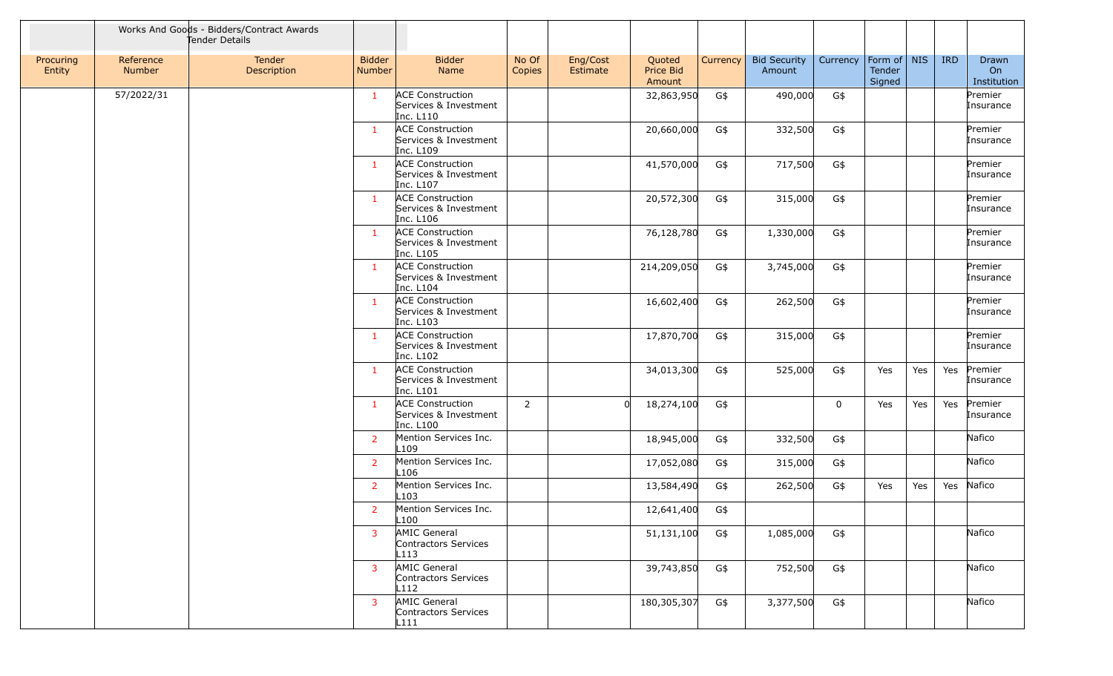|                     |                            | Works And Goods - Bidders/Contract Awards<br>Tender Details |                                |                                                               |                 |                      |                               |          |                               |             |                                 |     |            |                            |
|---------------------|----------------------------|-------------------------------------------------------------|--------------------------------|---------------------------------------------------------------|-----------------|----------------------|-------------------------------|----------|-------------------------------|-------------|---------------------------------|-----|------------|----------------------------|
| Procuring<br>Entity | Reference<br><b>Number</b> | Tender<br>Description                                       | <b>Bidder</b><br><b>Number</b> | <b>Bidder</b><br>Name                                         | No Of<br>Copies | Eng/Cost<br>Estimate | Quoted<br>Price Bid<br>Amount | Currency | <b>Bid Security</b><br>Amount | Currency    | Form of NIS<br>Tender<br>Signed |     | <b>IRD</b> | Drawn<br>On<br>Institution |
|                     | 57/2022/31                 |                                                             | $\mathbf{1}$                   | <b>ACE Construction</b><br>Services & Investment<br>Inc. L110 |                 |                      | 32,863,950                    | G\$      | 490,000                       | G\$         |                                 |     |            | Premier<br>Insurance       |
|                     |                            |                                                             | $\mathbf{1}$                   | <b>ACE Construction</b><br>Services & Investment<br>Inc. L109 |                 |                      | 20,660,000                    | G\$      | 332,500                       | G\$         |                                 |     |            | Premier<br>Insurance       |
|                     |                            |                                                             | $\mathbf{1}$                   | <b>ACE Construction</b><br>Services & Investment<br>Inc. L107 |                 |                      | 41,570,000                    | G\$      | 717,500                       | G\$         |                                 |     |            | Premier<br>Insurance       |
|                     |                            |                                                             | $\mathbf{1}$                   | <b>ACE Construction</b><br>Services & Investment<br>Inc. L106 |                 |                      | 20,572,300                    | G\$      | 315,000                       | G\$         |                                 |     |            | Premier<br>Insurance       |
|                     |                            |                                                             | $\mathbf{1}$                   | <b>ACE Construction</b><br>Services & Investment<br>Inc. L105 |                 |                      | 76,128,780                    | G\$      | 1,330,000                     | G\$         |                                 |     |            | Premier<br>Insurance       |
|                     |                            |                                                             | $\mathbf{1}$                   | <b>ACE Construction</b><br>Services & Investment<br>Inc. L104 |                 |                      | 214,209,050                   | G\$      | 3,745,000                     | G\$         |                                 |     |            | Premier<br>Insurance       |
|                     |                            |                                                             | $\mathbf{1}$                   | <b>ACE Construction</b><br>Services & Investment<br>Inc. L103 |                 |                      | 16,602,400                    | G\$      | 262,500                       | G\$         |                                 |     |            | Premier<br>Insurance       |
|                     |                            |                                                             | $\mathbf{1}$                   | <b>ACE Construction</b><br>Services & Investment<br>Inc. L102 |                 |                      | 17,870,700                    | G\$      | 315,000                       | G\$         |                                 |     |            | Premier<br>Insurance       |
|                     |                            |                                                             | $\mathbf{1}$                   | <b>ACE Construction</b><br>Services & Investment<br>Inc. L101 |                 |                      | 34,013,300                    | G\$      | 525,000                       | G\$         | Yes                             | Yes | Yes        | Premier<br>Insurance       |
|                     |                            |                                                             | $\mathbf{1}$                   | <b>ACE Construction</b><br>Services & Investment<br>Inc. L100 | $\overline{2}$  | $\Omega$             | 18,274,100                    | G\$      |                               | $\mathbf 0$ | Yes                             | Yes | Yes        | Premier<br>Insurance       |
|                     |                            |                                                             | 2                              | Mention Services Inc.<br>L109                                 |                 |                      | 18,945,000                    | G\$      | 332,500                       | G\$         |                                 |     |            | Nafico                     |
|                     |                            |                                                             | $\overline{2}$                 | Mention Services Inc.<br>L <sub>106</sub>                     |                 |                      | 17,052,080                    | G\$      | 315,000                       | G\$         |                                 |     |            | Nafico                     |
|                     |                            |                                                             | 2                              | Mention Services Inc.<br>L <sub>103</sub>                     |                 |                      | 13,584,490                    | G\$      | 262,500                       | G\$         | Yes                             | Yes | Yes        | Nafico                     |
|                     |                            |                                                             | 2                              | Mention Services Inc.<br>L <sub>100</sub>                     |                 |                      | 12,641,400                    | G\$      |                               |             |                                 |     |            |                            |
|                     |                            |                                                             | 3                              | AMIC General<br>Contractors Services<br>L113                  |                 |                      | 51,131,100                    | G\$      | 1,085,000                     | G\$         |                                 |     |            | Nafico                     |
|                     |                            |                                                             | $\mathbf{3}$                   | AMIC General<br>Contractors Services<br>L112                  |                 |                      | 39,743,850                    | G\$      | 752,500                       | G\$         |                                 |     |            | Nafico                     |
|                     |                            |                                                             | $\mathbf{3}$                   | AMIC General<br>Contractors Services<br>L111                  |                 |                      | 180,305,307                   | G\$      | 3,377,500                     | G\$         |                                 |     |            | Nafico                     |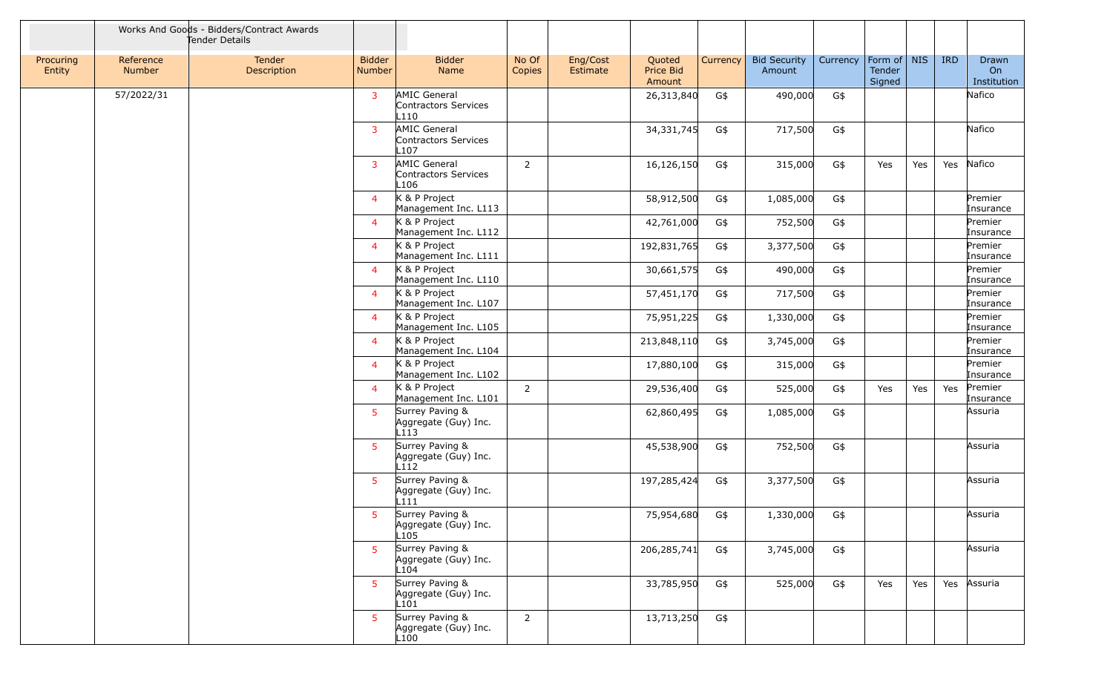|                     |                            | Works And Goods - Bidders/Contract Awards<br>Tender Details |                                |                                                             |                 |                      |                               |          |                               |          |                                   |     |            |                            |
|---------------------|----------------------------|-------------------------------------------------------------|--------------------------------|-------------------------------------------------------------|-----------------|----------------------|-------------------------------|----------|-------------------------------|----------|-----------------------------------|-----|------------|----------------------------|
| Procuring<br>Entity | Reference<br><b>Number</b> | Tender<br>Description                                       | <b>Bidder</b><br><b>Number</b> | <b>Bidder</b><br>Name                                       | No Of<br>Copies | Eng/Cost<br>Estimate | Quoted<br>Price Bid<br>Amount | Currency | <b>Bid Security</b><br>Amount | Currency | Form of   NIS<br>Tender<br>Signed |     | <b>IRD</b> | Drawn<br>On<br>Institution |
|                     | 57/2022/31                 |                                                             | 3                              | <b>AMIC General</b><br>Contractors Services<br>L110         |                 |                      | 26,313,840                    | G\$      | 490,000                       | G\$      |                                   |     |            | Nafico                     |
|                     |                            |                                                             | 3                              | AMIC General<br>Contractors Services<br>L107                |                 |                      | 34,331,745                    | G\$      | 717,500                       | G\$      |                                   |     |            | Nafico                     |
|                     |                            |                                                             | 3                              | AMIC General<br>Contractors Services<br>L106                | $\overline{2}$  |                      | 16,126,150                    | G\$      | 315,000                       | G\$      | Yes                               | Yes | Yes        | Nafico                     |
|                     |                            |                                                             | $\overline{4}$                 | K & P Project<br>Management Inc. L113                       |                 |                      | 58,912,500                    | G\$      | 1,085,000                     | G\$      |                                   |     |            | Premier<br>Insurance       |
|                     |                            |                                                             | $\overline{4}$                 | K & P Project<br>Management Inc. L112                       |                 |                      | 42,761,000                    | G\$      | 752,500                       | G\$      |                                   |     |            | Premier<br>Insurance       |
|                     |                            |                                                             | $\overline{4}$                 | K & P Project<br>Management Inc. L111                       |                 |                      | 192,831,765                   | G\$      | 3,377,500                     | G\$      |                                   |     |            | Premier<br>Insurance       |
|                     |                            |                                                             | $\overline{4}$                 | K & P Project<br>Management Inc. L110                       |                 |                      | 30,661,575                    | G\$      | 490,000                       | G\$      |                                   |     |            | Premier<br>Insurance       |
|                     |                            |                                                             | $\overline{4}$                 | K & P Project<br>Management Inc. L107                       |                 |                      | 57,451,170                    | G\$      | 717,500                       | G\$      |                                   |     |            | Premier<br>Insurance       |
|                     |                            |                                                             | $\overline{4}$                 | K & P Project<br>Management Inc. L105                       |                 |                      | 75,951,225                    | G\$      | 1,330,000                     | G\$      |                                   |     |            | Premier<br>Insurance       |
|                     |                            |                                                             | $\overline{4}$                 | K & P Project<br>Management Inc. L104                       |                 |                      | 213,848,110                   | G\$      | 3,745,000                     | G\$      |                                   |     |            | Premier<br>Insurance       |
|                     |                            |                                                             | $\overline{4}$                 | K & P Project<br>Management Inc. L102                       |                 |                      | 17,880,100                    | G\$      | 315,000                       | G\$      |                                   |     |            | Premier<br>Insurance       |
|                     |                            |                                                             | $\overline{4}$                 | K & P Project<br>Management Inc. L101                       | $\overline{2}$  |                      | 29,536,400                    | G\$      | 525,000                       | G\$      | Yes                               | Yes | Yes        | Premier<br>Insurance       |
|                     |                            |                                                             | 5                              | Surrey Paving &<br>Aggregate (Guy) Inc.<br>L113             |                 |                      | 62,860,495                    | G\$      | 1,085,000                     | G\$      |                                   |     |            | Assuria                    |
|                     |                            |                                                             | -5.                            | Surrey Paving &<br>Aggregate (Guy) Inc.<br>L112             |                 |                      | 45,538,900                    | G\$      | 752,500                       | G\$      |                                   |     |            | Assuria                    |
|                     |                            |                                                             | 5.                             | Surrey Paving &<br>Aggregate (Guy) Inc.<br>L <sub>111</sub> |                 |                      | 197,285,424                   | G\$      | 3,377,500                     | G\$      |                                   |     |            | Assuria                    |
|                     |                            |                                                             | $5 -$                          | Surrey Paving &<br>Aggregate (Guy) Inc.<br>L <sub>105</sub> |                 |                      | 75,954,680 G\$                |          | 1,330,000                     | G\$      |                                   |     |            | Assuria                    |
|                     |                            |                                                             | $5\phantom{.0}$                | Surrey Paving &<br>Aggregate (Guy) Inc.<br>L104             |                 |                      | 206,285,741                   | G\$      | 3,745,000                     | G\$      |                                   |     |            | Assuria                    |
|                     |                            |                                                             | 5 <sup>1</sup>                 | Surrey Paving &<br>Aggregate (Guy) Inc.<br>L101             |                 |                      | 33,785,950                    | G\$      | 525,000                       | G\$      | Yes                               | Yes |            | Yes Assuria                |
|                     |                            |                                                             | -5                             | Surrey Paving &<br>Aggregate (Guy) Inc.<br>L100             | $\overline{2}$  |                      | 13,713,250                    | G\$      |                               |          |                                   |     |            |                            |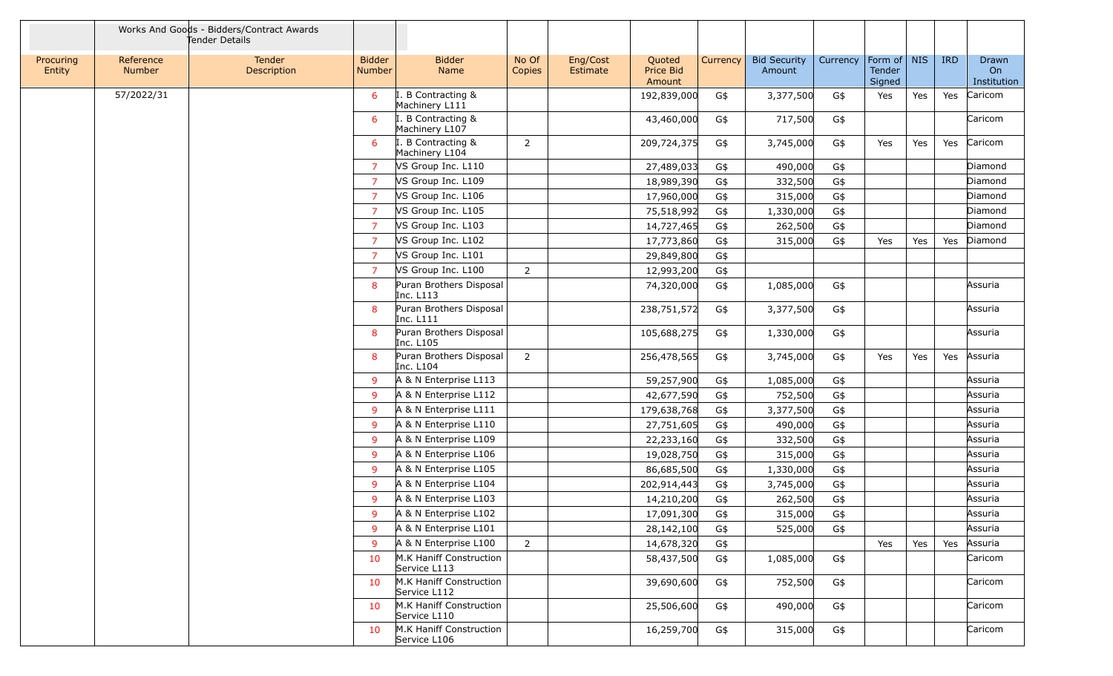|                     |                            | Works And Goods - Bidders/Contract Awards<br>Tender Details |                                |                                         |                 |                      |                               |          |                               |          |                                   |     |            |                            |
|---------------------|----------------------------|-------------------------------------------------------------|--------------------------------|-----------------------------------------|-----------------|----------------------|-------------------------------|----------|-------------------------------|----------|-----------------------------------|-----|------------|----------------------------|
| Procuring<br>Entity | Reference<br><b>Number</b> | <b>Tender</b><br>Description                                | <b>Bidder</b><br><b>Number</b> | <b>Bidder</b><br>Name                   | No Of<br>Copies | Eng/Cost<br>Estimate | Quoted<br>Price Bid<br>Amount | Currency | <b>Bid Security</b><br>Amount | Currency | Form of   NIS<br>Tender<br>Signed |     | <b>IRD</b> | Drawn<br>On<br>Institution |
|                     | 57/2022/31                 |                                                             | 6                              | B Contracting &<br>Machinery L111       |                 |                      | 192,839,000                   | G\$      | 3,377,500                     | G\$      | Yes                               | Yes | Yes        | Caricom                    |
|                     |                            |                                                             | 6                              | B Contracting &<br>Machinery L107       |                 |                      | 43,460,000                    | G\$      | 717,500                       | G\$      |                                   |     |            | Caricom                    |
|                     |                            |                                                             | 6                              | B Contracting &<br>Machinery L104       | $\overline{2}$  |                      | 209,724,375                   | G\$      | 3,745,000                     | G\$      | Yes                               | Yes | Yes        | Caricom                    |
|                     |                            |                                                             | $\overline{7}$                 | VS Group Inc. L110                      |                 |                      | 27,489,033                    | G\$      | 490,000                       | G\$      |                                   |     |            | Diamond                    |
|                     |                            |                                                             | $\overline{7}$                 | VS Group Inc. L109                      |                 |                      | 18,989,390                    | G\$      | 332,500                       | G\$      |                                   |     |            | Diamond                    |
|                     |                            |                                                             | $\overline{7}$                 | VS Group Inc. L106                      |                 |                      | 17,960,000                    | G\$      | 315,000                       | G\$      |                                   |     |            | Diamond                    |
|                     |                            |                                                             | 7                              | VS Group Inc. L105                      |                 |                      | 75,518,992                    | G\$      | 1,330,000                     | G\$      |                                   |     |            | Diamond                    |
|                     |                            |                                                             | $\overline{7}$                 | VS Group Inc. L103                      |                 |                      | 14,727,465                    | G\$      | 262,500                       | G\$      |                                   |     |            | Diamond                    |
|                     |                            |                                                             | $\overline{7}$                 | VS Group Inc. L102                      |                 |                      | 17,773,860                    | G\$      | 315,000                       | G\$      | Yes                               | Yes | Yes        | Diamond                    |
|                     |                            |                                                             | $\overline{7}$                 | VS Group Inc. L101                      |                 |                      | 29,849,800                    | G\$      |                               |          |                                   |     |            |                            |
|                     |                            |                                                             | 7                              | VS Group Inc. L100                      | $\overline{2}$  |                      | 12,993,200                    | G\$      |                               |          |                                   |     |            |                            |
|                     |                            |                                                             | 8                              | Puran Brothers Disposal<br>Inc. L113    |                 |                      | 74,320,000                    | G\$      | 1,085,000                     | G\$      |                                   |     |            | Assuria                    |
|                     |                            |                                                             | 8                              | Puran Brothers Disposal<br>Inc. L111    |                 |                      | 238,751,572                   | G\$      | 3,377,500                     | G\$      |                                   |     |            | Assuria                    |
|                     |                            |                                                             | 8                              | Puran Brothers Disposal<br>Inc. L105    |                 |                      | 105,688,275                   | G\$      | 1,330,000                     | G\$      |                                   |     |            | Assuria                    |
|                     |                            |                                                             | 8                              | Puran Brothers Disposal<br>Inc. L104    | $\overline{2}$  |                      | 256,478,565                   | G\$      | 3,745,000                     | G\$      | Yes                               | Yes | Yes        | Assuria                    |
|                     |                            |                                                             | 9                              | A & N Enterprise L113                   |                 |                      | 59,257,900                    | G\$      | 1,085,000                     | G\$      |                                   |     |            | Assuria                    |
|                     |                            |                                                             | 9                              | A & N Enterprise L112                   |                 |                      | 42,677,590                    | G\$      | 752,500                       | G\$      |                                   |     |            | Assuria                    |
|                     |                            |                                                             | 9                              | A & N Enterprise L111                   |                 |                      | 179,638,768                   | G\$      | 3,377,500                     | G\$      |                                   |     |            | Assuria                    |
|                     |                            |                                                             | 9                              | A & N Enterprise L110                   |                 |                      | 27,751,605                    | G\$      | 490,000                       | G\$      |                                   |     |            | Assuria                    |
|                     |                            |                                                             | 9                              | A & N Enterprise L109                   |                 |                      | 22,233,160                    | G\$      | 332,500                       | G\$      |                                   |     |            | Assuria                    |
|                     |                            |                                                             | 9                              | A & N Enterprise L106                   |                 |                      | 19,028,750                    | G\$      | 315,000                       | G\$      |                                   |     |            | Assuria                    |
|                     |                            |                                                             | 9                              | A & N Enterprise L105                   |                 |                      | 86,685,500                    | G\$      | 1,330,000                     | G\$      |                                   |     |            | Assuria                    |
|                     |                            |                                                             | 9                              | A & N Enterprise L104                   |                 |                      | 202,914,443                   | G\$      | 3,745,000                     | G\$      |                                   |     |            | Assuria                    |
|                     |                            |                                                             | 9                              | A & N Enterprise L103                   |                 |                      | 14,210,200                    | G\$      | 262,500                       | G\$      |                                   |     |            | Assuria                    |
|                     |                            |                                                             | 9                              | A & N Enterprise L102                   |                 |                      | 17,091,300                    | G\$      | 315,000                       | $G\$     |                                   |     |            | Assuria                    |
|                     |                            |                                                             | 9                              | A & N Enterprise L101                   |                 |                      | 28,142,100                    | G\$      | 525,000                       | G\$      |                                   |     |            | Assuria                    |
|                     |                            |                                                             | 9                              | A & N Enterprise L100                   | $\overline{2}$  |                      | 14,678,320                    | G\$      |                               |          | Yes                               | Yes | Yes        | Assuria                    |
|                     |                            |                                                             | 10                             | M.K Haniff Construction<br>Service L113 |                 |                      | 58,437,500                    | G\$      | 1,085,000                     | G\$      |                                   |     |            | Caricom                    |
|                     |                            |                                                             | 10                             | M.K Haniff Construction<br>Service L112 |                 |                      | 39,690,600                    | G\$      | 752,500                       | G\$      |                                   |     |            | Caricom                    |
|                     |                            |                                                             | 10                             | M.K Haniff Construction<br>Service L110 |                 |                      | 25,506,600                    | G\$      | 490,000                       | G\$      |                                   |     |            | Caricom                    |
|                     |                            |                                                             | 10                             | M.K Haniff Construction<br>Service L106 |                 |                      | 16,259,700                    | G\$      | 315,000                       | G\$      |                                   |     |            | Caricom                    |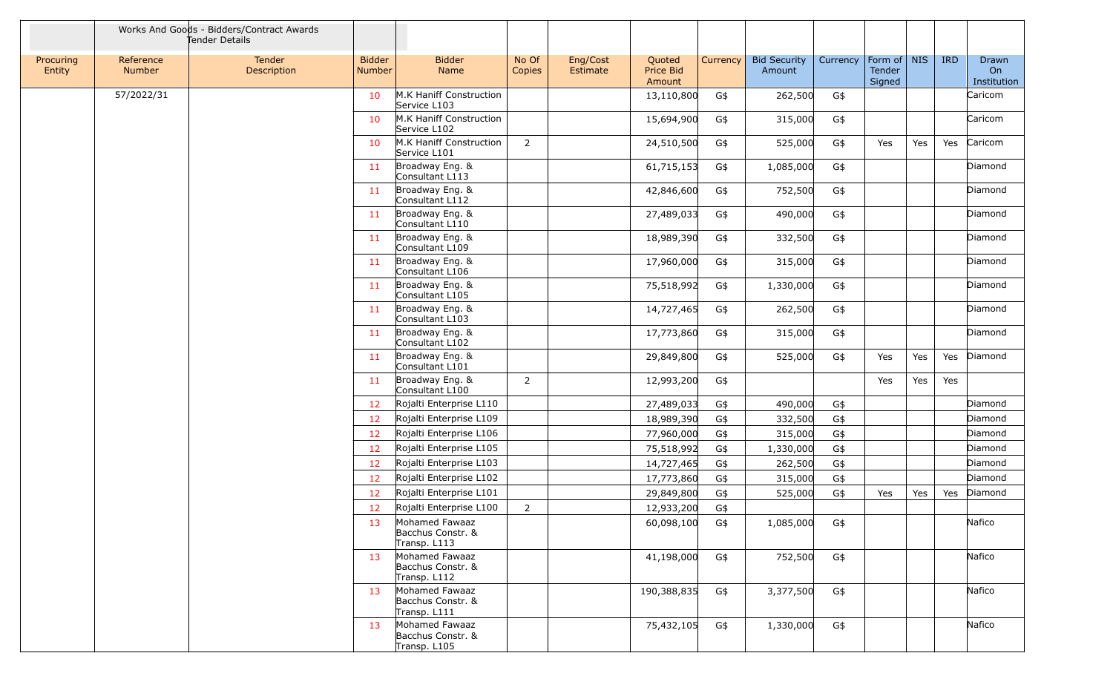|                     |                            | Works And Goods - Bidders/Contract Awards<br>Tender Details |                         |                                                     |                 |                      |                               |          |                               |          |                                 |     |            |                            |
|---------------------|----------------------------|-------------------------------------------------------------|-------------------------|-----------------------------------------------------|-----------------|----------------------|-------------------------------|----------|-------------------------------|----------|---------------------------------|-----|------------|----------------------------|
| Procuring<br>Entity | Reference<br><b>Number</b> | <b>Tender</b><br>Description                                | <b>Bidder</b><br>Number | <b>Bidder</b><br>Name                               | No Of<br>Copies | Eng/Cost<br>Estimate | Quoted<br>Price Bid<br>Amount | Currency | <b>Bid Security</b><br>Amount | Currency | Form of NIS<br>Tender<br>Signed |     | <b>IRD</b> | Drawn<br>On<br>Institution |
|                     | 57/2022/31                 |                                                             | 10                      | M.K Haniff Construction<br>Service L103             |                 |                      | 13,110,800                    | G\$      | 262,500                       | G\$      |                                 |     |            | Caricom                    |
|                     |                            |                                                             | 10                      | M.K Haniff Construction<br>Service L102             |                 |                      | 15,694,900                    | G\$      | 315,000                       | G\$      |                                 |     |            | Caricom                    |
|                     |                            |                                                             | 10                      | M.K Haniff Construction<br>Service L101             | $\overline{2}$  |                      | 24,510,500                    | G\$      | 525,000                       | G\$      | Yes                             | Yes | Yes        | Caricom                    |
|                     |                            |                                                             | 11                      | Broadway Eng. &<br>Consultant L113                  |                 |                      | 61,715,153                    | G\$      | 1,085,000                     | G\$      |                                 |     |            | Diamond                    |
|                     |                            |                                                             | 11                      | Broadway Eng. &<br>Consultant L112                  |                 |                      | 42,846,600                    | G\$      | 752,500                       | G\$      |                                 |     |            | Diamond                    |
|                     |                            |                                                             | 11                      | Broadway Eng. &<br>Consultant L110                  |                 |                      | 27,489,033                    | G\$      | 490,000                       | G\$      |                                 |     |            | Diamond                    |
|                     |                            |                                                             | 11                      | Broadway Eng. &<br>Consultant L109                  |                 |                      | 18,989,390                    | G\$      | 332,500                       | G\$      |                                 |     |            | Diamond                    |
|                     |                            |                                                             | -11                     | Broadway Eng. &<br>Consultant L106                  |                 |                      | 17,960,000                    | G\$      | 315,000                       | G\$      |                                 |     |            | Diamond                    |
|                     |                            |                                                             | -11                     | Broadway Eng. &<br>Consultant L105                  |                 |                      | 75,518,992                    | G\$      | 1,330,000                     | G\$      |                                 |     |            | Diamond                    |
|                     |                            |                                                             | 11                      | Broadway Eng. &<br>Consultant L103                  |                 |                      | 14,727,465                    | G\$      | 262,500                       | G\$      |                                 |     |            | Diamond                    |
|                     |                            |                                                             | 11                      | Broadway Eng. &<br>Consultant L102                  |                 |                      | 17,773,860                    | G\$      | 315,000                       | G\$      |                                 |     |            | Diamond                    |
|                     |                            |                                                             | <b>11</b>               | Broadway Eng. &<br>Consultant L101                  |                 |                      | 29,849,800                    | G\$      | 525,000                       | G\$      | Yes                             | Yes | Yes        | Diamond                    |
|                     |                            |                                                             | -11                     | Broadway Eng. &<br>Consultant L100                  | 2               |                      | 12,993,200                    | G\$      |                               |          | Yes                             | Yes | Yes        |                            |
|                     |                            |                                                             | 12                      | Rojalti Enterprise L110                             |                 |                      | 27,489,033                    | G\$      | 490,000                       | G\$      |                                 |     |            | Diamond                    |
|                     |                            |                                                             | 12                      | Rojalti Enterprise L109                             |                 |                      | 18,989,390                    | G\$      | 332,500                       | G\$      |                                 |     |            | Diamond                    |
|                     |                            |                                                             | 12                      | Rojalti Enterprise L106                             |                 |                      | 77,960,000                    | G\$      | 315,000                       | G\$      |                                 |     |            | Diamond                    |
|                     |                            |                                                             | 12                      | Rojalti Enterprise L105                             |                 |                      | 75,518,992                    | G\$      | 1,330,000                     | G\$      |                                 |     |            | Diamond                    |
|                     |                            |                                                             | 12                      | Rojalti Enterprise L103                             |                 |                      | 14,727,465                    | G\$      | 262,500                       | G\$      |                                 |     |            | Diamond                    |
|                     |                            |                                                             | 12                      | Rojalti Enterprise L102                             |                 |                      | 17,773,860                    | G\$      | 315,000                       | G\$      |                                 |     |            | Diamond                    |
|                     |                            |                                                             | 12                      | Rojalti Enterprise L101                             |                 |                      | 29,849,800                    | G\$      | 525,000                       | G\$      | Yes                             | Yes | Yes        | Diamond                    |
|                     |                            |                                                             | 12                      | Rojalti Enterprise L100                             | 2               |                      | 12,933,200                    | G\$      |                               |          |                                 |     |            |                            |
|                     |                            |                                                             | 13                      | Mohamed Fawaaz<br>Bacchus Constr. &<br>Transp. L113 |                 |                      | 60,098,100                    | G\$      | 1,085,000                     | G\$      |                                 |     |            | Nafico                     |
|                     |                            |                                                             | 13                      | Mohamed Fawaaz<br>Bacchus Constr. &<br>Transp. L112 |                 |                      | 41,198,000                    | G\$      | 752,500                       | G\$      |                                 |     |            | Nafico                     |
|                     |                            |                                                             | 13                      | Mohamed Fawaaz<br>Bacchus Constr. &<br>Transp. L111 |                 |                      | 190,388,835                   | G\$      | 3,377,500                     | G\$      |                                 |     |            | Nafico                     |
|                     |                            |                                                             | 13                      | Mohamed Fawaaz<br>Bacchus Constr. &<br>Transp. L105 |                 |                      | 75,432,105                    | G\$      | 1,330,000                     | G\$      |                                 |     |            | Nafico                     |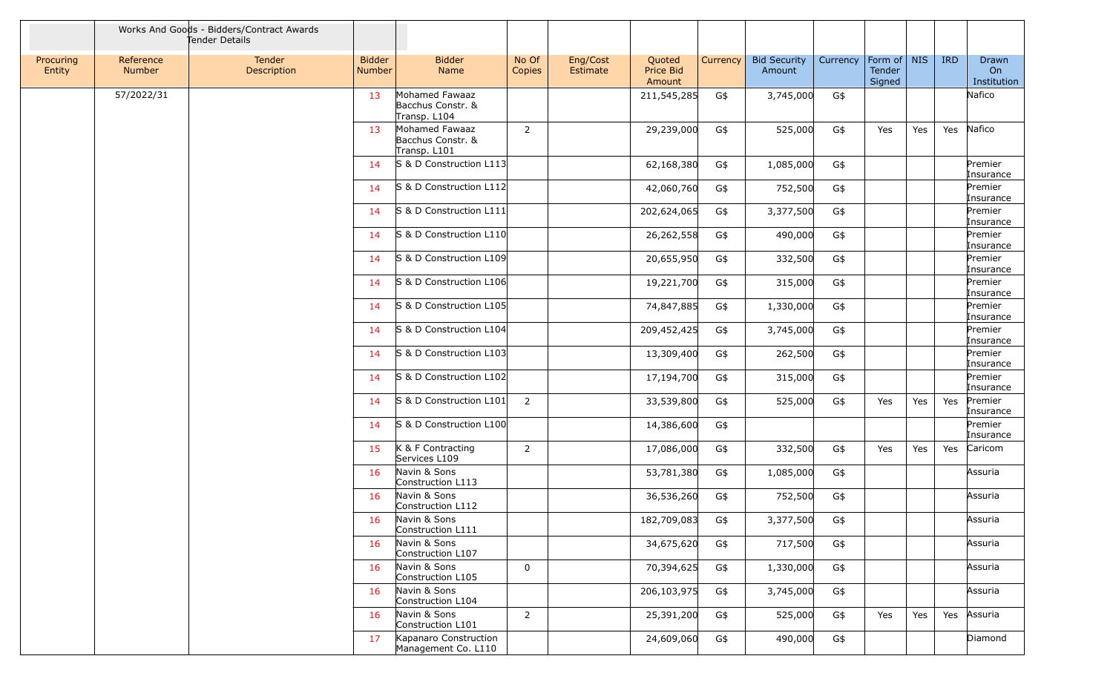|                     | Works And Goods - Bidders/Contract Awards<br>Tender Details |                       |                                |                                                     |                 |                      |                               |          |                               |          |                                 |     |            |                            |
|---------------------|-------------------------------------------------------------|-----------------------|--------------------------------|-----------------------------------------------------|-----------------|----------------------|-------------------------------|----------|-------------------------------|----------|---------------------------------|-----|------------|----------------------------|
| Procuring<br>Entity | Reference<br><b>Number</b>                                  | Tender<br>Description | <b>Bidder</b><br><b>Number</b> | <b>Bidder</b><br>Name                               | No Of<br>Copies | Eng/Cost<br>Estimate | Quoted<br>Price Bid<br>Amount | Currency | <b>Bid Security</b><br>Amount | Currency | Form of NIS<br>Tender<br>Signed |     | <b>IRD</b> | Drawn<br>On<br>Institution |
|                     | 57/2022/31                                                  |                       | 13                             | Mohamed Fawaaz<br>Bacchus Constr. &<br>Transp. L104 |                 |                      | 211,545,285                   | G\$      | 3,745,000                     | G\$      |                                 |     |            | Nafico                     |
|                     |                                                             |                       | 13                             | Mohamed Fawaaz<br>Bacchus Constr. &<br>Transp. L101 | $\overline{2}$  |                      | 29,239,000                    | G\$      | 525,000                       | G\$      | Yes                             | Yes | Yes        | Nafico                     |
|                     |                                                             |                       | 14                             | S & D Construction L113                             |                 |                      | 62,168,380                    | G\$      | 1,085,000                     | G\$      |                                 |     |            | Premier<br>Insurance       |
|                     |                                                             |                       | 14                             | S & D Construction L112                             |                 |                      | 42,060,760                    | G\$      | 752,500                       | G\$      |                                 |     |            | Premier<br>Insurance       |
|                     |                                                             |                       | 14                             | S & D Construction L111                             |                 |                      | 202,624,065                   | G\$      | 3,377,500                     | G\$      |                                 |     |            | Premier<br>Insurance       |
|                     |                                                             |                       | 14                             | S & D Construction L110                             |                 |                      | 26,262,558                    | G\$      | 490,000                       | G\$      |                                 |     |            | Premier<br>Insurance       |
|                     |                                                             |                       | -14                            | S & D Construction L109                             |                 |                      | 20,655,950                    | G\$      | 332,500                       | G\$      |                                 |     |            | Premier<br>Insurance       |
|                     |                                                             |                       | 14                             | S & D Construction L106                             |                 |                      | 19,221,700                    | G\$      | 315,000                       | G\$      |                                 |     |            | Premier<br>Insurance       |
|                     |                                                             |                       | 14                             | S & D Construction L105                             |                 |                      | 74,847,885                    | G\$      | 1,330,000                     | G\$      |                                 |     |            | Premier<br>Insurance       |
|                     |                                                             |                       | 14                             | S & D Construction L104                             |                 |                      | 209,452,425                   | G\$      | 3,745,000                     | G\$      |                                 |     |            | Premier<br>Insurance       |
|                     |                                                             |                       | 14                             | S & D Construction L103                             |                 |                      | 13,309,400                    | G\$      | 262,500                       | G\$      |                                 |     |            | Premier<br>Insurance       |
|                     |                                                             |                       | 14                             | S & D Construction L102                             |                 |                      | 17,194,700                    | G\$      | 315,000                       | G\$      |                                 |     |            | Premier<br>Insurance       |
|                     |                                                             |                       | 14                             | S & D Construction L101                             | $\overline{2}$  |                      | 33,539,800                    | G\$      | 525,000                       | G\$      | Yes                             | Yes | Yes        | Premier<br>Insurance       |
|                     |                                                             |                       | 14                             | S & D Construction L100                             |                 |                      | 14,386,600                    | G\$      |                               |          |                                 |     |            | Premier<br>Insurance       |
|                     |                                                             |                       | 15                             | K & F Contracting<br>Services L109                  | $\overline{2}$  |                      | 17,086,000                    | G\$      | 332,500                       | G\$      | Yes                             | Yes | Yes        | Caricom                    |
|                     |                                                             |                       | 16                             | Navin & Sons<br>Construction L113                   |                 |                      | 53,781,380                    | G\$      | 1,085,000                     | G\$      |                                 |     |            | Assuria                    |
|                     |                                                             |                       | 16                             | Navin & Sons<br>Construction L112                   |                 |                      | 36,536,260                    | G\$      | 752,500                       | G\$      |                                 |     |            | Assuria                    |
|                     |                                                             |                       | 16                             | Navin & Sons<br>Construction L111                   |                 |                      | 182,709,083                   | G\$      | 3,377,500                     | G\$      |                                 |     |            | Assuria                    |
|                     |                                                             |                       | 16                             | Navin & Sons<br>Construction L107                   |                 |                      | 34,675,620                    | G\$      | 717,500                       | G\$      |                                 |     |            | Assuria                    |
|                     |                                                             |                       | 16                             | Navin & Sons<br>Construction L105                   | $\mathbf 0$     |                      | 70,394,625                    | G\$      | 1,330,000                     | G\$      |                                 |     |            | Assuria                    |
|                     |                                                             |                       | 16                             | Navin & Sons<br>Construction L104                   |                 |                      | 206,103,975                   | G\$      | 3,745,000                     | G\$      |                                 |     |            | Assuria                    |
|                     |                                                             |                       | 16                             | Navin & Sons<br>Construction L101                   | 2               |                      | 25,391,200                    | G\$      | 525,000                       | G\$      | Yes                             | Yes | Yes        | Assuria                    |
|                     |                                                             |                       | 17                             | Kapanaro Construction<br>Management Co. L110        |                 |                      | 24,609,060                    | G\$      | 490,000                       | G\$      |                                 |     |            | Diamond                    |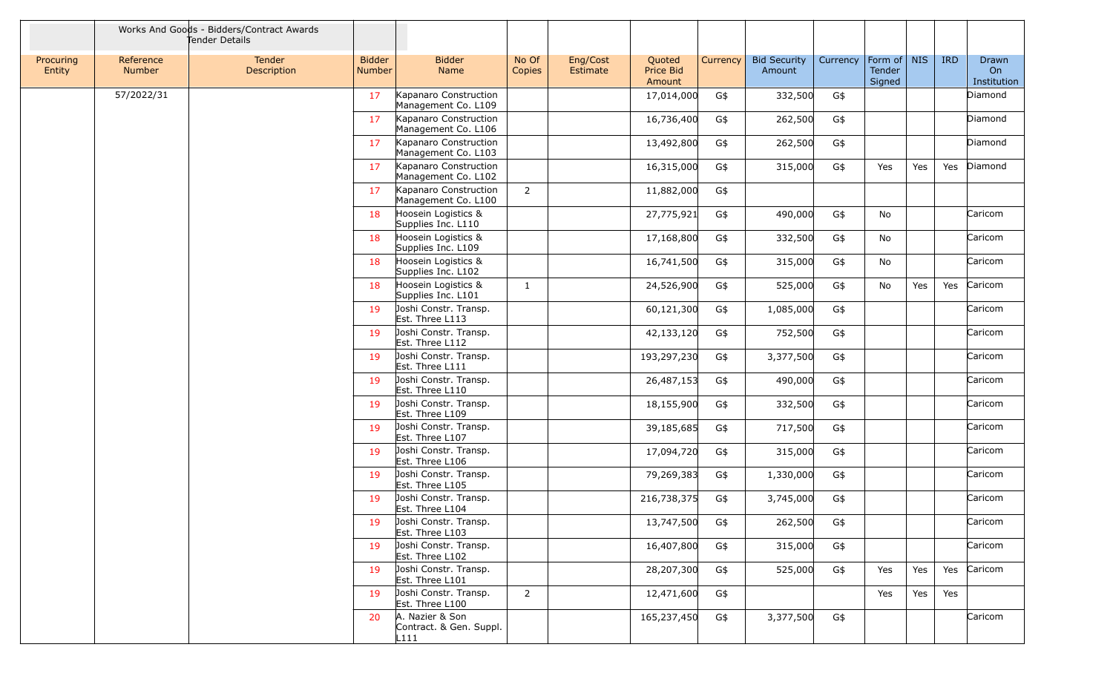|                     |                            | Works And Goods - Bidders/Contract Awards<br>Tender Details |                                |                                                    |                 |                      |                               |          |                               |          |                                   |     |            |                            |
|---------------------|----------------------------|-------------------------------------------------------------|--------------------------------|----------------------------------------------------|-----------------|----------------------|-------------------------------|----------|-------------------------------|----------|-----------------------------------|-----|------------|----------------------------|
| Procuring<br>Entity | Reference<br><b>Number</b> | Tender<br>Description                                       | <b>Bidder</b><br><b>Number</b> | <b>Bidder</b><br>Name                              | No Of<br>Copies | Eng/Cost<br>Estimate | Quoted<br>Price Bid<br>Amount | Currency | <b>Bid Security</b><br>Amount | Currency | Form of   NIS<br>Tender<br>Signed |     | <b>IRD</b> | Drawn<br>On<br>Institution |
|                     | 57/2022/31                 |                                                             | 17                             | Kapanaro Construction<br>Management Co. L109       |                 |                      | 17,014,000                    | G\$      | 332,500                       | G\$      |                                   |     |            | Diamond                    |
|                     |                            |                                                             | 17                             | Kapanaro Construction<br>Management Co. L106       |                 |                      | 16,736,400                    | G\$      | 262,500                       | G\$      |                                   |     |            | Diamond                    |
|                     |                            |                                                             | 17                             | Kapanaro Construction<br>Management Co. L103       |                 |                      | 13,492,800                    | G\$      | 262,500                       | G\$      |                                   |     |            | Diamond                    |
|                     |                            |                                                             | 17                             | Kapanaro Construction<br>Management Co. L102       |                 |                      | 16,315,000                    | G\$      | 315,000                       | G\$      | Yes                               | Yes | Yes        | Diamond                    |
|                     |                            |                                                             | 17                             | Kapanaro Construction<br>Management Co. L100       | $\overline{2}$  |                      | 11,882,000                    | G\$      |                               |          |                                   |     |            |                            |
|                     |                            |                                                             | 18                             | Hoosein Logistics &<br>Supplies Inc. L110          |                 |                      | 27,775,921                    | G\$      | 490,000                       | G\$      | No                                |     |            | Caricom                    |
|                     |                            |                                                             | 18                             | Hoosein Logistics &<br>Supplies Inc. L109          |                 |                      | 17,168,800                    | G\$      | 332,500                       | G\$      | No                                |     |            | Caricom                    |
|                     |                            |                                                             | 18                             | Hoosein Logistics &<br>Supplies Inc. L102          |                 |                      | 16,741,500                    | G\$      | 315,000                       | G\$      | No                                |     |            | Caricom                    |
|                     |                            |                                                             | 18                             | Hoosein Logistics &<br>Supplies Inc. L101          | $\mathbf{1}$    |                      | 24,526,900                    | G\$      | 525,000                       | G\$      | No                                | Yes | Yes        | Caricom                    |
|                     |                            |                                                             | 19                             | Joshi Constr. Transp.<br>Est. Three L113           |                 |                      | 60,121,300                    | G\$      | 1,085,000                     | G\$      |                                   |     |            | Caricom                    |
|                     |                            |                                                             | 19                             | Joshi Constr. Transp.<br>Est. Three L112           |                 |                      | 42,133,120                    | G\$      | 752,500                       | G\$      |                                   |     |            | Caricom                    |
|                     |                            |                                                             | 19                             | Joshi Constr. Transp.<br>Est. Three L111           |                 |                      | 193,297,230                   | G\$      | 3,377,500                     | G\$      |                                   |     |            | Caricom                    |
|                     |                            |                                                             | 19                             | Joshi Constr. Transp.<br>Est. Three L110           |                 |                      | 26,487,153                    | G\$      | 490,000                       | G\$      |                                   |     |            | Caricom                    |
|                     |                            |                                                             | 19                             | Joshi Constr. Transp.<br>Est. Three L109           |                 |                      | 18,155,900                    | G\$      | 332,500                       | G\$      |                                   |     |            | Caricom                    |
|                     |                            |                                                             | 19                             | Joshi Constr. Transp.<br>Est. Three L107           |                 |                      | 39,185,685                    | G\$      | 717,500                       | G\$      |                                   |     |            | Caricom                    |
|                     |                            |                                                             | 19                             | Joshi Constr. Transp.<br>Est. Three L106           |                 |                      | 17,094,720                    | G\$      | 315,000                       | G\$      |                                   |     |            | Caricom                    |
|                     |                            |                                                             | 19                             | Joshi Constr. Transp.<br>Est. Three L105           |                 |                      | 79,269,383                    | G\$      | 1,330,000                     | G\$      |                                   |     |            | Caricom                    |
|                     |                            |                                                             | 19                             | Joshi Constr. Transp.<br>Est. Three L104           |                 |                      | 216,738,375                   | G\$      | 3,745,000                     | G\$      |                                   |     |            | Caricom                    |
|                     |                            |                                                             | 19                             | Joshi Constr. Transp.<br>Est. Three L103           |                 |                      | 13,747,500                    | G\$      | 262,500                       | G\$      |                                   |     |            | Caricom                    |
|                     |                            |                                                             | 19                             | Joshi Constr. Transp.<br>Est. Three L102           |                 |                      | 16,407,800                    | G\$      | 315,000                       | G\$      |                                   |     |            | Caricom                    |
|                     |                            |                                                             | 19                             | Joshi Constr. Transp.<br>Est. Three L101           |                 |                      | 28,207,300                    | G\$      | 525,000                       | G\$      | Yes                               | Yes | Yes        | Caricom                    |
|                     |                            |                                                             | 19                             | Joshi Constr. Transp.<br>Est. Three L100           | $\overline{2}$  |                      | 12,471,600                    | G\$      |                               |          | Yes                               | Yes | Yes        |                            |
|                     |                            |                                                             | 20                             | A. Nazier & Son<br>Contract. & Gen. Suppl.<br>L111 |                 |                      | 165,237,450                   | G\$      | 3,377,500                     | G\$      |                                   |     |            | Caricom                    |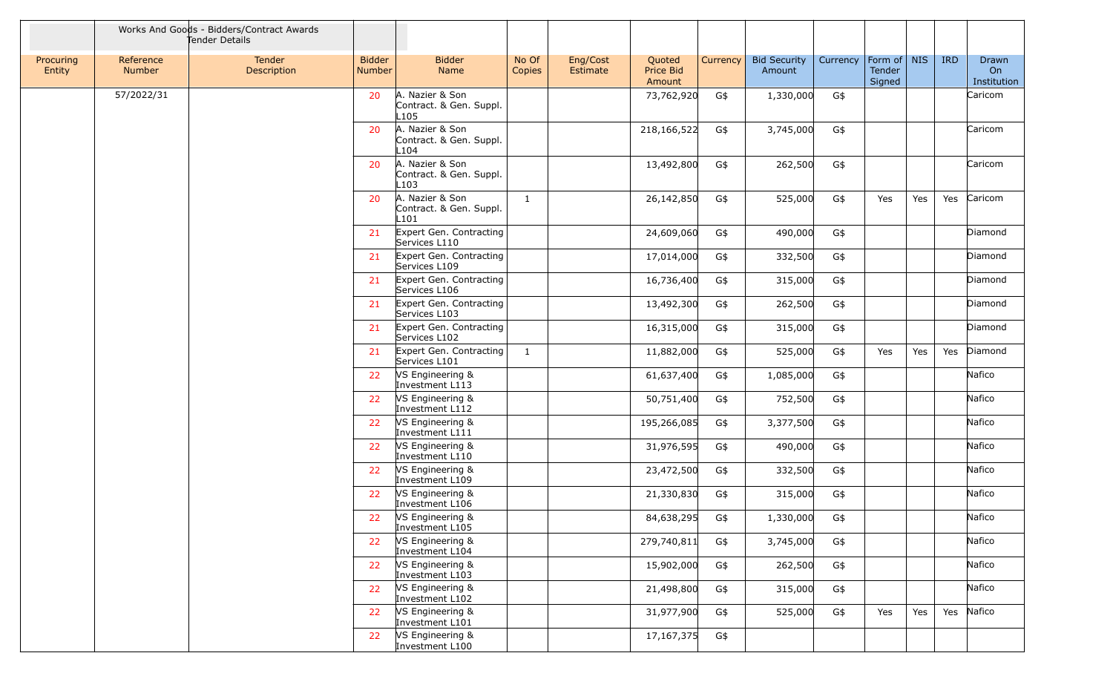|                     |                            | Works And Goods - Bidders/Contract Awards<br>Tender Details |                                |                                                    |                 |                      |                               |          |                               |          |                                   |     |            |                            |
|---------------------|----------------------------|-------------------------------------------------------------|--------------------------------|----------------------------------------------------|-----------------|----------------------|-------------------------------|----------|-------------------------------|----------|-----------------------------------|-----|------------|----------------------------|
| Procuring<br>Entity | Reference<br><b>Number</b> | <b>Tender</b><br>Description                                | <b>Bidder</b><br><b>Number</b> | <b>Bidder</b><br><b>Name</b>                       | No Of<br>Copies | Eng/Cost<br>Estimate | Quoted<br>Price Bid<br>Amount | Currency | <b>Bid Security</b><br>Amount | Currency | Form of   NIS<br>Tender<br>Signed |     | <b>IRD</b> | Drawn<br>On<br>Institution |
|                     | 57/2022/31                 |                                                             | 20                             | A. Nazier & Son<br>Contract. & Gen. Suppl.<br>L105 |                 |                      | 73,762,920                    | G\$      | 1,330,000                     | G\$      |                                   |     |            | Caricom                    |
|                     |                            |                                                             | 20                             | A. Nazier & Son<br>Contract. & Gen. Suppl.<br>L104 |                 |                      | 218,166,522                   | G\$      | 3,745,000                     | G\$      |                                   |     |            | Caricom                    |
|                     |                            |                                                             | 20                             | A. Nazier & Son<br>Contract. & Gen. Suppl.<br>L103 |                 |                      | 13,492,800                    | G\$      | 262,500                       | G\$      |                                   |     |            | Caricom                    |
|                     |                            |                                                             | 20                             | A. Nazier & Son<br>Contract. & Gen. Suppl.<br>L101 | 1               |                      | 26,142,850                    | G\$      | 525,000                       | G\$      | Yes                               | Yes | Yes        | Caricom                    |
|                     |                            |                                                             | 21                             | Expert Gen. Contracting<br>Services L110           |                 |                      | 24,609,060                    | G\$      | 490,000                       | G\$      |                                   |     |            | Diamond                    |
|                     |                            |                                                             | 21                             | Expert Gen. Contracting<br>Services L109           |                 |                      | 17,014,000                    | G\$      | 332,500                       | G\$      |                                   |     |            | Diamond                    |
|                     |                            |                                                             | 21                             | Expert Gen. Contracting<br>Services L106           |                 |                      | 16,736,400                    | G\$      | 315,000                       | G\$      |                                   |     |            | Diamond                    |
|                     |                            |                                                             | 21                             | Expert Gen. Contracting<br>Services L103           |                 |                      | 13,492,300                    | G\$      | 262,500                       | G\$      |                                   |     |            | Diamond                    |
|                     |                            |                                                             | 21                             | Expert Gen. Contracting<br>Services L102           |                 |                      | 16,315,000                    | G\$      | 315,000                       | G\$      |                                   |     |            | Diamond                    |
|                     |                            |                                                             | 21                             | Expert Gen. Contracting<br>Services L101           | 1               |                      | 11,882,000                    | G\$      | 525,000                       | G\$      | Yes                               | Yes | Yes        | Diamond                    |
|                     |                            |                                                             | 22                             | VS Engineering &<br>Investment L113                |                 |                      | 61,637,400                    | G\$      | 1,085,000                     | G\$      |                                   |     |            | Nafico                     |
|                     |                            |                                                             | 22                             | VS Engineering &<br>Investment L112                |                 |                      | 50,751,400                    | G\$      | 752,500                       | G\$      |                                   |     |            | Nafico                     |
|                     |                            |                                                             | 22                             | <b>VS Engineering &amp;</b><br>Investment L111     |                 |                      | 195,266,085                   | G\$      | 3,377,500                     | G\$      |                                   |     |            | Nafico                     |
|                     |                            |                                                             | 22                             | VS Engineering &<br>Investment L110                |                 |                      | 31,976,595                    | G\$      | 490,000                       | G\$      |                                   |     |            | Nafico                     |
|                     |                            |                                                             | 22                             | <b>VS Engineering &amp;</b><br>Investment L109     |                 |                      | 23,472,500                    | G\$      | 332,500                       | G\$      |                                   |     |            | Nafico                     |
|                     |                            |                                                             | 22                             | VS Engineering &<br>Investment L106                |                 |                      | 21,330,830                    | G\$      | 315,000                       | G\$      |                                   |     |            | Nafico                     |
|                     |                            |                                                             |                                | VS Engineering &<br>Investment L105                |                 |                      | 84,638,295                    | G\$      | 1,330,000                     | G\$      |                                   |     |            | Nafico                     |
|                     |                            |                                                             | 22                             | VS Engineering &<br>Investment L104                |                 |                      | 279,740,811                   | G\$      | 3,745,000                     | G\$      |                                   |     |            | Nafico                     |
|                     |                            |                                                             | 22                             | VS Engineering &<br>Investment L103                |                 |                      | 15,902,000                    | G\$      | 262,500                       | G\$      |                                   |     |            | Nafico                     |
|                     |                            |                                                             | 22                             | VS Engineering &<br>Investment L102                |                 |                      | 21,498,800                    | G\$      | 315,000                       | G\$      |                                   |     |            | Nafico                     |
|                     |                            |                                                             | 22                             | VS Engineering &<br>Investment L101                |                 |                      | 31,977,900                    | G\$      | 525,000                       | G\$      | Yes                               | Yes | Yes        | Nafico                     |
|                     |                            |                                                             | 22                             | VS Engineering &<br>Investment L100                |                 |                      | 17,167,375                    | G\$      |                               |          |                                   |     |            |                            |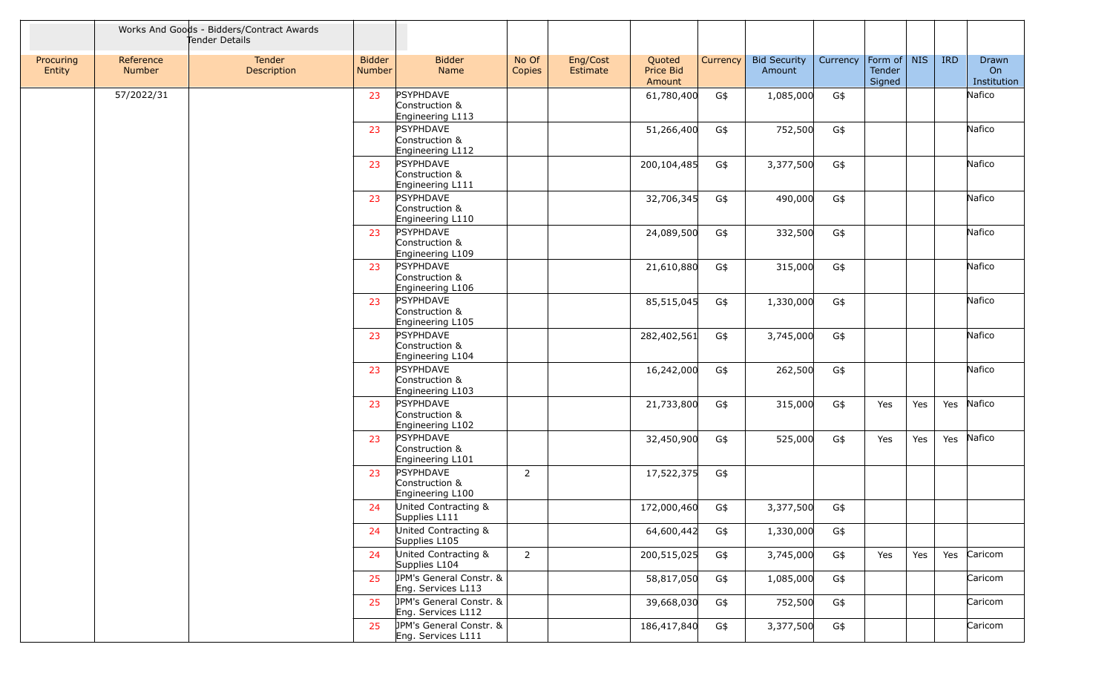|                     | Works And Goods - Bidders/Contract Awards<br>Tender Details |                       |                                |                                                               |                 |                      |                               |          |                               |          |                                   |     |            |                            |
|---------------------|-------------------------------------------------------------|-----------------------|--------------------------------|---------------------------------------------------------------|-----------------|----------------------|-------------------------------|----------|-------------------------------|----------|-----------------------------------|-----|------------|----------------------------|
| Procuring<br>Entity | Reference<br>Number                                         | Tender<br>Description | <b>Bidder</b><br><b>Number</b> | <b>Bidder</b><br>Name                                         | No Of<br>Copies | Eng/Cost<br>Estimate | Quoted<br>Price Bid<br>Amount | Currency | <b>Bid Security</b><br>Amount | Currency | Form of   NIS<br>Tender<br>Signed |     | <b>IRD</b> | Drawn<br>On<br>Institution |
|                     | 57/2022/31                                                  |                       | 23                             | PSYPHDAVE<br>Construction &<br>Engineering L113               |                 |                      | 61,780,400                    | G\$      | 1,085,000                     | G\$      |                                   |     |            | Nafico                     |
|                     |                                                             |                       | 23                             | PSYPHDAVE<br>Construction &<br>Engineering L112               |                 |                      | 51,266,400                    | G\$      | 752,500                       | G\$      |                                   |     |            | Nafico                     |
|                     |                                                             |                       | 23                             | PSYPHDAVE<br>Construction &<br>Engineering L111               |                 |                      | 200,104,485                   | G\$      | 3,377,500                     | G\$      |                                   |     |            | Nafico                     |
|                     |                                                             |                       | 23                             | PSYPHDAVE<br>Construction &<br>Engineering L110               |                 |                      | 32,706,345                    | G\$      | 490,000                       | G\$      |                                   |     |            | Nafico                     |
|                     |                                                             |                       | 23                             | PSYPHDAVE<br>Construction &<br>Engineering L109               |                 |                      | 24,089,500                    | G\$      | 332,500                       | G\$      |                                   |     |            | Nafico                     |
|                     |                                                             |                       | 23                             | PSYPHDAVE<br>Construction &<br>Engineering L106               |                 |                      | 21,610,880                    | G\$      | 315,000                       | G\$      |                                   |     |            | Nafico                     |
|                     |                                                             |                       | 23                             | PSYPHDAVE<br>Construction &<br>Engineering L105               |                 |                      | 85,515,045                    | G\$      | 1,330,000                     | G\$      |                                   |     |            | Nafico                     |
|                     |                                                             |                       | 23                             | PSYPHDAVE<br>Construction &<br>Engineering L104               |                 |                      | 282,402,561                   | G\$      | 3,745,000                     | G\$      |                                   |     |            | Nafico                     |
|                     |                                                             |                       | 23                             | PSYPHDAVE<br>Construction &<br>Engineering L103               |                 |                      | 16,242,000                    | G\$      | 262,500                       | G\$      |                                   |     |            | Nafico                     |
|                     |                                                             |                       | 23                             | PSYPHDAVE<br>Construction &<br>Engineering L102               |                 |                      | 21,733,800                    | G\$      | 315,000                       | G\$      | Yes                               | Yes | Yes        | Nafico                     |
|                     |                                                             |                       | 23                             | PSYPHDAVE<br>Construction &<br>Engineering L101               |                 |                      | 32,450,900                    | G\$      | 525,000                       | G\$      | Yes                               | Yes | Yes        | Nafico                     |
|                     |                                                             |                       | 23                             | PSYPHDAVE<br>Construction &<br>Engineering L100               | $\overline{2}$  |                      | 17,522,375                    | G\$      |                               |          |                                   |     |            |                            |
|                     |                                                             |                       | 24                             | United Contracting &<br>Supplies L111<br>United Contracting & |                 |                      | 172,000,460                   | G\$      | 3,377,500                     | G\$      |                                   |     |            |                            |
|                     |                                                             |                       | 24                             | Supplies L105                                                 |                 |                      | 64,600,442                    | G\$      | 1,330,000                     | G\$      |                                   |     |            |                            |
|                     |                                                             |                       | 24                             | United Contracting &<br>Supplies L104                         | $\overline{2}$  |                      | 200,515,025                   | G\$      | 3,745,000                     | G\$      | Yes                               | Yes |            | Yes Caricom                |
|                     |                                                             |                       | 25                             | JPM's General Constr. &<br>Eng. Services L113                 |                 |                      | 58,817,050                    | G\$      | 1,085,000                     | G\$      |                                   |     |            | Caricom                    |
|                     |                                                             |                       | 25                             | JPM's General Constr. &<br>Eng. Services L112                 |                 |                      | 39,668,030                    | G\$      | 752,500                       | G\$      |                                   |     |            | Caricom                    |
|                     |                                                             |                       | 25                             | JPM's General Constr. &<br>Eng. Services L111                 |                 |                      | 186,417,840                   | G\$      | 3,377,500                     | G\$      |                                   |     |            | Caricom                    |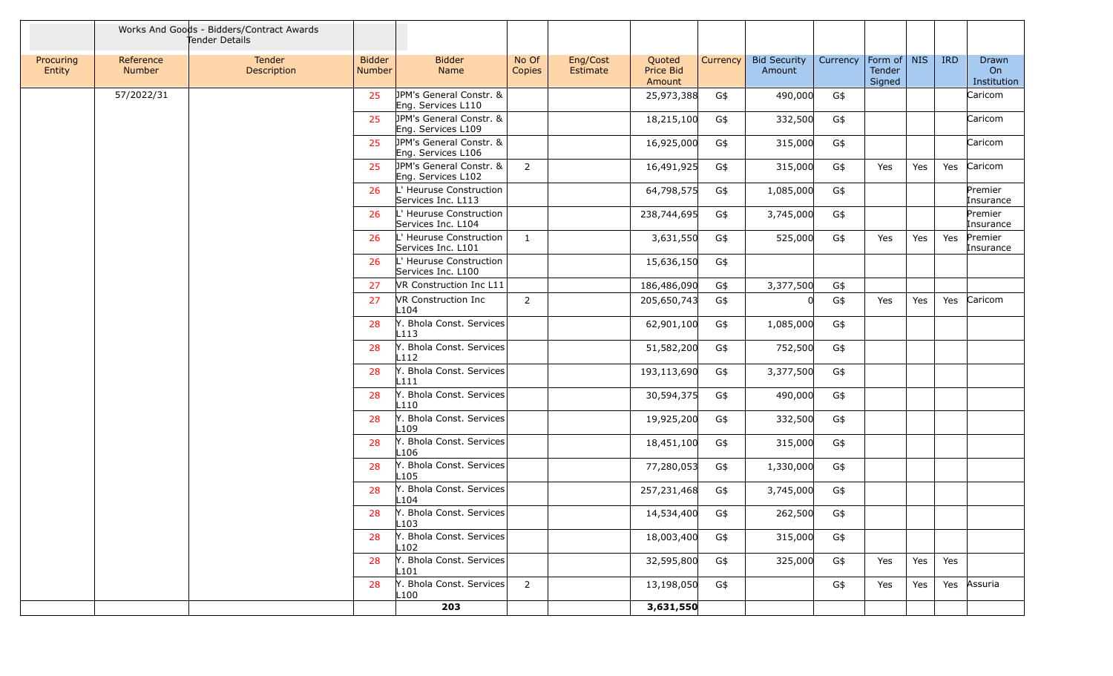|                     |                            | Works And Goods - Bidders/Contract Awards<br>Tender Details |                                |                                                |                 |                      |                               |          |                               |          |                                 |     |            |                            |
|---------------------|----------------------------|-------------------------------------------------------------|--------------------------------|------------------------------------------------|-----------------|----------------------|-------------------------------|----------|-------------------------------|----------|---------------------------------|-----|------------|----------------------------|
| Procuring<br>Entity | Reference<br><b>Number</b> | Tender<br>Description                                       | <b>Bidder</b><br><b>Number</b> | <b>Bidder</b><br>Name                          | No Of<br>Copies | Eng/Cost<br>Estimate | Quoted<br>Price Bid<br>Amount | Currency | <b>Bid Security</b><br>Amount | Currency | Form of NIS<br>Tender<br>Signed |     | <b>IRD</b> | Drawn<br>On<br>Institution |
|                     | 57/2022/31                 |                                                             | 25                             | JPM's General Constr. &<br>Eng. Services L110  |                 |                      | 25,973,388                    | G\$      | 490,000                       | G\$      |                                 |     |            | Caricom                    |
|                     |                            |                                                             | 25                             | JPM's General Constr. &<br>Eng. Services L109  |                 |                      | 18,215,100                    | G\$      | 332,500                       | G\$      |                                 |     |            | Caricom                    |
|                     |                            |                                                             | 25                             | JPM's General Constr. &<br>Eng. Services L106  |                 |                      | 16,925,000                    | G\$      | 315,000                       | G\$      |                                 |     |            | Caricom                    |
|                     |                            |                                                             | 25                             | JPM's General Constr. &<br>Eng. Services L102  | $\overline{2}$  |                      | 16,491,925                    | G\$      | 315,000                       | G\$      | Yes                             | Yes | Yes        | Caricom                    |
|                     |                            |                                                             | 26                             | L' Heuruse Construction<br>Services Inc. L113  |                 |                      | 64,798,575                    | G\$      | 1,085,000                     | G\$      |                                 |     |            | Premier<br>Insurance       |
|                     |                            |                                                             | 26                             | L' Heuruse Construction<br>Services Inc. L104  |                 |                      | 238,744,695                   | G\$      | 3,745,000                     | G\$      |                                 |     |            | Premier<br>Insurance       |
|                     |                            |                                                             | 26                             | L' Heuruse Construction<br>Services Inc. L101  | 1               |                      | 3,631,550                     | G\$      | 525,000                       | G\$      | Yes                             | Yes | Yes        | Premier<br>Insurance       |
|                     |                            |                                                             | 26                             | L' Heuruse Construction<br>Services Inc. L100  |                 |                      | 15,636,150                    | G\$      |                               |          |                                 |     |            |                            |
|                     |                            |                                                             | 27                             | VR Construction Inc L11                        |                 |                      | 186,486,090                   | G\$      | 3,377,500                     | G\$      |                                 |     |            |                            |
|                     |                            |                                                             | 27                             | <b>VR Construction Inc</b><br>L <sub>104</sub> | 2               |                      | 205,650,743                   | G\$      |                               | G\$      | Yes                             | Yes | Yes        | Caricom                    |
|                     |                            |                                                             | 28                             | Y. Bhola Const. Services<br>L113               |                 |                      | 62,901,100                    | G\$      | 1,085,000                     | G\$      |                                 |     |            |                            |
|                     |                            |                                                             | 28                             | Y. Bhola Const. Services<br>L112               |                 |                      | 51,582,200                    | G\$      | 752,500                       | G\$      |                                 |     |            |                            |
|                     |                            |                                                             | 28                             | Y. Bhola Const. Services<br>L111               |                 |                      | 193,113,690                   | G\$      | 3,377,500                     | G\$      |                                 |     |            |                            |
|                     |                            |                                                             | 28                             | Y. Bhola Const. Services<br>L110               |                 |                      | 30,594,375                    | G\$      | 490,000                       | G\$      |                                 |     |            |                            |
|                     |                            |                                                             | 28                             | Y. Bhola Const. Services<br>L <sub>109</sub>   |                 |                      | 19,925,200                    | G\$      | 332,500                       | G\$      |                                 |     |            |                            |
|                     |                            |                                                             | 28                             | Y. Bhola Const. Services<br>L106               |                 |                      | 18,451,100                    | G\$      | 315,000                       | G\$      |                                 |     |            |                            |
|                     |                            |                                                             | 28                             | Y. Bhola Const. Services<br>L105               |                 |                      | 77,280,053                    | G\$      | 1,330,000                     | G\$      |                                 |     |            |                            |
|                     |                            |                                                             | 28                             | Y. Bhola Const. Services<br>L104               |                 |                      | 257,231,468                   | G\$      | 3,745,000                     | G\$      |                                 |     |            |                            |
|                     |                            |                                                             | 28                             | Y. Bhola Const. Services<br>L103               |                 |                      | 14,534,400                    | G\$      | 262,500                       | G\$      |                                 |     |            |                            |
|                     |                            |                                                             | 28                             | Y. Bhola Const. Services<br>L <sub>102</sub>   |                 |                      | 18,003,400                    | G\$      | 315,000                       | G\$      |                                 |     |            |                            |
|                     |                            |                                                             | 28                             | Y. Bhola Const. Services<br>L101               |                 |                      | 32,595,800                    | G\$      | 325,000                       | G\$      | Yes                             | Yes | Yes        |                            |
|                     |                            |                                                             | 28                             | Y. Bhola Const. Services<br>L100               | $\overline{2}$  |                      | 13,198,050                    | G\$      |                               | G\$      | Yes                             | Yes | Yes        | Assuria                    |
|                     |                            |                                                             |                                | 203                                            |                 |                      | 3,631,550                     |          |                               |          |                                 |     |            |                            |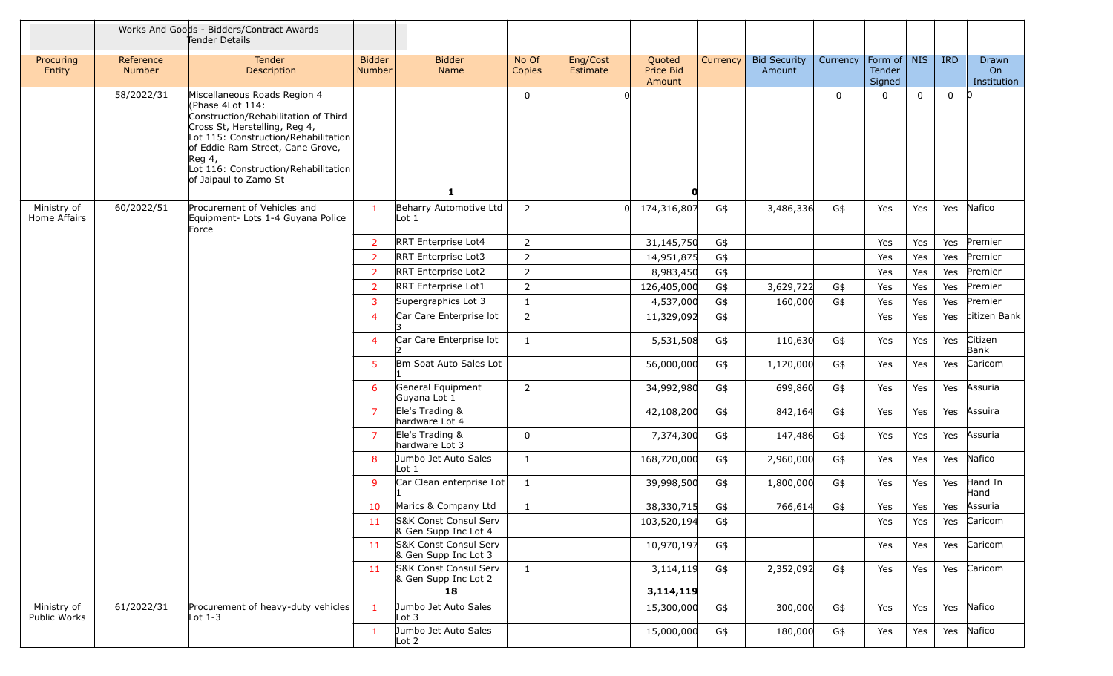|                             |                     | Works And Goods - Bidders/Contract Awards<br>Tender Details                                                                                                                                                                                                                      |                                |                                               |                 |                      |                               |                 |                               |              |                                   |              |             |                            |
|-----------------------------|---------------------|----------------------------------------------------------------------------------------------------------------------------------------------------------------------------------------------------------------------------------------------------------------------------------|--------------------------------|-----------------------------------------------|-----------------|----------------------|-------------------------------|-----------------|-------------------------------|--------------|-----------------------------------|--------------|-------------|----------------------------|
| Procuring<br>Entity         | Reference<br>Number | Tender<br>Description                                                                                                                                                                                                                                                            | <b>Bidder</b><br><b>Number</b> | <b>Bidder</b><br>Name                         | No Of<br>Copies | Eng/Cost<br>Estimate | Quoted<br>Price Bid<br>Amount | <b>Currency</b> | <b>Bid Security</b><br>Amount | Currency     | Form of   NIS<br>Tender<br>Signed |              | <b>IRD</b>  | Drawn<br>On<br>Institution |
|                             | 58/2022/31          | Miscellaneous Roads Region 4<br>(Phase 4Lot 114:<br>Construction/Rehabilitation of Third<br>Cross St, Herstelling, Reg 4,<br>Lot 115: Construction/Rehabilitation<br>of Eddie Ram Street, Cane Grove,<br>Reg 4,<br>Lot 116: Construction/Rehabilitation<br>of Jaipaul to Zamo St |                                |                                               | $\mathbf{0}$    |                      |                               |                 |                               | $\mathbf{0}$ | $\Omega$                          | $\mathbf{0}$ | $\mathbf 0$ | $\overline{0}$             |
|                             |                     |                                                                                                                                                                                                                                                                                  |                                | $\mathbf{1}$                                  |                 |                      | $\mathbf{o}$                  |                 |                               |              |                                   |              |             |                            |
| Ministry of<br>Home Affairs | 60/2022/51          | Procurement of Vehicles and<br>Equipment- Lots 1-4 Guyana Police<br>Force                                                                                                                                                                                                        | -1                             | Beharry Automotive Ltd<br>Lot 1               | 2               |                      | 174,316,807<br>$\Omega$       | G\$             | 3,486,336                     | G\$          | Yes                               | Yes          | Yes         | Nafico                     |
|                             |                     |                                                                                                                                                                                                                                                                                  | $\overline{2}$                 | RRT Enterprise Lot4                           | $\overline{2}$  |                      | 31,145,750                    | G\$             |                               |              | Yes                               | Yes          | Yes         | Premier                    |
|                             |                     |                                                                                                                                                                                                                                                                                  | $\overline{2}$                 | RRT Enterprise Lot3                           | $\overline{2}$  |                      | 14,951,875                    | G\$             |                               |              | Yes                               | Yes          | Yes         | Premier                    |
|                             |                     |                                                                                                                                                                                                                                                                                  | $\overline{2}$                 | RRT Enterprise Lot2                           | $\overline{2}$  |                      | 8,983,450                     | G\$             |                               |              | Yes                               | Yes          | Yes         | Premier                    |
|                             |                     |                                                                                                                                                                                                                                                                                  | $\overline{2}$                 | <b>RRT</b> Enterprise Lot1                    | $\overline{2}$  |                      | 126,405,000                   | G\$             | 3,629,722                     | G\$          | Yes                               | Yes          | Yes         | Premier                    |
|                             |                     |                                                                                                                                                                                                                                                                                  | $\overline{3}$                 | Supergraphics Lot 3                           | <sup>1</sup>    |                      | 4,537,000                     | G\$             | 160,000                       | G\$          | Yes                               | Yes          | Yes         | Premier                    |
|                             |                     |                                                                                                                                                                                                                                                                                  | $\overline{4}$                 | Car Care Enterprise lot                       | $\overline{2}$  |                      | 11,329,092                    | G\$             |                               |              | Yes                               | Yes          | Yes         | citizen Bank               |
|                             |                     |                                                                                                                                                                                                                                                                                  | 4                              | Car Care Enterprise lot                       | -1              |                      | 5,531,508                     | G\$             | 110,630                       | G\$          | Yes                               | Yes          | Yes         | Citizen<br>Bank            |
|                             |                     |                                                                                                                                                                                                                                                                                  | 5                              | Bm Soat Auto Sales Lot                        |                 |                      | 56,000,000                    | G\$             | 1,120,000                     | G\$          | Yes                               | Yes          | Yes         | Caricom                    |
|                             |                     |                                                                                                                                                                                                                                                                                  | 6                              | General Equipment<br>Guyana Lot 1             | $\overline{2}$  |                      | 34,992,980                    | G\$             | 699,860                       | G\$          | Yes                               | Yes          | Yes         | Assuria                    |
|                             |                     |                                                                                                                                                                                                                                                                                  | $\overline{7}$                 | Ele's Trading &<br>hardware Lot 4             |                 |                      | 42,108,200                    | G\$             | 842,164                       | G\$          | Yes                               | Yes          | Yes         | Assuira                    |
|                             |                     |                                                                                                                                                                                                                                                                                  | $\overline{7}$                 | Ele's Trading &<br>hardware Lot 3             | $\mathbf{0}$    |                      | 7,374,300                     | G\$             | 147,486                       | G\$          | Yes                               | Yes          | Yes         | Assuria                    |
|                             |                     |                                                                                                                                                                                                                                                                                  | 8                              | Jumbo Jet Auto Sales<br>Lot 1                 | 1               |                      | 168,720,000                   | G\$             | 2,960,000                     | G\$          | Yes                               | Yes          | Yes         | Nafico                     |
|                             |                     |                                                                                                                                                                                                                                                                                  | 9                              | Car Clean enterprise Lot                      | -1              |                      | 39,998,500                    | G\$             | 1,800,000                     | G\$          | Yes                               | Yes          | Yes         | Hand In<br>Hand            |
|                             |                     |                                                                                                                                                                                                                                                                                  | 10                             | Marics & Company Ltd                          | 1               |                      | 38,330,715                    | G\$             | 766,614                       | G\$          | Yes                               | Yes          | Yes         | Assuria                    |
|                             |                     |                                                                                                                                                                                                                                                                                  | 11                             | S&K Const Consul Serv<br>& Gen Supp Inc Lot 4 |                 |                      | 103,520,194                   | G\$             |                               |              | Yes                               | Yes          | Yes         | Caricom                    |
|                             |                     |                                                                                                                                                                                                                                                                                  | 11                             | S&K Const Consul Serv<br>& Gen Supp Inc Lot 3 |                 |                      | 10,970,197                    | G\$             |                               |              | Yes                               | Yes          | Yes         | Caricom                    |
|                             |                     |                                                                                                                                                                                                                                                                                  | 11                             | S&K Const Consul Serv<br>& Gen Supp Inc Lot 2 | $\mathbf{1}$    |                      | 3,114,119                     | G\$             | 2,352,092                     | G\$          | Yes                               | Yes          | Yes         | Caricom                    |
|                             |                     |                                                                                                                                                                                                                                                                                  |                                | 18                                            |                 |                      | 3,114,119                     |                 |                               |              |                                   |              |             |                            |
| Ministry of<br>Public Works | 61/2022/31          | Procurement of heavy-duty vehicles<br>Lot $1-3$                                                                                                                                                                                                                                  | $\mathbf{1}$                   | Jumbo Jet Auto Sales<br>Lot 3                 |                 |                      | 15,300,000                    | G\$             | 300,000                       | G\$          | Yes                               | Yes          | Yes         | Nafico                     |
|                             |                     |                                                                                                                                                                                                                                                                                  | $\mathbf{1}$                   | Jumbo Jet Auto Sales<br>Lot 2                 |                 |                      | 15,000,000                    | G\$             | 180,000                       | G\$          | Yes                               | Yes          | Yes         | Nafico                     |